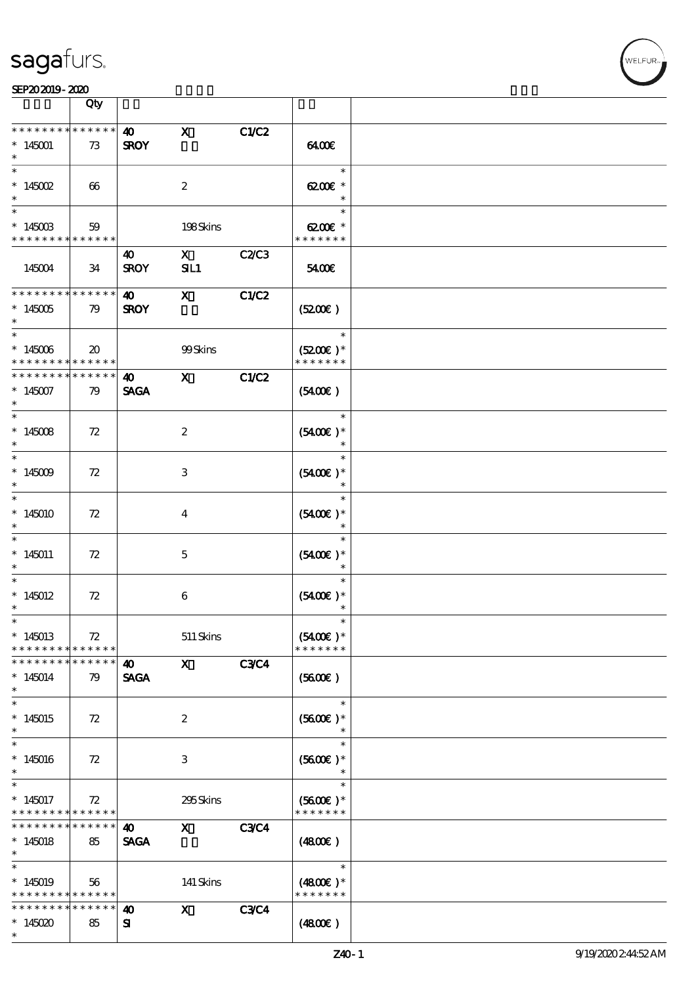

|                                                                                     | Qty                         |                                      |                         |              |                                          |  |
|-------------------------------------------------------------------------------------|-----------------------------|--------------------------------------|-------------------------|--------------|------------------------------------------|--|
| * * * * * * * * * * * * * *<br>$*145001$<br>$\ast$                                  | 73                          | $\boldsymbol{\omega}$<br><b>SROY</b> | $\mathbf x$             | C1/C2        | 6400E                                    |  |
| $\ast$<br>$* 145002$<br>$\ast$                                                      | $\boldsymbol{\omega}$       |                                      | $\boldsymbol{2}$        |              | $\ast$<br>6200€ *<br>$\ast$              |  |
| $\ast$<br>$*14500B$<br>* * * * * * * * * * * * * *                                  | 59                          |                                      | 198Skins                |              | $\ast$<br>6200€ *<br>* * * * * * *       |  |
| 145004                                                                              | 34                          | 40<br><b>SROY</b>                    | $\mathbf X$<br>SL1      | <b>C2/C3</b> | 5400€                                    |  |
| * * * * * * * * * * * * * *<br>$^*$ 145005 $\,$<br>$\ast$                           | 79                          | $\boldsymbol{\omega}$<br><b>SROY</b> | $\mathbf{X}$            | <b>C1/C2</b> | (5200)                                   |  |
| $\overline{\ast}$<br>$^*$ 145006 $\,$<br>* * * * * * * * <mark>* * * * * * *</mark> | $\boldsymbol{\mathfrak{D}}$ |                                      | 99Skins                 |              | $\ast$<br>$(5200)$ *<br>* * * * * * *    |  |
| * * * * * * * * * * * * * *<br>$*145007$<br>$\ast$                                  | 79                          | 40<br><b>SAGA</b>                    | $\mathbf{\overline{X}}$ | C1/C2        | (5400)                                   |  |
| $\ast$<br>$*145008$<br>$\ast$                                                       | 72                          |                                      | $\boldsymbol{2}$        |              | $\ast$<br>$(5400\varepsilon)*$<br>$\ast$ |  |
| $\ast$<br>$*145009$<br>$\ast$                                                       | 72                          |                                      | 3                       |              | $\ast$<br>$(5400)$ *                     |  |
| $\ast$<br>$*145010$<br>$\ast$                                                       | 72                          |                                      | $\bf{4}$                |              | $\ast$<br>$(5400)$ *                     |  |
| $\ast$<br>$*145011$<br>$\ast$                                                       | 72                          |                                      | $\mathbf 5$             |              | $\ast$<br>$(5400)$ *<br>$\ast$           |  |
| $\ast$<br>$*145012$<br>$\ast$                                                       | 72                          |                                      | $\boldsymbol{6}$        |              | $\ast$<br>$(5400)$ *<br>$\ast$           |  |
| $*$<br>$*145013$<br>* * * * * * * * * * * * * *                                     | 72                          |                                      | $511$ Skins             |              | $\ast$<br>$(5400E)*$<br>* * * * * * *    |  |
| * * * * * * * *<br>$*145014$<br>$\ast$                                              | * * * * * *<br>79           | $\boldsymbol{\omega}$<br><b>SAGA</b> | $\mathbf{x}$            | <b>C3C4</b>  | (5600)                                   |  |
| $\overline{\ast}$<br>$*145015$<br>$\ast$                                            | 72                          |                                      | $\boldsymbol{2}$        |              | $\ast$<br>$(5600)$ *                     |  |
| $\ast$<br>$*145016$<br>$\ast$                                                       | 72                          |                                      | 3                       |              | $\ast$<br>$(5600)$ *                     |  |
| $\overline{\phantom{0}}$<br>$*145017$<br>* * * * * * * * <mark>* * * * * *</mark>   | 72                          |                                      | 295Skins                |              | $\ast$<br>$(5600)$ *<br>* * * * * * *    |  |
| * * * * * * * *<br>$*145018$<br>$\ast$                                              | $* * * * * * *$<br>85       | $\boldsymbol{\omega}$<br><b>SAGA</b> | $\mathbf{x}$            | <b>C3C4</b>  | (4800)                                   |  |
| $\ast$<br>$*145019$<br>* * * * * * * * * * * * * *                                  | 56                          |                                      | 141 Skins               |              | $\ast$<br>$(4800)$ *<br>* * * * * * *    |  |
| * * * * * * * *<br>$*145020$<br>$\ast$                                              | * * * * * *<br>85           | $\boldsymbol{\omega}$<br>${\bf s}$   | $\mathbf{x}$            | <b>C3C4</b>  | (480E)                                   |  |

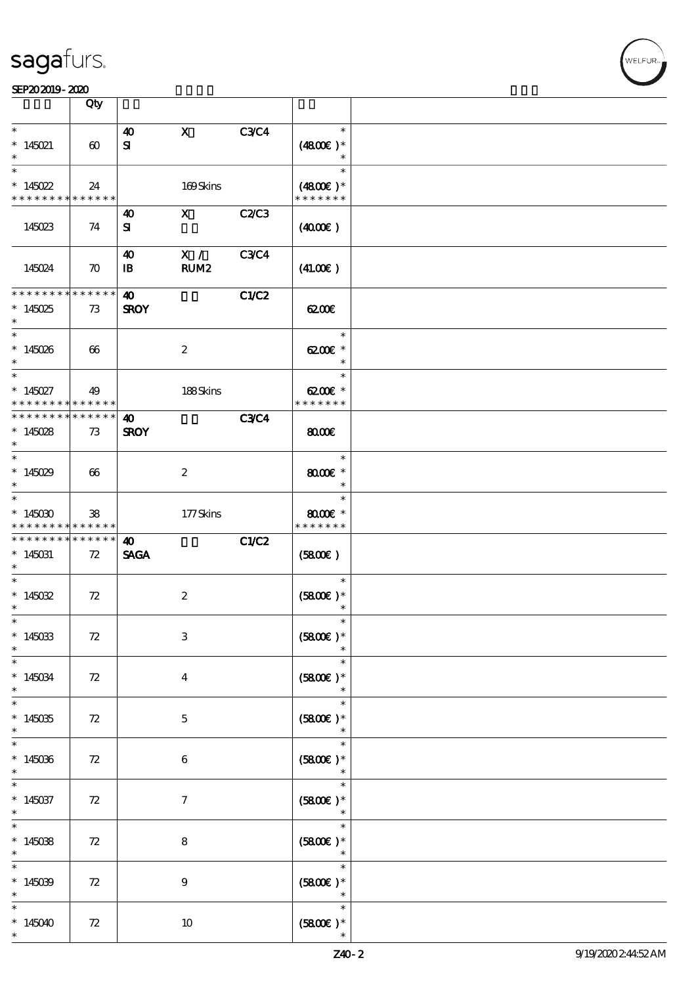|                                                                 | Qty                   |                       |                           |             |                        |  |
|-----------------------------------------------------------------|-----------------------|-----------------------|---------------------------|-------------|------------------------|--|
| $\ast$                                                          |                       | $\boldsymbol{\omega}$ | $\mathbf{x}$              | <b>C3C4</b> | $\ast$                 |  |
| $*145021$                                                       | $\boldsymbol{\omega}$ | ${\bf s}$             |                           |             | $(4800)$ *             |  |
|                                                                 |                       |                       |                           |             | $\ast$                 |  |
| $\ast$                                                          |                       |                       |                           |             | $\ast$                 |  |
| $*145022$                                                       |                       |                       |                           |             |                        |  |
|                                                                 | 24                    |                       | 169Skins                  |             | $(4800)$ *             |  |
| * * * * * * * * * * * * * * *                                   |                       |                       |                           |             | * * * * * * *          |  |
|                                                                 |                       | 40                    | $\mathbf{X}$              | C2C3        |                        |  |
| 145023                                                          | 74                    | ${\bf s}$             |                           |             | (400E)                 |  |
|                                                                 |                       |                       |                           |             |                        |  |
|                                                                 |                       | 40                    | X /                       | <b>C3C4</b> |                        |  |
| 145024                                                          | $\boldsymbol{\pi}$    | $\mathbf{B}$          | RUM <sub>2</sub>          |             | (41.00)                |  |
|                                                                 |                       |                       |                           |             |                        |  |
| * * * * * * * * * * * * * * *                                   |                       | 40                    |                           | C1/C2       |                        |  |
| $*145025$                                                       | 73                    | <b>SROY</b>           |                           |             | 6200E                  |  |
| $\ast$                                                          |                       |                       |                           |             |                        |  |
| $*$                                                             |                       |                       |                           |             | $\ast$                 |  |
| $*145026$                                                       | 66                    |                       | $\boldsymbol{2}$          |             | $6200$ $*$             |  |
| $\ast$                                                          |                       |                       |                           |             | $\ast$                 |  |
| $\ast$                                                          |                       |                       |                           |             | $\ast$                 |  |
| $*145027$                                                       | 49                    |                       | 188Skins                  |             | $6200$ $\varepsilon$ * |  |
| * * * * * * * *                                                 | ******                |                       |                           |             | * * * * * * *          |  |
| * * * * * * * * * * * * * * *                                   |                       | 40                    |                           | <b>C3C4</b> |                        |  |
| $*145028$                                                       | 73                    | <b>SROY</b>           |                           |             | $\omega$               |  |
| $\ast$                                                          |                       |                       |                           |             |                        |  |
|                                                                 |                       |                       |                           |             | $\ast$                 |  |
|                                                                 |                       |                       |                           |             |                        |  |
| * $145029$                                                      | 66                    |                       | $\boldsymbol{2}$          |             | $8000$ $\varepsilon$ * |  |
| $\ast$<br>$\overline{\phantom{0}}$                              |                       |                       |                           |             | $\ast$                 |  |
|                                                                 |                       |                       |                           |             | $\ast$                 |  |
| $*145030$                                                       | 38                    |                       | 177Skins                  |             | $8000$ $*$             |  |
|                                                                 |                       |                       |                           |             |                        |  |
| * * * * * * * * <mark>* * * * * *</mark>                        |                       |                       |                           |             | * * * * * * *          |  |
| * * * * * * * * <mark>*</mark>                                  | $* * * * * * *$       | 40                    |                           | C1/C2       |                        |  |
| $*145031$                                                       | 72                    | <b>SAGA</b>           |                           |             | (5800)                 |  |
| $\ast$                                                          |                       |                       |                           |             |                        |  |
| $\ast$                                                          |                       |                       |                           |             | $\ast$                 |  |
| * $145032$                                                      | 72                    |                       | $\boldsymbol{z}$          |             | $(5800)$ *             |  |
| $\ast$                                                          |                       |                       |                           |             | $\ast$                 |  |
| $\ast$                                                          |                       |                       |                           |             | $\ast$                 |  |
| $*145033$                                                       | 72                    |                       | $\ensuremath{\mathbf{3}}$ |             | $(5800)$ *             |  |
| $\ast$                                                          |                       |                       |                           |             |                        |  |
| $\ast$                                                          |                       |                       |                           |             | $\ast$                 |  |
|                                                                 |                       |                       |                           |             |                        |  |
| $*145034$<br>$\ast$                                             | 72                    |                       | $\boldsymbol{4}$          |             | $(5800)$ *<br>$\ast$   |  |
| $\overline{\ast}$                                               |                       |                       |                           |             | $\ast$                 |  |
|                                                                 |                       |                       |                           |             |                        |  |
| $*145035$<br>$\ast$                                             | 72                    |                       | $\mathbf 5$               |             | $(5800)$ *<br>$\ast$   |  |
| $\ast$                                                          |                       |                       |                           |             | $\ast$                 |  |
|                                                                 |                       |                       |                           |             |                        |  |
| $*145036$<br>$\ast$                                             | 72                    |                       | $\boldsymbol{6}$          |             | $(5800)$ *             |  |
| $\ast$                                                          |                       |                       |                           |             | $\ast$                 |  |
|                                                                 |                       |                       |                           |             |                        |  |
|                                                                 | 72                    |                       | $\tau$                    |             | $(5800)$ *<br>$\ast$   |  |
|                                                                 |                       |                       |                           |             |                        |  |
|                                                                 |                       |                       |                           |             | $\ast$                 |  |
|                                                                 | 72                    |                       | $\bf 8$                   |             | $(5800)$ *             |  |
| $*145037$<br>$\ast$<br>$\overline{\ast}$<br>$*145038$<br>$\ast$ |                       |                       |                           |             | $\ast$                 |  |
| $\ast$                                                          |                       |                       |                           |             | $\ast$                 |  |
| $*145039$                                                       | 72                    |                       | 9                         |             | $(5800)$ *             |  |
|                                                                 |                       |                       |                           |             | $\ast$                 |  |
|                                                                 |                       |                       |                           |             | $\ast$                 |  |
| $\ast$<br>$*145040$<br>$\ast$                                   | 72                    |                       | 10                        |             | $(5800)$ *             |  |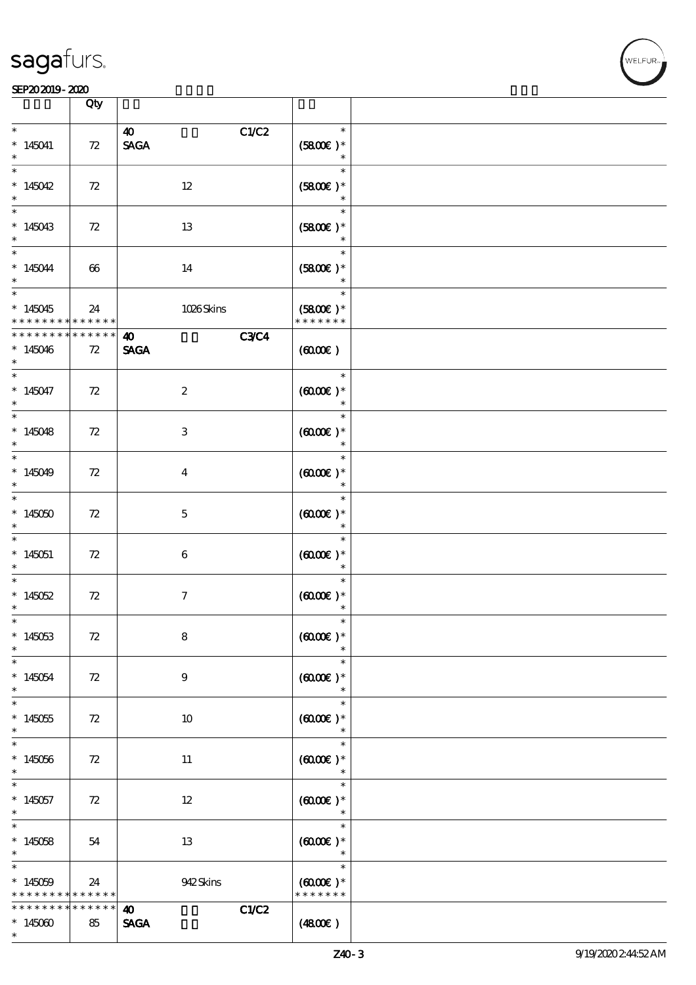|                                                 | Qty                 |                                                                  |                                                 |  |
|-------------------------------------------------|---------------------|------------------------------------------------------------------|-------------------------------------------------|--|
|                                                 |                     |                                                                  |                                                 |  |
| $\ast$<br>$*145041$<br>$\ast$                   | 72                  | C1/C2<br>$\boldsymbol{\omega}$<br>$\operatorname{\mathsf{SAGA}}$ | $\ast$<br>$(5800)$ *<br>$\ast$                  |  |
| $\ast$<br>* $145042$                            | 72                  | $12\,$                                                           | $\ast$<br>$(5800)$ *<br>$\ast$                  |  |
| $\ast$<br>$*145043$                             | 72                  | 13                                                               | $\ast$<br>$(5800)$ *<br>$\ast$                  |  |
| $\overline{\phantom{0}}$<br>$*145044$           | 66                  | 14                                                               | $\ast$<br>$(5800)$ *<br>$\ast$                  |  |
| $*145045$<br>* * * * * * * *                    | 24<br>* * * * * *   | 1026Skins                                                        | $\ast$<br>$(5800)$ *<br>* * * * * * *           |  |
| * * * * * * *<br>$*145046$<br>$\ast$            | * * * * *<br>72     | <b>C3C4</b><br>$\boldsymbol{\omega}$<br><b>SAGA</b>              | (6000)                                          |  |
| $\overline{\phantom{0}}$<br>$*145047$<br>$\ast$ | 72                  | $\boldsymbol{2}$                                                 | $\ast$<br>$(6000)$ *<br>$\ast$                  |  |
| $\ast$<br>$*145048$<br>$\ast$                   | 72                  | $\ensuremath{\mathbf{3}}$                                        | $\ast$<br>$(000E)*$<br>$\ast$                   |  |
| $\ast$<br>$*145049$<br>$\ast$                   | 72                  | $\overline{\mathbf{4}}$                                          | $\ast$<br>$(6000)$ *<br>$\ast$                  |  |
| $\overline{\ast}$<br>$*145050$<br>$\ast$        | 72                  | $\mathbf 5$                                                      | $\ast$<br>$(6000\varepsilon)*$<br>$\ast$        |  |
| $\ast$<br>$*145051$<br>$\ast$                   | 72                  | $\boldsymbol{6}$                                                 | $\ast$<br>$(6000\varepsilon)*$<br>$\ast$        |  |
| $\ast$<br>$*145052$<br>$\ast$                   | 72                  | $\tau$                                                           | $\ast$<br>$(0,0000)$ *                          |  |
| $\ast$<br>$*145053$<br>$\ast$                   | 72                  | ${\bf 8}$                                                        | $(6000)$ *                                      |  |
| $\ast$<br>$*145054$<br>$\ast$                   | 72                  | $\boldsymbol{9}$                                                 | $\ast$<br>$(6000\varepsilon)*$<br>$\ast$        |  |
| $\ast$<br>$*145055$<br>$\ast$                   | 72                  | $10\,$                                                           | $\ast$<br>$(0,000)$ *<br>$\ast$                 |  |
| $\ast$<br>$*145056$<br>$\ast$                   | 72                  | 11                                                               | $\ast$<br>$(6000\varepsilon)*$<br>$\ast$        |  |
| $\ast$<br>$*145057$<br>$\ast$                   | 72                  | $12\,$                                                           | $\ast$<br>$(6000\varepsilon)*$<br>$\ast$        |  |
| $\ast$<br>$*145058$<br>$\ast$                   | 54                  | 13                                                               | $\ast$<br>$(6000\varepsilon)*$<br>$\ast$        |  |
| $\ast$<br>$*145059$<br>* * * * * * * *          | 24<br>* * * * * *   | 942Skins                                                         | $\ast$<br>$(6000\varepsilon)*$<br>* * * * * * * |  |
| * * * * * * *<br>$*145000$<br>$\ast$            | $***$ * * * *<br>85 | C1/C2<br>$\boldsymbol{\omega}$<br>$\operatorname{\mathsf{SAGA}}$ | (4800)                                          |  |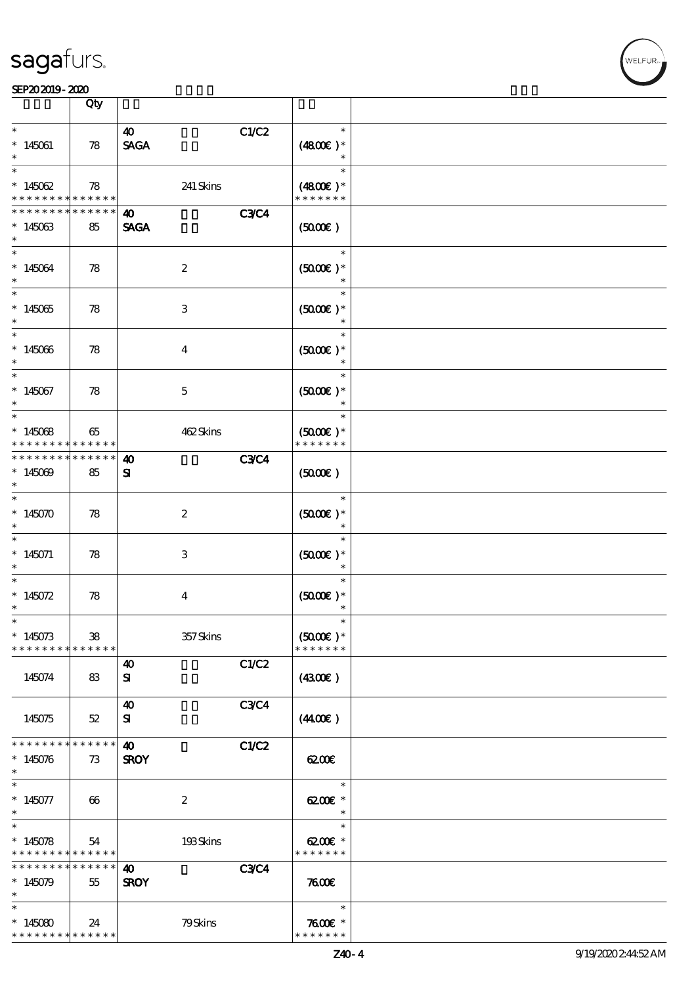|                                                                 | Qty                 |                                      |             |                                                   |  |
|-----------------------------------------------------------------|---------------------|--------------------------------------|-------------|---------------------------------------------------|--|
| $\ast$<br>$*145061$                                             | 78                  | 40<br><b>SAGA</b>                    | C1/C2       | $\ast$<br>$(4800)$ *<br>$\ast$                    |  |
| $\ast$<br>$*145062$<br>* * * * * * * *                          | 78<br>$******$      | 241 Skins                            |             | $\ast$<br>$(4800)$ *<br>* * * * * * *             |  |
| * * * * * * *<br>$*145063$<br>$\ast$                            | * * * * * *<br>85   | $\boldsymbol{\omega}$<br><b>SAGA</b> | <b>C3C4</b> | (5000)                                            |  |
| $\ast$<br>$*145064$<br>$\ast$                                   | 78                  | $\boldsymbol{2}$                     |             | $\ast$<br>$(5000\varepsilon)*$                    |  |
| $\overline{\ast}$<br>$*145065$<br>$\ast$                        | 78                  | 3                                    |             | $\ast$<br>$(5000\varepsilon)*$<br>$\ast$          |  |
| $*$<br>$*145066$<br>$\ast$                                      | 78                  | $\overline{4}$                       |             | $\ast$<br>$(5000)$ *<br>$\ast$                    |  |
| $\ast$<br>$*145067$<br>$\ast$                                   | 78                  | $\mathbf 5$                          |             | $\ast$<br>$(5000\varepsilon)*$<br>$\ast$          |  |
| $*145068$<br>* * * * * * * *                                    | 65<br>* * * * * *   | 462Skins                             |             | $\ast$<br>$(5000\varepsilon)*$<br>* * * * * * *   |  |
| * * * * * * * *<br>$*145009$<br>$\ast$                          | * * * * * *  <br>85 | $\boldsymbol{\omega}$<br>${\bf s}$   | <b>C3C4</b> | $(5000\varepsilon)$                               |  |
| $\ast$<br>$*145070$<br>$\ast$                                   | 78                  | $\boldsymbol{2}$                     |             | $\ast$<br>$(5000\varepsilon)*$<br>$\ast$          |  |
| $\ast$<br>$*145071$                                             | 78                  | 3                                    |             | $\ast$<br>$(5000\varepsilon)*$<br>$\ast$          |  |
| $\ast$<br>* $145072$<br>$\ast$                                  | 78                  | $\overline{4}$                       |             | $\ast$<br>$(5000\varepsilon)*$<br>$\ast$          |  |
| $*145073$<br>* * * * * * * * <mark>* * * * * *</mark>           | 38                  | 357Skins                             |             | $\ast$<br>$(5000)$ *<br>* * * * * * *             |  |
| 145074                                                          | 83                  | 40<br>${\bf s}$                      | C1/C2       | (430E)                                            |  |
| 145075                                                          | $52\,$              | $\boldsymbol{\omega}$<br>${\bf s}$   | <b>C3C4</b> | (440E)                                            |  |
| * * * * * * * *<br>$*145076$<br>$\ast$                          | * * * * * *  <br>73 | $\boldsymbol{\omega}$<br><b>SROY</b> | C1/C2       | 6200E                                             |  |
| $\ast$<br>$*145077$<br>$\ast$                                   | 66                  | $\boldsymbol{2}$                     |             | $\ast$<br>$6200E$ *<br>$\ast$                     |  |
| $\overline{\ast}$<br>$*145078$<br>* * * * * * * * * * * * * *   | 54                  | 193Skins                             |             | $\ast$<br>$6200$ $\varepsilon$ *<br>* * * * * * * |  |
| * * * * * * * *<br>$*145079$<br>$\ast$                          | * * * * * *  <br>55 | $\boldsymbol{\omega}$<br><b>SROY</b> | <b>C3C4</b> | 7600                                              |  |
| $\ast$<br>$*145080$<br>* * * * * * * * <mark>* * * * * *</mark> | 24                  | 79Skins                              |             | $\ast$<br>$7600$ $*$<br>* * * * * * *             |  |

r<br>WELFUR<br>L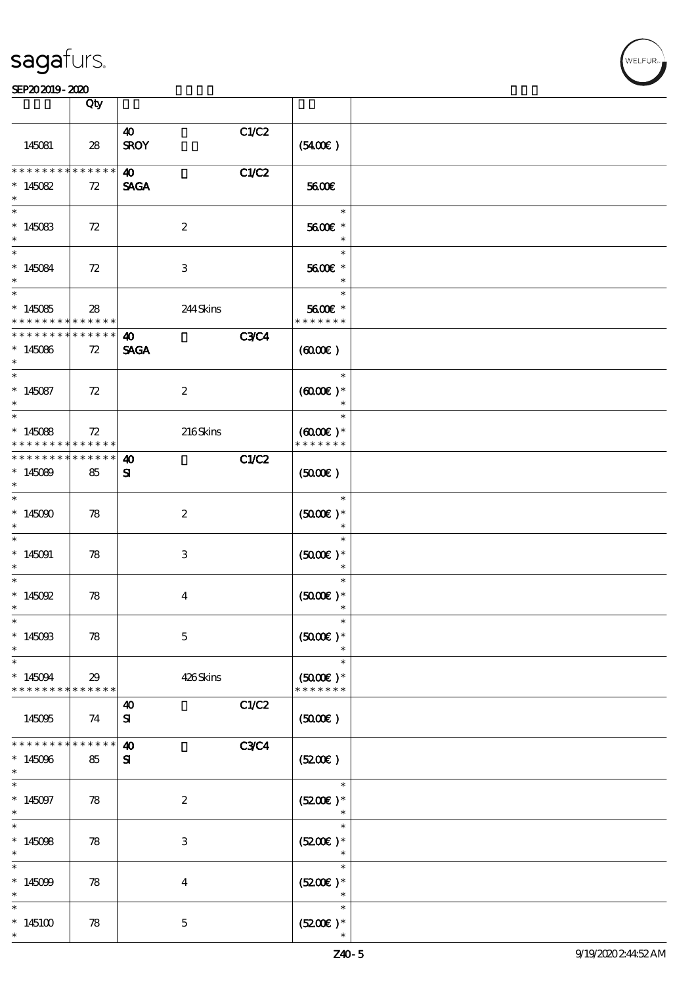| <b>saga</b> furs. |
|-------------------|
|-------------------|

### SEP202019-2020

|                              | Qty                        |                       |             |                                    |  |
|------------------------------|----------------------------|-----------------------|-------------|------------------------------------|--|
|                              |                            | $\boldsymbol{\omega}$ | C1/C2       |                                    |  |
| 145081                       | 28                         | <b>SROY</b>           |             | (5400)                             |  |
| * * * * * * * *              | $******$                   | $\boldsymbol{\omega}$ | C1/C2       |                                    |  |
| $*145082$<br>$\ast$          | 72                         | <b>SAGA</b>           |             | 5600E                              |  |
| $\ast$                       |                            |                       |             | $\ast$                             |  |
| $*145083$                    | 72                         | $\boldsymbol{2}$      |             | 5600€ *<br>$\ast$                  |  |
| $\ast$                       |                            |                       |             | $\ast$                             |  |
| $*145084$                    | 72                         | 3                     |             | 5600€ *<br>$\ast$                  |  |
|                              |                            |                       |             | $\ast$                             |  |
| $*145085$<br>* * * * * * * * | 28<br>* * * * * *          | 244Skins              |             | 5600€ *<br>* * * * * * *           |  |
| * * * * * * *                | * * * * * *                | $\boldsymbol{\omega}$ | <b>C3C4</b> |                                    |  |
| $*145086$<br>$\ast$          | 72                         | <b>SAGA</b>           |             | (6000)                             |  |
| $*$                          |                            |                       |             | $\ast$                             |  |
| $*145087$<br>$\ast$          | 72                         | $\boldsymbol{2}$      |             | $(6000\varepsilon)*$<br>$\ast$     |  |
|                              |                            |                       |             | $\ast$                             |  |
| $*145088$                    | 72                         | 216Skins              |             | $(6000\varepsilon)*$               |  |
| * * * * * * * *              | ******                     |                       |             | * * * * * * *                      |  |
| * * * * * * * *              | * * * * * *                | $\boldsymbol{\omega}$ | C1/C2       |                                    |  |
| $*145089$<br>$\ast$          | 85                         | ${\bf s}$             |             | (5000)                             |  |
| $\ast$                       |                            |                       |             | $\ast$                             |  |
| $*145000$<br>$\ast$          | 78                         | $\boldsymbol{z}$      |             | $(5000\varepsilon)*$<br>$\ast$     |  |
| $\ast$                       |                            |                       |             | $\ast$                             |  |
| $*145091$                    | 78                         | 3                     |             | $(5000\text{E})*$                  |  |
| $\ast$<br>$\ast$             |                            |                       |             | $\ast$<br>$\ast$                   |  |
| $* 145092$                   | 78                         | $\overline{4}$        |             | $(5000)$ *                         |  |
| $\ast$<br>$\ast$             |                            |                       |             |                                    |  |
|                              |                            |                       |             |                                    |  |
| $*145093$<br>$\ast$          | 78                         | $\mathbf 5$           |             | $(5000)$ *                         |  |
| $\ast$                       |                            |                       |             | $\ast$                             |  |
| $*145094$<br>* * * * * * * * | 29<br>* * * * * *          | 426Skins              |             | $(5000\text{E})*$<br>* * * * * * * |  |
|                              |                            | $\boldsymbol{\omega}$ | C1/C2       |                                    |  |
| 145095                       | 74                         | ${\bf s}$             |             | (5000)                             |  |
| * * * * * * * *              | * * * * * *                | $\boldsymbol{\omega}$ | <b>C3C4</b> |                                    |  |
| $*145096$<br>$\ast$          | 85                         | ${\bf s}$             |             | (5200)                             |  |
| $\ast$                       |                            |                       |             | $\ast$                             |  |
| $*145097$<br>$\ast$          | 78                         | $\boldsymbol{2}$      |             | $(5200)$ *<br>$\ast$               |  |
| $\ast$                       |                            |                       |             | $\ast$                             |  |
| $*145098$<br>$\ast$          | 78                         | 3                     |             | $(5200)$ *<br>$\ast$               |  |
| $\ast$                       |                            |                       |             | $\ast$                             |  |
| $*145099$<br>$\ast$          | 78                         | $\bf{4}$              |             | $(5200)$ *<br>$\ast$               |  |
| $\ast$                       |                            |                       |             | $\ast$                             |  |
| * $145100$<br>$\ast$         | $\boldsymbol{\mathcal{R}}$ | $\mathbf{5}$          |             | $(5200)$ *                         |  |
|                              |                            |                       |             |                                    |  |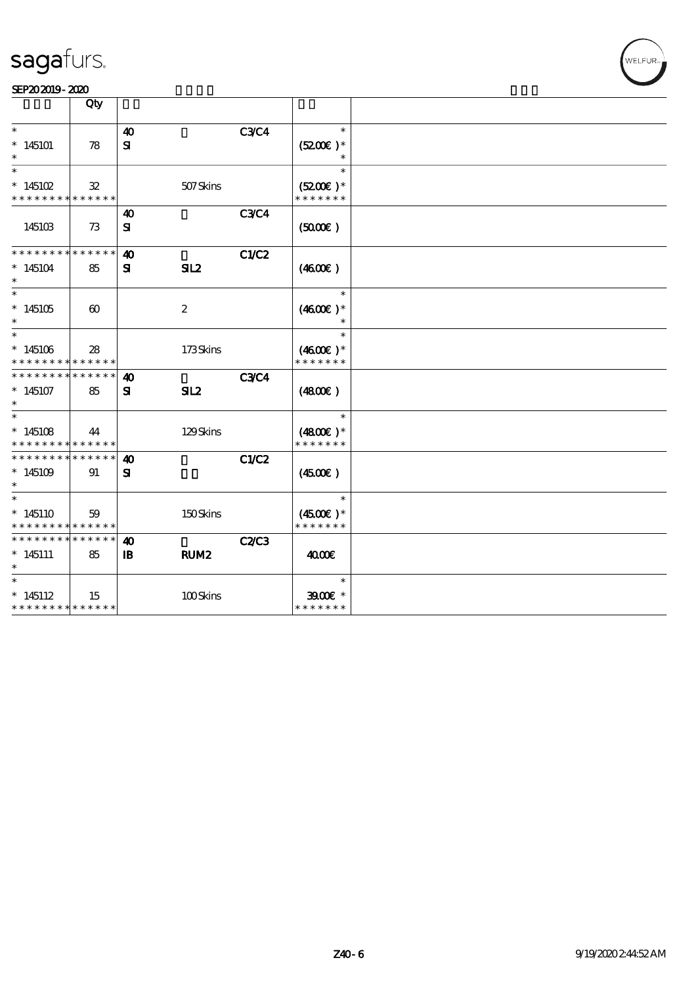|                                                       | Qty                   |                       |                  |              |                             |  |
|-------------------------------------------------------|-----------------------|-----------------------|------------------|--------------|-----------------------------|--|
| $\ast$                                                |                       | $\boldsymbol{\omega}$ |                  | <b>C3C4</b>  | $\ast$                      |  |
| $*145101$<br>$\ast$                                   | 78                    | ${\bf s}$             |                  |              | $(5200)$ *<br>$\ast$        |  |
| $\ast$                                                |                       |                       |                  |              | $\ast$                      |  |
| $*145102$<br>* * * * * * * * * * * * * *              | $32\,$                |                       | 507Skins         |              | $(5200)$ *<br>* * * * * * * |  |
|                                                       |                       | $\boldsymbol{\omega}$ |                  | <b>C3C4</b>  |                             |  |
| 145103                                                | 73                    | ${\bf S}$             |                  |              | (5000)                      |  |
| * * * * * * * * * * * * * *                           |                       | $\boldsymbol{\omega}$ |                  | C1/C2        |                             |  |
| $*145104$<br>$\ast$                                   | 85                    | ${\bf s}$             | SL2              |              | (460E)                      |  |
| $\ast$                                                |                       |                       |                  |              | $\ast$                      |  |
| $*145105$<br>$\ast$                                   | $\boldsymbol{\omega}$ |                       | $\boldsymbol{2}$ |              | $(4600E)*$                  |  |
| $\ast$                                                |                       |                       |                  |              | $\ast$                      |  |
| $*145106$<br>* * * * * * * * <mark>* * * * * *</mark> | 28                    |                       | 173Skins         |              | $(4600E)*$<br>* * * * * * * |  |
| * * * * * * * *                                       | * * * * * *           | $\boldsymbol{\omega}$ |                  | <b>C3C4</b>  |                             |  |
| $*145107$<br>$\ast$                                   | 85                    | ${\bf s}$             | SL2              |              | (4800)                      |  |
| $\ast$                                                |                       |                       |                  |              | $\ast$                      |  |
| $*145108$<br>* * * * * * * * * * * * * *              | 44                    |                       | 129Skins         |              | $(4800)$ *<br>* * * * * * * |  |
| * * * * * * * *                                       | * * * * * *           | $\boldsymbol{\omega}$ |                  | C1/C2        |                             |  |
| $*145109$<br>$\ast$                                   | 91                    | ${\bf s}$             |                  |              | $(4500\varepsilon)$         |  |
| $\ast$                                                |                       |                       |                  |              | $\ast$                      |  |
| $*145110$<br>* * * * * * * * * * * * * *              | 59                    |                       | 150Skins         |              | $(4500)$ *<br>* * * * * * * |  |
| * * * * * * * *                                       | * * * * * *           | 40                    |                  | <b>C2/C3</b> |                             |  |
| $* 145111$<br>$\ast$                                  | 85                    | $\mathbf{B}$          | RUM <sub>2</sub> |              | 4000€                       |  |
| $\ast$                                                |                       |                       |                  |              | $\ast$                      |  |
| $*145112$<br>* * * * * * * * * * * * * *              | 15                    |                       | 100Skins         |              | $3900$ $*$<br>* * * * * * * |  |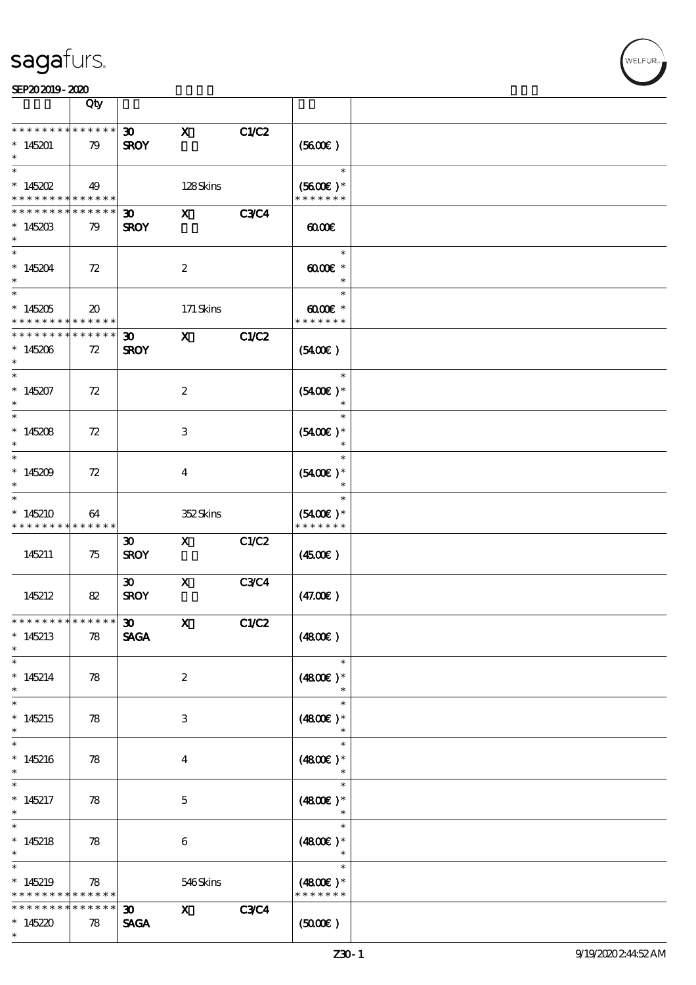|                                                    | Qty                                            |                                            |                           |             |                                          |  |
|----------------------------------------------------|------------------------------------------------|--------------------------------------------|---------------------------|-------------|------------------------------------------|--|
| * * * * * * * *<br>$*145201$                       | * * * * * *<br>79                              | $\boldsymbol{\mathfrak{D}}$<br><b>SROY</b> | $\boldsymbol{\mathrm{X}}$ | C1/C2       | (5600)                                   |  |
| $\overline{\ast}$<br>$* 145202$<br>* * * * * * * * | 49<br>$* * * * * * *$                          |                                            | 128Skins                  |             | $\ast$<br>$(5600)$ *<br>* * * * * * *    |  |
| * * * * * * * *<br>$*145203$<br>$\ast$             | * * * * * *  <br>79                            | $\boldsymbol{\mathfrak{D}}$<br><b>SROY</b> | $\mathbf{x}$              | <b>C3C4</b> | 0000                                     |  |
| $\ast$<br>$*145204$<br>$\ast$                      | 72                                             |                                            | $\boldsymbol{2}$          |             | $\ast$<br>$\omega$ occ $*$<br>$\ast$     |  |
| $\overline{\ast}$<br>$*145205$<br>* * * * * * * *  | $\boldsymbol{\mathfrak{D}}$<br>$* * * * * * *$ |                                            | 171 Skins                 |             | $\ast$<br>$6000 \times$<br>* * * * * * * |  |
| * * * * * * * *<br>$*145206$<br>$\ast$             | * * * * * *  <br>72                            | $\boldsymbol{\mathfrak{D}}$<br><b>SROY</b> | $\mathbf{x}$              | C1/C2       | (5400)                                   |  |
| $\ast$<br>$*145207$<br>$\ast$                      | 72                                             |                                            | $\boldsymbol{2}$          |             | $\ast$<br>$(5400)$ *<br>$\ast$           |  |
| $*145208$<br>$\ast$                                | 72                                             |                                            | 3                         |             | $\ast$<br>$(5400)$ *<br>$\ast$           |  |
| $\overline{\ast}$<br>$*145209$<br>$\ast$           | 72                                             |                                            | $\bf{4}$                  |             | $\ast$<br>$(5400)$ *<br>$\ast$           |  |
| $\ast$<br>$*145210$<br>* * * * * * * *             | 64<br>* * * * * *                              |                                            | 352Skins                  |             | $(5400)$ *<br>* * * * * * *              |  |
| 145211                                             | 75                                             | $\boldsymbol{\mathfrak{D}}$<br><b>SROY</b> | $\mathbf{X}$              | C1/C2       | (450)                                    |  |
| 145212                                             | 82                                             | $\boldsymbol{\mathfrak{D}}$<br><b>SROY</b> | $\mathbf X$               | <b>C3C4</b> | (47.00)                                  |  |
| *************** 30<br>$*145213$<br>$\ast$          | 78                                             | <b>SAGA</b>                                | $\mathbf{x}$              | CLC2        | (4800)                                   |  |
| $\ast$<br>$*145214$<br>$\ast$                      | 78                                             |                                            | $\boldsymbol{2}$          |             | $\ast$<br>$(4800)$ *<br>$\ast$           |  |
| $\ast$<br>$*145215$<br>$\ast$                      | 78                                             |                                            | 3                         |             | $\ast$<br>$(4800)$ *<br>$\ast$           |  |
| $\ast$<br>$*145216$<br>$\ast$                      | 78                                             |                                            | $\overline{4}$            |             | $\ast$<br>$(4800)$ *                     |  |
| $\ast$<br>$*145217$<br>$\ast$                      | 78                                             |                                            | $\mathbf{5}$              |             | $\ast$<br>$(4800)$ *<br>$\ast$           |  |
| $\ast$<br>$*145218$<br>$\ast$                      | 78                                             |                                            | $\boldsymbol{6}$          |             | $\ast$<br>$(4800)$ *<br>$\ast$           |  |
| $\ast$<br>$*145219$<br>* * * * * * * *             | 78<br>* * * * * *                              |                                            | 546Skins                  |             | $\ast$<br>$(4800)$ *<br>* * * * * * *    |  |
| * * * * * * *<br>$*145220$<br>$\ast$               | * * * * * *<br>78                              | $30 -$<br><b>SAGA</b>                      | $\mathbf{x}$              | <b>C3C4</b> | $(5000\varepsilon)$                      |  |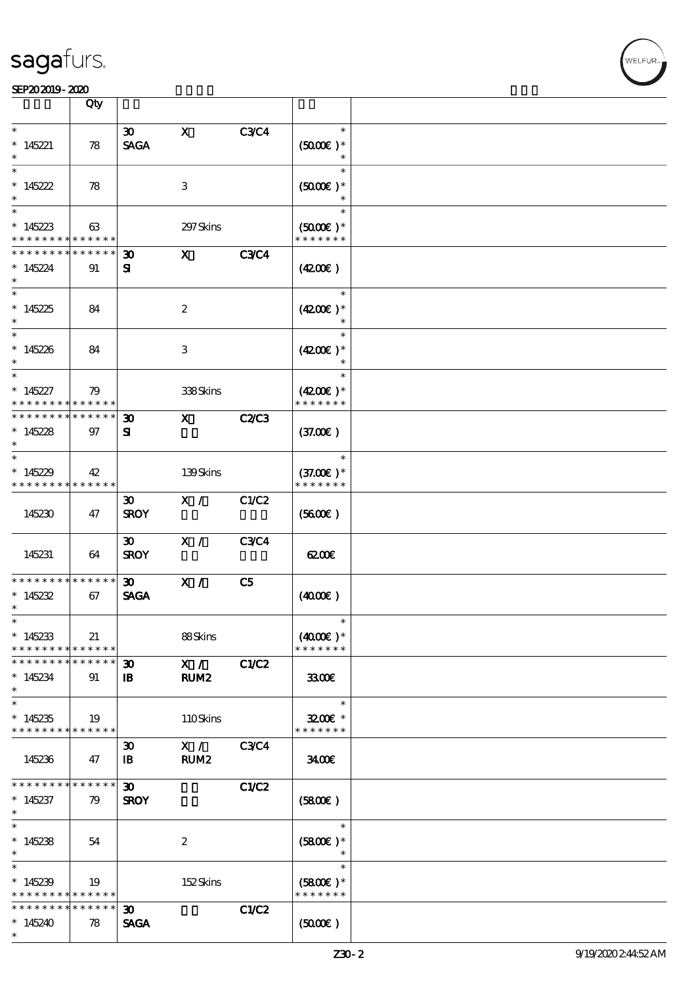|                                    | Qty                        |                             |                  |                |                              |  |
|------------------------------------|----------------------------|-----------------------------|------------------|----------------|------------------------------|--|
| $\ast$                             |                            | $\infty$                    | $\mathbf x$      | <b>C3C4</b>    | $\ast$                       |  |
| $*145221$                          | 78                         | <b>SAGA</b>                 |                  |                | $(5000\text{E})$ *           |  |
|                                    |                            |                             |                  |                | $\ast$                       |  |
| $\ast$                             |                            |                             |                  |                | $\ast$                       |  |
| * $145222$                         | 78                         |                             | 3                |                | $(5000\text{E})$ *           |  |
| $\ast$                             |                            |                             |                  |                | $\ast$                       |  |
| $\overline{\ast}$                  |                            |                             |                  |                | $\ast$                       |  |
| $*145223$                          | 63                         |                             | 297 Skins        |                | $(5000)$ *                   |  |
| * * * * * * * *                    | * * * * * *                |                             |                  |                | * * * * * * *                |  |
| * * * * * * *                      | * * * * * *                | $\boldsymbol{\mathfrak{D}}$ | $\mathbf{x}$     | <b>C3C4</b>    |                              |  |
| $*145224$                          | 91                         | ${\bf s}$                   |                  |                | (420)                        |  |
| $\ast$                             |                            |                             |                  |                | $\ast$                       |  |
|                                    |                            |                             |                  |                |                              |  |
| $*145225$<br>$*$                   | 84                         |                             | $\boldsymbol{z}$ |                | $(4200)$ *<br>$\ast$         |  |
|                                    |                            |                             |                  |                | $\ast$                       |  |
| $*145226$                          | 84                         |                             | 3                |                | $(4200)$ *                   |  |
| $\ast$                             |                            |                             |                  |                | $\ast$                       |  |
| $\ast$                             |                            |                             |                  |                | $\ast$                       |  |
| $*145227$                          | 79                         |                             | 338Skins         |                | $(4200)$ *                   |  |
| * * * * * * * *                    | * * * * * *                |                             |                  |                | * * * * * * *                |  |
| * * * * * * * *                    | * * * * * *                | $\boldsymbol{\mathfrak{D}}$ | $\mathbf{x}$     | <b>C2/C3</b>   |                              |  |
| $*145228$                          | 97                         | ${\bf s}$                   |                  |                | (37.00)                      |  |
| $\ast$                             |                            |                             |                  |                |                              |  |
| $\ast$                             |                            |                             |                  |                | $\ast$                       |  |
| $*145229$                          | 42                         |                             | 139Skins         |                | $(37.00)$ *<br>* * * * * * * |  |
| * * * * * * * *                    | * * * * * *                |                             |                  |                |                              |  |
|                                    |                            | $\boldsymbol{\mathfrak{D}}$ | X /              | C1/C2          |                              |  |
| 145230                             | 47                         | <b>SROY</b>                 |                  |                | (5600)                       |  |
|                                    |                            | $\boldsymbol{\mathfrak{D}}$ | X /              | <b>C3C4</b>    |                              |  |
| 145231                             | 64                         | <b>SROY</b>                 |                  |                | 6200                         |  |
|                                    |                            |                             |                  |                |                              |  |
| * * * * * * * *                    | * * * * * *                | $\boldsymbol{\mathfrak{D}}$ | X /              | C <sub>5</sub> |                              |  |
| $*145232$                          | 67                         | <b>SAGA</b>                 |                  |                | (400E)                       |  |
| $\ast$                             |                            |                             |                  |                |                              |  |
| $\ast$                             |                            |                             |                  |                | $\ast$                       |  |
| $*145233$                          | 21                         |                             | 88Skins          |                | $(4000)$ *<br>* * * * * * *  |  |
| * * * * * * * *<br>* * * * * * * * | * * * * * *<br>* * * * * * | 30 <sub>o</sub>             | X /              | C1/C2          |                              |  |
| $*145234$                          | 91                         | $\mathbf{B}$                | RUM2             |                | 3300                         |  |
| $\ast$                             |                            |                             |                  |                |                              |  |
| $\ast$                             |                            |                             |                  |                | $\ast$                       |  |
| $*145235$                          | 19                         |                             | 110Skins         |                | $3200$ $*$                   |  |
| * * * * * * * * * * * * * *        |                            |                             |                  |                | * * * * * * *                |  |
|                                    |                            | $\boldsymbol{\mathfrak{D}}$ | X /              | <b>C3C4</b>    |                              |  |
| 145236                             | 47                         | $\mathbf{B}$                | RUM <sub>2</sub> |                | 3400                         |  |
|                                    |                            |                             |                  |                |                              |  |
| * * * * * * * *                    | * * * * * *                | $\boldsymbol{\mathfrak{D}}$ |                  | C1/C2          |                              |  |
| $*145237$                          | 79                         | <b>SROY</b>                 |                  |                | (5800)                       |  |
| $*$<br>$\overline{\phantom{0}}$    |                            |                             |                  |                | $\ast$                       |  |
| $*145238$                          | 54                         |                             | $\boldsymbol{2}$ |                | $(5800)$ *                   |  |
| $\ast$                             |                            |                             |                  |                | $\ast$                       |  |
| $\ast$                             |                            |                             |                  |                | $\ast$                       |  |
| $*145239$                          | 19                         |                             | 152Skins         |                | $(5800)$ *                   |  |
| * * * * * * * *                    | * * * * * *                |                             |                  |                | * * * * * * *                |  |
| * * * * * * * *                    | * * * * * *                | 30 <sub>o</sub>             |                  | C1/C2          |                              |  |
| $*145240$                          | 78                         | <b>SAGA</b>                 |                  |                | $(5000\varepsilon)$          |  |
| $\ast$                             |                            |                             |                  |                |                              |  |

**VELFUR**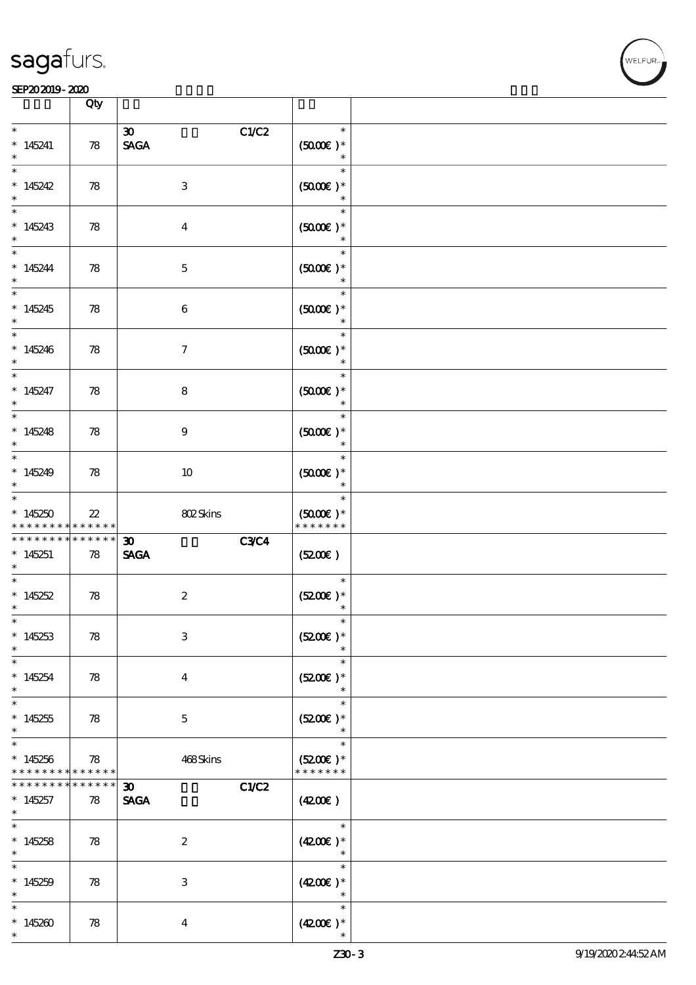

|                                          | Qty                   |                                                     |                                                 |  |
|------------------------------------------|-----------------------|-----------------------------------------------------|-------------------------------------------------|--|
| $\ast$<br>$*145241$<br>$\ast$            | 78                    | C1/C2<br>$\boldsymbol{\mathfrak{D}}$<br><b>SAGA</b> | $\ast$<br>$(5000)$ *<br>$\ast$                  |  |
| $\ast$<br>$*145242$<br>$\ast$            | 78                    | $\,3$                                               | $\ast$<br>$(5000\varepsilon)*$<br>$\ast$        |  |
| $\ast$<br>$*145243$<br>$\ast$            | 78                    | $\boldsymbol{4}$                                    | $\ast$<br>$(5000\varepsilon)*$<br>$\ast$        |  |
| $\ast$<br>$*145244$<br>$\ast$            | 78                    | $\mathbf 5$                                         | $\ast$<br>$(5000)$ *                            |  |
| $\overline{\ast}$<br>$*145245$<br>$\ast$ | 78                    | $\boldsymbol{6}$                                    | $\ast$<br>$(5000)$ *<br>$\ast$                  |  |
| $\ast$<br>$*145246$<br>$\ast$            | 78                    | $\boldsymbol{\tau}$                                 | $\ast$<br>$(5000)$ *<br>$\ast$                  |  |
| $\ast$<br>$*145247$<br>$\ast$            | 78                    | 8                                                   | $\ast$<br>$(5000\varepsilon)*$<br>$\ast$        |  |
| $\ast$<br>$*145248$<br>$\ast$            | 78                    | $9\phantom{.0}$                                     | $\ast$<br>$(5000\varepsilon)*$<br>$\ast$        |  |
| $\ast$<br>$*145249$<br>$\ast$            | 78                    | 10                                                  | $\ast$<br>$(5000)$ *<br>$\ast$                  |  |
| $\ast$<br>$*145250$<br>* * * * * * * *   | $2\!2$<br>* * * * * * | 802Skins                                            | $\ast$<br>$(5000\varepsilon)*$<br>* * * * * * * |  |
| * * * * * * * *                          | $******$              | <b>C3C4</b><br>$\boldsymbol{\mathfrak{D}}$          |                                                 |  |
| $*145251$<br>$\ast$                      | 78                    | <b>SAGA</b>                                         | (5200)                                          |  |
| $\ast$<br>$*145252$<br>$\ast$            | 78                    | $\boldsymbol{2}$                                    | $\ast$<br>$(5200)$ *<br>$\ast$                  |  |
| $\ast$<br>$*145253$<br>$\ast$            | 78                    | $\,3$                                               | $\ast$<br>$(5200)$ *                            |  |
| $\ast$<br>$*145254$<br>$\ast$            | 78                    | $\overline{4}$                                      | $\ast$<br>$(5200)$ *<br>$\ast$                  |  |
| $\ast$<br>$*145255$<br>$\ast$            | 78                    | $\mathbf{5}$                                        | $\ast$<br>$(5200)$ *<br>$\ast$                  |  |
| $\ast$<br>$*145256$<br>* * * * * * * *   | 78<br>* * * * * *     | 468Skins                                            | $\ast$<br>$(5200)$ *<br>* * * * * * *           |  |
| * * * * * * *<br>$*145257$               | * * * * * *<br>78     | C1/C2<br>$\boldsymbol{\mathfrak{D}}$<br><b>SAGA</b> | (4200)                                          |  |
| $\ast$<br>$\ast$<br>$*145258$<br>$\ast$  | 78                    | $\boldsymbol{2}$                                    | $\ast$<br>$(4200)$ *<br>$\ast$                  |  |
| $\ast$<br>$*145259$<br>$\ast$            | 78                    | $\,3$                                               | $\ast$<br>$(4200\text{E})*$<br>$\ast$           |  |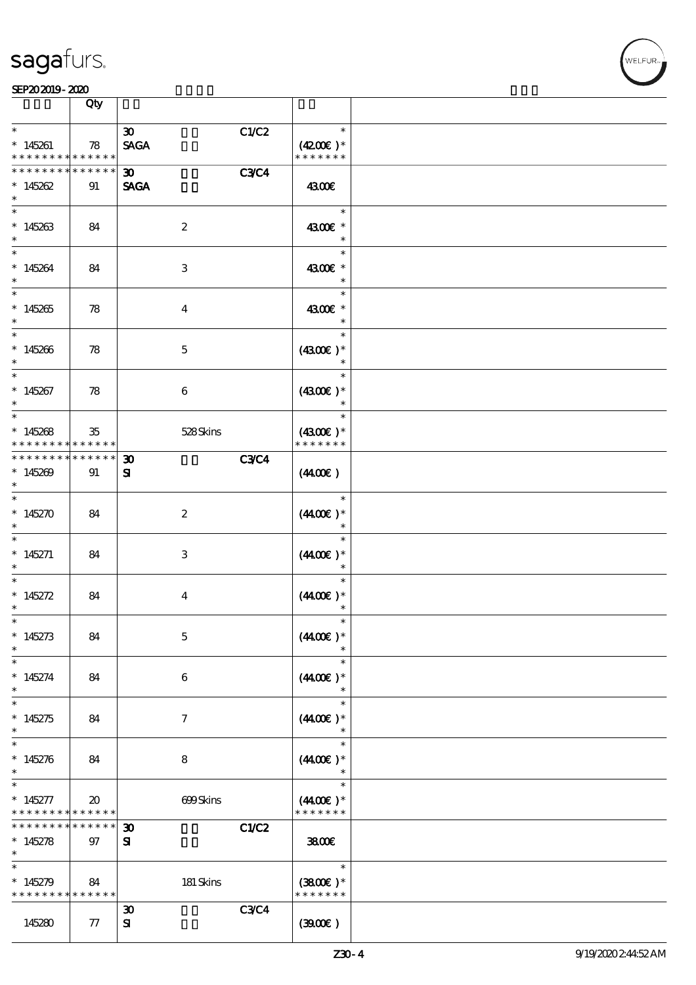

|                                                         | Qty                                        |                                          |             |                             |  |
|---------------------------------------------------------|--------------------------------------------|------------------------------------------|-------------|-----------------------------|--|
| $\ast$                                                  |                                            | $\boldsymbol{\mathfrak{D}}$              | C1/C2       | $\ast$                      |  |
| $*145261$<br>* * * * * * * * <mark>* * * * * * *</mark> | 78                                         | <b>SAGA</b>                              |             | $(4200)$ *<br>* * * * * * * |  |
| * * * * * * * *                                         | * * * * * *                                | $30-1$                                   | <b>C3C4</b> |                             |  |
| $*145262$<br>$\ast$                                     | 91                                         | <b>SAGA</b>                              |             | 4300€                       |  |
| $\ast$                                                  |                                            |                                          |             | $\ast$                      |  |
| $*145263$<br>$\ast$                                     | 84                                         | $\boldsymbol{2}$                         |             | 4300€ *                     |  |
| $\ast$                                                  |                                            |                                          |             | $\ast$                      |  |
| $*145264$<br>$\ast$                                     | 84                                         | 3                                        |             | 4300€ *<br>$\ast$           |  |
| $\overline{\ast}$                                       |                                            |                                          |             | $\ast$                      |  |
| $*145265$<br>$\ast$                                     | 78                                         | $\boldsymbol{4}$                         |             | 4300€ *<br>$\ast$           |  |
| $\ast$                                                  |                                            |                                          |             | $\ast$                      |  |
| $*145266$<br>$\ast$                                     | 78                                         | $\mathbf{5}$                             |             | $(4300)$ *<br>$\ast$        |  |
| $\ast$                                                  |                                            |                                          |             | $\ast$                      |  |
| $*145267$<br>$\ast$                                     | 78                                         | $\boldsymbol{6}$                         |             | $(4300)$ *<br>$\ast$        |  |
| $\ast$                                                  |                                            |                                          |             | $\ast$                      |  |
| $*145268$                                               | 35                                         | 528Skins                                 |             | $(4300)$ *                  |  |
| * * * * * * * *                                         | * * * * * *                                |                                          |             | * * * * * * *               |  |
| * * * * * * *<br>$*145209$<br>$\ast$                    | $******$<br>91                             | $\boldsymbol{\mathfrak{D}}$<br>${\bf s}$ | <b>C3C4</b> | (440E)                      |  |
| $\ast$<br>$*145270$                                     | 84                                         | $\boldsymbol{2}$                         |             | $\ast$<br>$(440E)^*$        |  |
| $\ast$                                                  |                                            |                                          |             |                             |  |
| $\ast$<br>$*145271$                                     | 84                                         | 3                                        |             | $\ast$<br>$(440E)^*$        |  |
| $\ast$                                                  |                                            |                                          |             |                             |  |
| $\ast$<br>$* 145272$                                    | 84                                         | $\bf{4}$                                 |             | $\ast$<br>$(440E)$ *        |  |
| $\ast$                                                  |                                            |                                          |             | $\ast$                      |  |
| $*$<br>$*145273$                                        | 84                                         | $\mathbf 5$                              |             | $\ast$<br>$(440E)^*$        |  |
| $\ast$                                                  |                                            |                                          |             |                             |  |
| $\ast$                                                  |                                            |                                          |             | $\ast$                      |  |
| $* 145274$<br>$\ast$                                    | 84                                         | 6                                        |             | $(440E)^*$<br>$\ast$        |  |
| $\ast$                                                  |                                            |                                          |             | $\ast$                      |  |
| $*145275$<br>$\ast$                                     | 84                                         | $\tau$                                   |             | $(4400)$ *                  |  |
| $\ast$                                                  |                                            |                                          |             | $\ast$                      |  |
| $*145276$<br>$\ast$                                     | 84                                         | 8                                        |             | $(440E)$ *                  |  |
| $\ast$                                                  |                                            |                                          |             | $\ast$                      |  |
| $* 145277$<br>* * * * * * * *                           | $\boldsymbol{\mathfrak{D}}$<br>* * * * * * | 699Skins                                 |             | $(440E)^*$<br>* * * * * * * |  |
| * * * * * * *                                           | * * * * * *                                | $\boldsymbol{\mathfrak{D}}$              | C1/C2       |                             |  |
| $*145278$<br>$\ast$                                     | 97                                         | ${\bf s}$                                |             | 3800€                       |  |
| $\ast$                                                  |                                            |                                          |             | $\ast$                      |  |
| $*145279$<br>* * * * * * * * * * * * * *                | 84                                         | 181 Skins                                |             | $(3800)$ *<br>* * * * * * * |  |
|                                                         |                                            | $\boldsymbol{\mathfrak{D}}$              | C3C4        |                             |  |
| 145280                                                  | 77                                         | ${\bf s}$                                |             | (300)                       |  |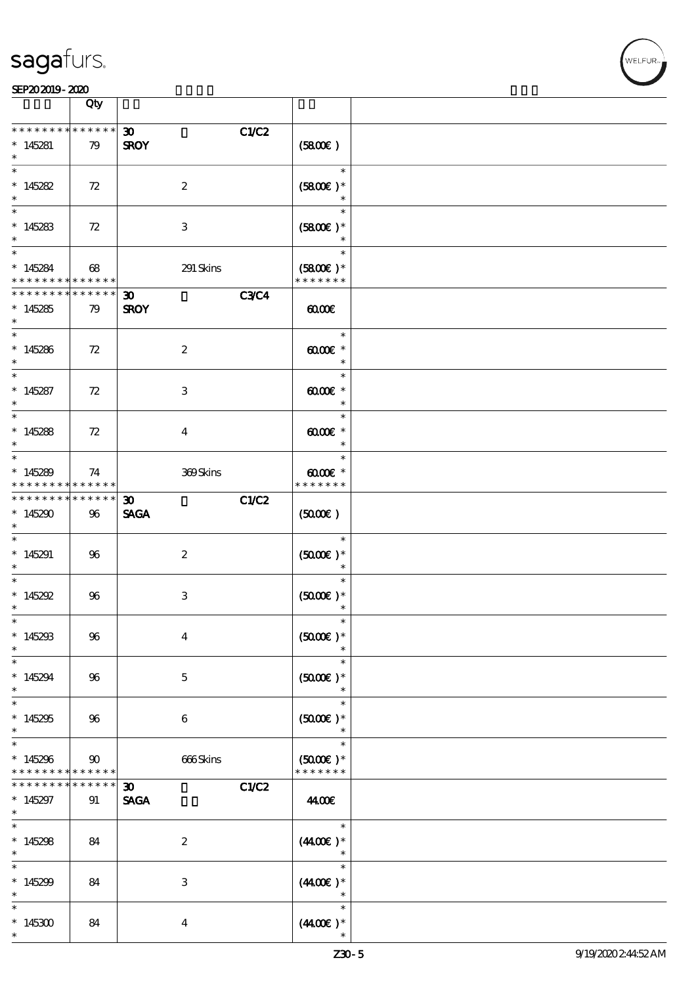VELFUR

|                                                              | Qty                         |                                                     |                                                             |  |
|--------------------------------------------------------------|-----------------------------|-----------------------------------------------------|-------------------------------------------------------------|--|
| * * * * * * * *                                              | $******$                    | C1/C2<br>$\boldsymbol{\mathfrak{D}}$                |                                                             |  |
| $*145281$                                                    | 79                          | <b>SROY</b>                                         | (5800)                                                      |  |
| * $145282$<br>$\ast$                                         | 72                          | $\boldsymbol{2}$                                    | $\ast$<br>$(5800)$ *<br>$\ast$                              |  |
| * 145283                                                     | 72                          | 3                                                   | $\ast$<br>$(5800)$ *                                        |  |
| $*$<br>$*145284$<br>* * * * * * * * <mark>* * * * * *</mark> | 68                          | 291 Skins                                           | $\ast$<br>$(5800)$ *<br>* * * * * * *                       |  |
| **************<br>$*145285$<br>$*$                           | 79                          | <b>C3C4</b><br>30 <sub>1</sub><br><b>SROY</b>       | $\omega$                                                    |  |
| $*145286$<br>$\ast$                                          | 72                          | $\boldsymbol{z}$                                    | $\ast$<br>$\omega$ $\alpha$ $\epsilon$ $*$<br>$\ast$        |  |
| $*145287$<br>$\ast$                                          | 72                          | 3                                                   | $\ast$<br>$0000$ $*$<br>$\ast$                              |  |
| $*145288$<br>$\ast$                                          | 72                          | $\bf{4}$                                            | $\ast$<br>$\omega$ occase $*$<br>$\ast$                     |  |
| $*145289$<br>* * * * * * * *                                 | 74<br>* * * * * *           | 369Skins                                            | $\ast$<br>$\omega$ $\alpha$ $\epsilon$ $*$<br>* * * * * * * |  |
| * * * * * * * *<br>$*145290$<br>$*$                          | $* * * * * * *$<br>96       | C1/C2<br>$\boldsymbol{\mathfrak{D}}$<br><b>SAGA</b> | $(5000\varepsilon)$                                         |  |
| $*145291$<br>$*$                                             | 96                          | $\boldsymbol{z}$                                    | $\ast$<br>$(5000\varepsilon)*$<br>$\ast$                    |  |
| $\ast$<br>* $145292$<br>$\ast$                               | 96                          | $\,3$                                               | $\ast$<br>$(5000\text{E})$ *<br>$\ast$                      |  |
| $*$<br>$*145293$<br>$\ast$                                   | 96                          | $\boldsymbol{4}$                                    | $\ast$<br>$(5000)$ *                                        |  |
| $\ast$<br>$*145294$<br>$\ast$                                | 96                          | $\mathbf{5}$                                        | $\ast$<br>$(5000\varepsilon)*$<br>$\ast$                    |  |
| $*$<br>$*145295$<br>$\ast$                                   | 96                          | $\boldsymbol{6}$                                    | $\ast$<br>$(5000)$ *<br>$\ast$                              |  |
| $\ast$<br>$*145296$<br>* * * * * * * *                       | $90^{\circ}$<br>* * * * * * | 666Skins                                            | $\ast$<br>$(5000\varepsilon)*$<br>* * * * * * *             |  |
| * * * * * * *<br>$*145297$<br>$\ast$                         | * * * * * *<br>91           | C1/C2<br>30 <sub>o</sub><br><b>SAGA</b>             | 44.00€                                                      |  |
| * $145298$<br>$\ast$                                         | 84                          | $\boldsymbol{2}$                                    | $\ast$<br>$(440E)^*$<br>$\ast$                              |  |
| $\ast$<br>$*145299$<br>$\ast$                                | 84                          | 3                                                   | $\ast$<br>$(440E)^*$<br>$\ast$                              |  |
| $\ast$<br>$*145300$<br>$\ast$                                | 84                          | $\bf{4}$                                            | $\ast$<br>$(440E)^*$                                        |  |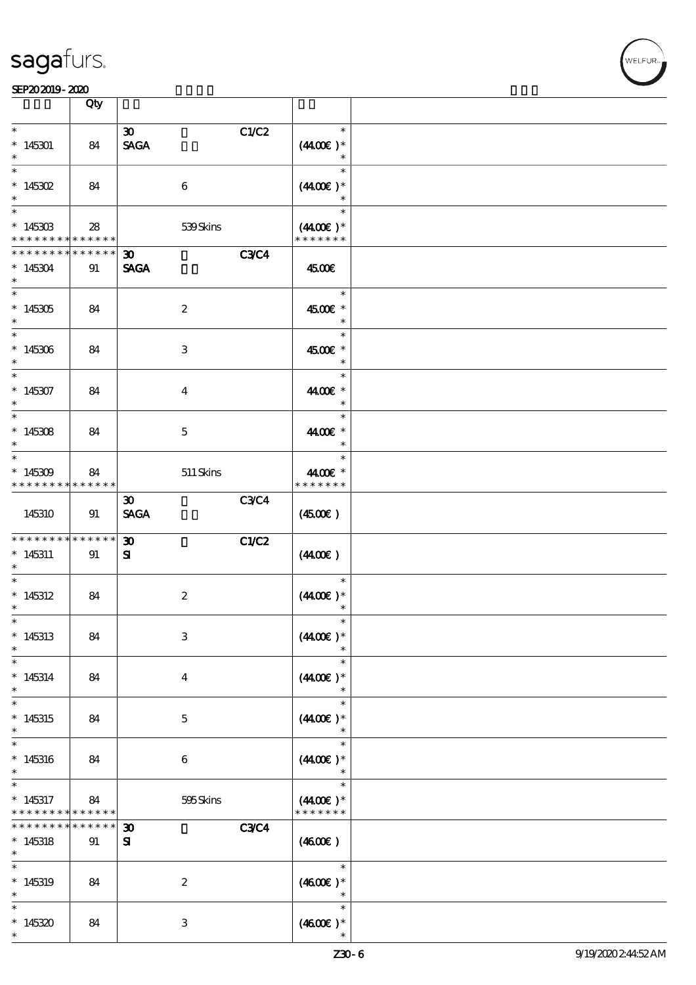**NELFUR** 

|                                                                                   | Qty               |                                                           |                                                 |  |
|-----------------------------------------------------------------------------------|-------------------|-----------------------------------------------------------|-------------------------------------------------|--|
| $\ast$<br>$*145301$<br>$\ast$                                                     | 84                | C1/C2<br>$\boldsymbol{\mathfrak{D}}$<br><b>SAGA</b>       | $\ast$<br>$(440E)^*$<br>$\ast$                  |  |
| $\ast$<br>$* 145302$<br>$\ast$                                                    | 84                | 6                                                         | $\ast$<br>$(440E)^*$<br>$\ast$                  |  |
| $\overline{\phantom{0}}$<br>$*14530B$<br>* * * * * * * * <mark>* * * * * *</mark> | 28                | 539Skins                                                  | $\ast$<br>$(4400\varepsilon)*$<br>* * * * * * * |  |
| * * * * * * * *<br>$*145304$<br>$\ast$                                            | * * * * * *<br>91 | <b>C3C4</b><br>$\boldsymbol{\mathfrak{D}}$<br><b>SAGA</b> | 4500€                                           |  |
| $\overline{\phantom{0}}$<br>$*145305$<br>$\ast$                                   | 84                | $\boldsymbol{2}$                                          | $\ast$<br>4500€ *<br>$\ast$                     |  |
| $\overline{\ast}$<br>$*145306$<br>$\ast$                                          | 84                | 3                                                         | $\ast$<br>4500€ *<br>$\ast$                     |  |
| $\ast$<br>$*145307$<br>$\ast$                                                     | 84                | $\boldsymbol{4}$                                          | $\ast$<br>4400€ *<br>$\ast$                     |  |
| $\ast$<br>$*145308$<br>$\ast$                                                     | 84                | $\mathbf 5$                                               | $\ast$<br>4400€ *<br>$\ast$                     |  |
| $\ast$<br>$*145309$<br>* * * * * * * *                                            | 84<br>* * * * * * | $511$ Skins                                               | $\ast$<br>4400€ *<br>* * * * * * *              |  |
| 145310                                                                            | 91                | <b>C3C4</b><br>$\boldsymbol{\mathfrak{D}}$<br><b>SAGA</b> | $(4500\varepsilon)$                             |  |
| * * * * * * * *<br>$*145311$<br>$\ast$                                            | * * * * * *<br>91 | C1/C2<br>$\boldsymbol{\mathfrak{D}}$<br>${\bf s}$         | (440E)                                          |  |
| $\ast$<br>$*145312$<br>$\ast$                                                     | 84                | $\boldsymbol{2}$                                          | $\ast$<br>$(440E)^*$<br>$\ast$                  |  |
| $*$<br>$*145313$<br>$\ast$                                                        | 84                | $\,3$                                                     | $\ast$<br>$(440E)^*$                            |  |
| $\ast$<br>$* 145314$<br>$\ast$                                                    | 84                | $\boldsymbol{4}$                                          | $\ast$<br>$(440E)^*$<br>$\ast$                  |  |
| $\ast$<br>$*145315$<br>$\ast$                                                     | 84                | $\mathbf 5$                                               | $\ast$<br>$(440E)^*$<br>$\ast$                  |  |
| $\ast$<br>$*145316$<br>$\ast$                                                     | 84                | $\boldsymbol{6}$                                          | $\ast$<br>$(440E)$ *                            |  |
| $\ast$<br>$*145317$<br>* * * * * * * *                                            | 84<br>* * * * * * | 595Skins                                                  | $\ast$<br>$(440E)^*$<br>* * * * * * *           |  |
| * * * * * * *<br>$*145318$<br>$\ast$                                              | * * * * * *<br>91 | <b>C3C4</b><br>$\boldsymbol{\mathfrak{D}}$<br>${\bf s}$   | (460E)                                          |  |
| $\ast$<br>$*145319$<br>$\ast$                                                     | 84                | $\boldsymbol{2}$                                          | $\ast$<br>$(4600E)*$<br>$\ast$                  |  |
| $\ast$<br>$*145320$                                                               | 84                | 3                                                         | $\ast$<br>$(460E)$ *                            |  |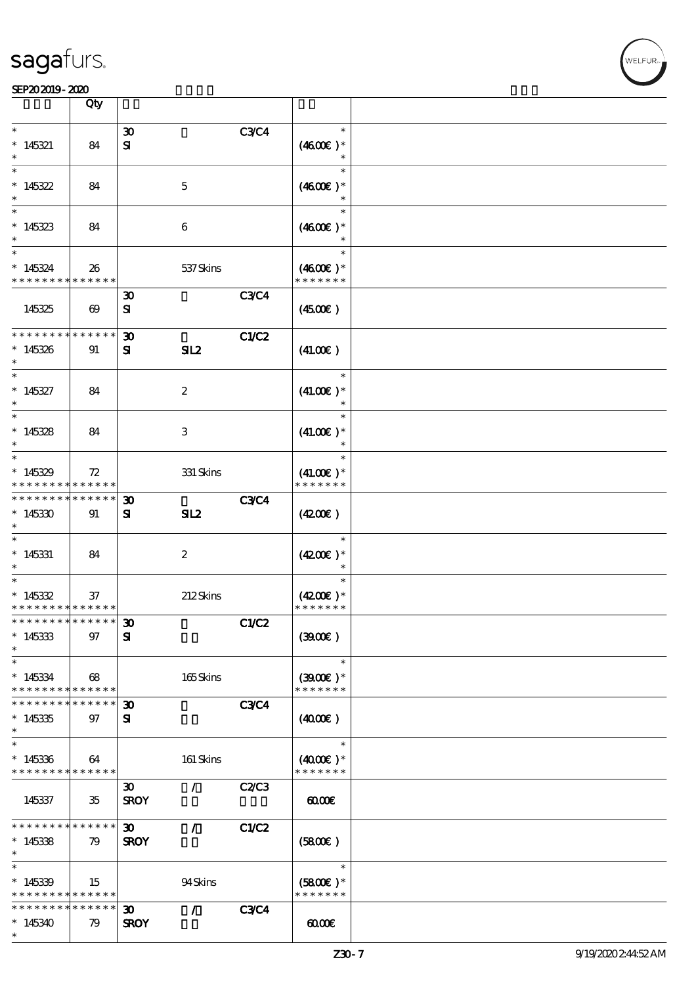|                                                                   | Qty                   |                                            |                  |              |                                        |  |
|-------------------------------------------------------------------|-----------------------|--------------------------------------------|------------------|--------------|----------------------------------------|--|
| $\ast$                                                            |                       | $\boldsymbol{\mathfrak{D}}$                |                  | <b>C3C4</b>  | $\ast$                                 |  |
| $*145321$<br>$\ast$                                               | 84                    | ${\bf s}$                                  |                  |              | $(4600E)*$<br>$\ast$                   |  |
| $\ast$<br>$*145322$<br>$\ast$                                     | 84                    |                                            | $\mathbf 5$      |              | $\ast$<br>$(4600E)*$<br>$\ast$         |  |
| $\ast$<br>$*145323$<br>$\ast$                                     | 84                    |                                            | 6                |              | $\ast$<br>$(4600E)*$                   |  |
| $\ast$<br>$* 145324$<br>* * * * * * * *                           | 26<br>* * * * * *     |                                            | 537 Skins        |              | $\ast$<br>$(4600)$ *<br>* * * * * * *  |  |
| 145325                                                            | $\boldsymbol{\omega}$ | $\boldsymbol{\mathfrak{D}}$<br>${\bf s}$   |                  | <b>C3C4</b>  | (450E)                                 |  |
| * * * * * * * *<br>$*145326$<br>$\ast$                            | * * * * * *<br>91     | $\boldsymbol{\mathfrak{D}}$<br>${\bf s}$   | SL2              | <b>C1/C2</b> | (41.00)                                |  |
| $\ast$<br>$*145327$<br>$\ast$                                     | 84                    |                                            | $\boldsymbol{2}$ |              | $\ast$<br>$(41.00)$ *<br>$\ast$        |  |
| $\ast$<br>$*145328$<br>$\ast$                                     | 84                    |                                            | 3                |              | $\ast$<br>$(41.00)$ *<br>$\ast$        |  |
| $\ast$<br>$*145329$<br>* * * * * * * *                            | 72<br>* * * * * *     |                                            | $331$ Skins      |              | $\ast$<br>$(41.00)$ *<br>* * * * * * * |  |
| * * * * * * *<br>$*145330$<br>$\ast$                              | * * * * * *<br>91     | $\boldsymbol{\mathfrak{D}}$<br>${\bf s}$   | SL2              | <b>C3C4</b>  | (420)                                  |  |
| $\overline{\ast}$<br>$*145331$<br>$\ast$                          | 84                    |                                            | $\boldsymbol{z}$ |              | $\ast$<br>$(4200)$ *<br>$\ast$         |  |
| $\ast$<br>$*145332$<br>* * * * * * * * <mark>* * * * * * *</mark> | 37                    |                                            | 212Skins         |              | $\ast$<br>$(4200)$ *<br>* * * * * * *  |  |
| *************** 30<br>$*145333$<br>$\ast$                         | 97                    | ${\bf s}$                                  |                  | <b>C1/C2</b> | (300)                                  |  |
| $\ast$<br>$*145334$<br>* * * * * * * *                            | 68<br>* * * * * *     |                                            | 165Skins         |              | $\ast$<br>$(3900E)*$<br>* * * * * * *  |  |
| * * * * * * *<br>$*145335$<br>$\ast$                              | * * * * * *<br>97     | $\boldsymbol{\mathfrak{D}}$<br>Я           |                  | <b>C3C4</b>  | (400E)                                 |  |
| $\ast$<br>$*145336$<br>* * * * * * * * * * * * * *                | 64                    |                                            | 161 Skins        |              | $\ast$<br>$(4000)$ *<br>* * * * * * *  |  |
| 145337                                                            | 35                    | 30 <sup>2</sup><br><b>SROY</b>             | $\mathcal{L}$    | C2C3         | $\omega$                               |  |
| * * * * * * * *<br>$*145338$<br>$\ast$                            | $* * * * * * *$<br>79 | $\boldsymbol{\mathfrak{D}}$<br><b>SROY</b> | $\mathcal{L}$    | <b>C1/C2</b> | (5800)                                 |  |
| $\ast$<br>$*145339$<br>* * * * * * * * <mark>* * * * * * *</mark> | 15                    |                                            | 94Skins          |              | $\ast$<br>$(5800)$ *<br>* * * * * * *  |  |
| * * * * * * * *<br>$*145340$<br>$\ast$                            | * * * * * *<br>79     | 30 <sub>o</sub><br><b>SROY</b>             | $\mathcal{L}$    | <b>C3C4</b>  | 0000                                   |  |

T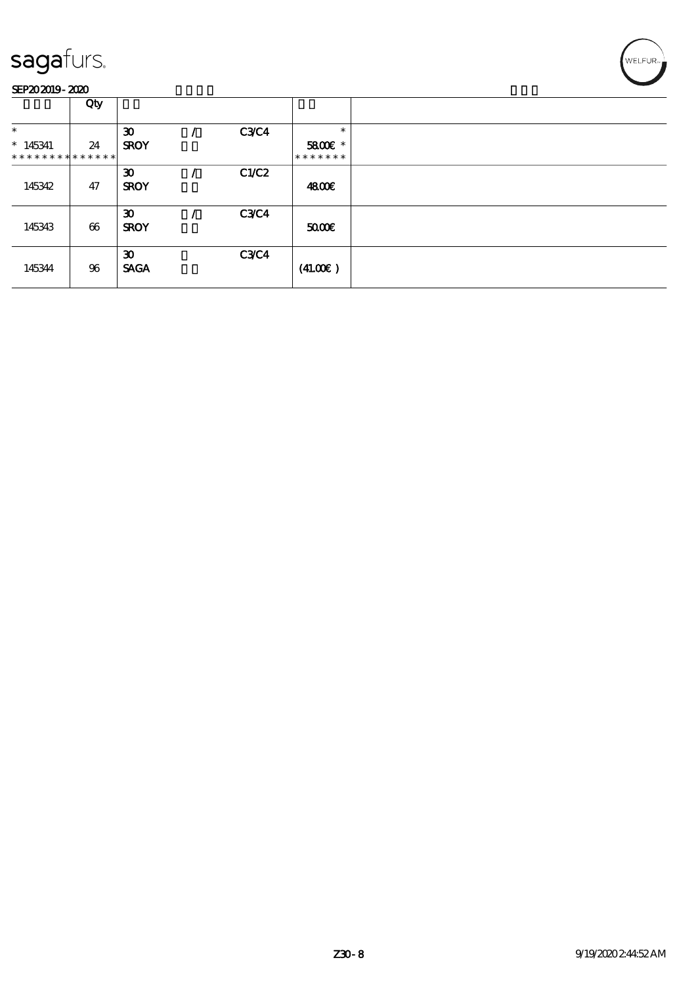

|                               | Qty |                             |             |               |  |
|-------------------------------|-----|-----------------------------|-------------|---------------|--|
| $\ast$                        |     | $\boldsymbol{\mathfrak{D}}$ | C3C4        | $\ast$        |  |
| $*145341$                     | 24  | <b>SROY</b>                 |             | 5800€ *       |  |
| * * * * * * * * * * * * * * * |     |                             |             | * * * * * * * |  |
|                               |     | $\boldsymbol{\mathfrak{D}}$ | C1/C2       |               |  |
| 145342                        | 47  | <b>SROY</b>                 |             | 4800€         |  |
|                               |     |                             |             |               |  |
|                               |     | $\boldsymbol{\mathfrak{D}}$ | <b>C3C4</b> |               |  |
| 145343                        | 66  | <b>SROY</b>                 |             | 5000          |  |
|                               |     |                             |             |               |  |
|                               |     | $\boldsymbol{\mathfrak{D}}$ | C3C4        |               |  |
| 145344                        | 96  | <b>SACA</b>                 |             | (41.00)       |  |
|                               |     |                             |             |               |  |

WELFUR<sub>7</sub>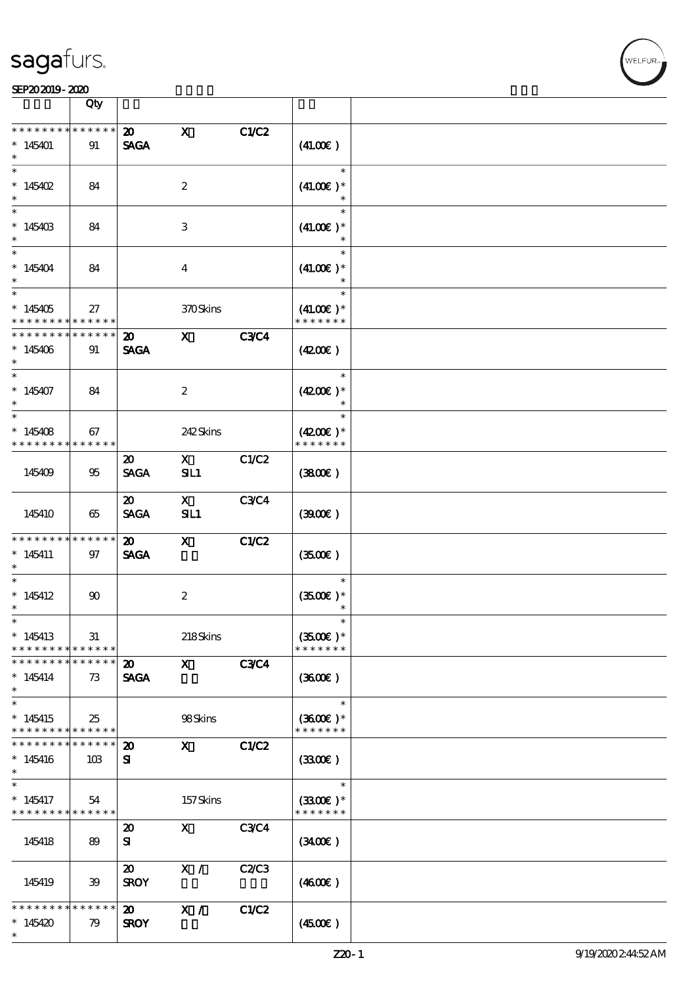#### SEP202019-2020 Production of the contract of the contract of the contract of the contract of the contract of the contract of the contract of the contract of the contract of the contract of the contract of the contract of t

|                                                                                   | Qty                |                                             |                     |             |                                        |  |
|-----------------------------------------------------------------------------------|--------------------|---------------------------------------------|---------------------|-------------|----------------------------------------|--|
| * * * * * * * *                                                                   | * * * * * *        | $\boldsymbol{\mathfrak{D}}$                 | $\mathbf{x}$        | C1/C2       |                                        |  |
| $*145401$                                                                         | 91                 | <b>SAGA</b>                                 |                     |             | (41.00)                                |  |
| $\ast$<br>* $145402$                                                              | 84                 |                                             | $\boldsymbol{2}$    |             | $\ast$<br>$(41.00)$ *                  |  |
| $*14540B$<br>$\ast$                                                               | 84                 |                                             | 3                   |             | $\ast$<br>$(41.00)$ *                  |  |
| $\ast$<br>$*145404$<br>$\ast$                                                     | 84                 |                                             | $\overline{4}$      |             | $\ast$<br>$(41.00)$ *                  |  |
| $*145405$<br>* * * * * * * *                                                      | 27<br>******       |                                             | 370Skins            |             | $\ast$<br>$(41.00)$ *<br>* * * * * * * |  |
| * * * * * * * *<br>$*145406$                                                      | * * * * * *<br>91  | $\boldsymbol{\mathsf{20}}$<br><b>SAGA</b>   | $\mathbf{x}$        | <b>C3C4</b> | $(4200\varepsilon)$                    |  |
| $\ast$                                                                            |                    |                                             |                     |             |                                        |  |
| $\ast$<br>$*145407$<br>$\ast$                                                     | 84                 |                                             | $\boldsymbol{2}$    |             | $\ast$<br>$(4200)$ *<br>$\ast$         |  |
| $\ast$                                                                            |                    |                                             |                     |             | $\ast$                                 |  |
| $*145408$<br>* * * * * * * *                                                      | 67<br>* * * * * *  |                                             | 242 Skins           |             | $(4200)$ *<br>* * * * * * *            |  |
| 145409                                                                            | 95                 | $\boldsymbol{\mathfrak{D}}$<br><b>SAGA</b>  | X<br>SL1            | C1/C2       | (380)                                  |  |
| 145410                                                                            | 65                 | $\boldsymbol{\mathfrak{D}}$<br><b>SAGA</b>  | $\mathbf{X}$<br>SL1 | <b>C3C4</b> | (300)                                  |  |
| * * * * * * * *<br>$*145411$<br>$\ast$                                            | * * * * * *<br>97  | $\boldsymbol{\mathfrak{D}}$<br><b>SAGA</b>  | $\mathbf{x}$        | C1/C2       | (3500)                                 |  |
| $\ast$<br>$*145412$<br>$\ast$                                                     | $90\,$             |                                             | $\boldsymbol{2}$    |             | $\ast$<br>$(3500)$ *<br>$\ast$         |  |
| $\ast$<br>$*145413$<br>* * * * * * * *                                            | 31<br>******       |                                             | 218Skins            |             | $\ast$<br>$(3500)$ *<br>* * * * * * *  |  |
| * * * * * * * *<br>$*145414$<br>$\ast$                                            | * * * * * *<br>73  | $\boldsymbol{\mathfrak{D}}$<br><b>SAGA</b>  | $\mathbf{X}$        | <b>C3C4</b> | (360)                                  |  |
| $\overline{\phantom{0}}$<br>$*145415$<br>* * * * * * * * <mark>* * * * * *</mark> | 25                 |                                             | 98Skins             |             | $\ast$<br>$(3600)$ *<br>* * * * * * *  |  |
| * * * * * * * *<br>$*145416$<br>$\ast$                                            | * * * * * *<br>10B | $\boldsymbol{\mathfrak{D}}$<br>$\mathbf{S}$ | $\mathbf{x}$        | C1/C2       | (330)                                  |  |
| $\ast$<br>$*145417$<br>* * * * * * * * * * * * * *                                | 54                 |                                             | 157Skins            |             | $\ast$<br>$(3300)$ *<br>* * * * * * *  |  |
| 145418                                                                            | 89                 | $\boldsymbol{\mathfrak{D}}$<br>${\bf s}$    | $\mathbf{x}$        | <b>C3C4</b> | (340)                                  |  |
| 145419                                                                            | 39                 | $\boldsymbol{\mathfrak{D}}$<br><b>SROY</b>  | X /                 | C2C3        | (460E)                                 |  |
| *******<br>$*145420$<br>$\ast$                                                    | * * * * * *<br>79  | $\boldsymbol{\mathfrak{D}}$<br><b>SROY</b>  | X /                 | C1/C2       | (450E)                                 |  |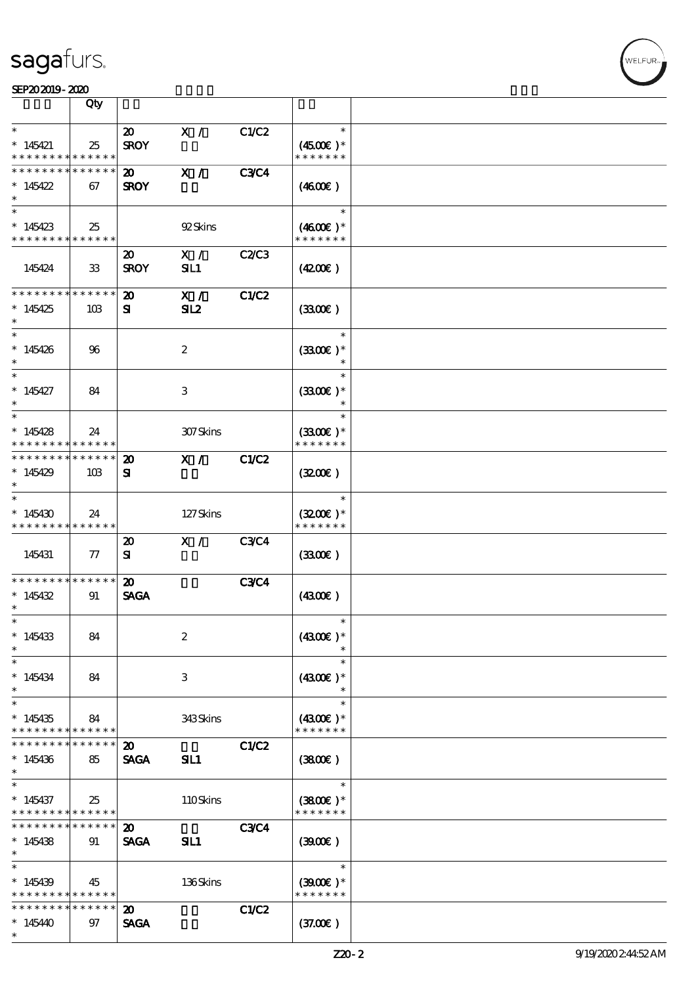### SEP202019-2020

|                                          | Qty                 |                                            |                  |              |                                       |  |
|------------------------------------------|---------------------|--------------------------------------------|------------------|--------------|---------------------------------------|--|
| $\ast$                                   |                     | $\boldsymbol{\mathfrak{D}}$                | X /              | C1/C2        | $\ast$                                |  |
| $*145421$<br>* * * * * * * *             | 25<br>* * * * * *   | <b>SROY</b>                                |                  |              | $(4500)$ *<br>* * * * * * *           |  |
| * * * * * * * *<br>$*145422$<br>$\ast$   | * * * * * *<br>67   | 20<br><b>SROY</b>                          | X /              | <b>C3C4</b>  | (460E)                                |  |
| $\ast$<br>$*145423$<br>* * * * * * * *   | 25<br>* * * * * *   |                                            | 92Skins          |              | $\ast$<br>$(4600)$ *<br>* * * * * * * |  |
| 145424                                   | $33\,$              | 20<br><b>SROY</b>                          | X /<br>SL1       | <b>C2/C3</b> | (420)                                 |  |
| * * * * * * * *<br>$*145425$<br>$\ast$   | * * * * * *<br>10B  | $\boldsymbol{\mathfrak{D}}$<br>${\bf s}$   | X /<br>SL2       | <b>C1/C2</b> | (3300)                                |  |
| $\ast$<br>$*145426$<br>$\ast$            | 96                  |                                            | $\boldsymbol{2}$ |              | $\ast$<br>$(3300)$ *<br>$\ast$        |  |
| $\overline{\ast}$<br>$*145427$<br>$\ast$ | 84                  |                                            | 3                |              | $\ast$<br>$(3300)$ *<br>$\ast$        |  |
| $\ast$<br>$*145428$<br>* * * * * * * *   | 24<br>* * * * * *   |                                            | 307Skins         |              | $\ast$<br>$(3300)$ *<br>* * * * * * * |  |
| * * * * * * *<br>$*145429$<br>$\ast$     | * * * * * *<br>10B  | $\boldsymbol{\mathbf{z}}$<br>${\bf s}$     | X /              | <b>C1/C2</b> | (320)                                 |  |
| $\ast$<br>$*145430$<br>* * * * * * * *   | 24<br>* * * * * *   |                                            | 127Skins         |              | $\ast$<br>$(3200)$ *<br>* * * * * * * |  |
| 145431                                   | ${\bf \tau}$        | $\boldsymbol{\mathbf{z}}$<br>${\bf s}$     | X /              | <b>C3C4</b>  | (3300)                                |  |
| * * * * * * * *<br>$*145432$<br>$\ast$   | * * * * * *<br>91   | $\boldsymbol{\mathfrak{D}}$<br><b>SAGA</b> |                  | <b>C3C4</b>  | (4300)                                |  |
| $\ast$<br>$*145433$<br>$\ast$            | 84                  |                                            | $\boldsymbol{2}$ |              | $\ast$<br>$(4300)$ *                  |  |
| $\ast$<br>$*145434$<br>$\ast$            | 84                  |                                            | 3                |              | $\ast$<br>$(4300)$ *<br>$\ast$        |  |
| $\ast$<br>$*145435$<br>* * * * * * * *   | 84<br>* * * * * *   |                                            | 343Skins         |              | $\ast$<br>$(4300)$ *<br>* * * * * * * |  |
| * * * * * * *<br>$*145436$<br>$*$        | * * * * * *<br>85   | $\boldsymbol{\mathfrak{D}}$<br><b>SAGA</b> | SIL1             | <b>C1/C2</b> | (3800)                                |  |
| $\ast$<br>$*145437$<br>* * * * * * * *   | 25<br>******        |                                            | 110Skins         |              | $\ast$<br>$(3800)$ *<br>* * * * * * * |  |
| * * * * * * * *<br>$*145438$<br>$\ast$   | * * * * * *  <br>91 | $\boldsymbol{\mathfrak{D}}$<br><b>SAGA</b> | SIL1             | <b>C3C4</b>  | (3900)                                |  |
| $\ast$<br>$*145439$<br>* * * * * * * *   | 45<br>* * * * * *   |                                            | 136Skins         |              | $\ast$<br>$(3900)$ *<br>* * * * * * * |  |
| * * * * * * * *<br>$*145440$<br>$\ast$   | * * * * * *<br>97   | $\boldsymbol{\mathfrak{D}}$<br><b>SAGA</b> |                  | C1/C2        | (37.00)                               |  |

.<br>WELFUR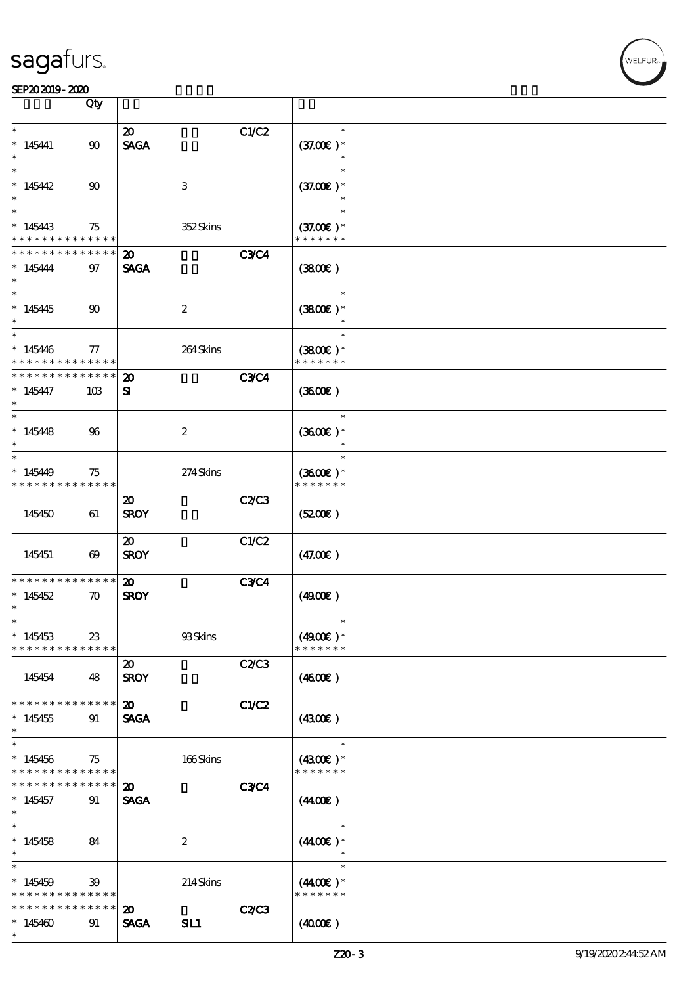**VELFUR** 

|                                                                 | Qty                               |                                            |                  |              |                                        |  |
|-----------------------------------------------------------------|-----------------------------------|--------------------------------------------|------------------|--------------|----------------------------------------|--|
| $\ast$<br>$*145441$<br>$\ast$                                   | 90                                | $\boldsymbol{\mathfrak{D}}$<br><b>SAGA</b> |                  | C1/C2        | $\ast$<br>$(37.00)$ *<br>$\ast$        |  |
| $\ast$<br>$*145442$<br>$\ast$                                   | $90^{\circ}$                      |                                            | $\,3$            |              | $\ast$<br>$(37.00)$ *<br>$\ast$        |  |
| $\ast$<br>$*145443$<br>* * * * * * * *                          | 75<br>* * * * * *                 |                                            | 352Skins         |              | $\ast$<br>$(37.00)$ *<br>* * * * * * * |  |
| * * * * * * * *<br>$*145444$<br>$\ast$                          | * * * * * *<br>97                 | $\boldsymbol{\mathfrak{D}}$<br><b>SAGA</b> |                  | <b>C3C4</b>  | (380)                                  |  |
| $\overline{\ast}$<br>$*145445$<br>$\ast$                        | $90^{\circ}$                      |                                            | $\boldsymbol{2}$ |              | $\ast$<br>$(3800)$ *<br>$\ast$         |  |
| $\ast$<br>$*145446$<br>* * * * * * * *                          | 77<br>* * * * * *                 |                                            | 264Skins         |              | $\ast$<br>$(3800)$ *<br>* * * * * * *  |  |
| * * * * * * * *<br>$*145447$<br>$\ast$                          | * * * * * *<br>10B                | $\boldsymbol{\mathfrak{D}}$<br>${\bf s}$   |                  | <b>C3C4</b>  | (360)                                  |  |
| $\ast$<br>$*145448$<br>$\ast$                                   | 96                                |                                            | $\boldsymbol{z}$ |              | $\ast$<br>$(3600)$ *<br>$\ast$         |  |
| $\ast$<br>$*145449$<br>* * * * * * * * * * * * * *              | 75                                |                                            | 274Skins         |              | $\ast$<br>$(3600)$ *<br>* * * * * * *  |  |
| 145450                                                          | 61                                | 20<br><b>SROY</b>                          |                  | <b>C2/C3</b> | (5200)                                 |  |
| 145451                                                          | $\boldsymbol{\omega}$             | $\boldsymbol{\mathfrak{D}}$<br><b>SROY</b> |                  | C1/C2        | (47.00)                                |  |
| * * * * * * * *<br>$*145452$<br>$\ast$                          | * * * * * *<br>$\boldsymbol{\pi}$ | $\boldsymbol{\mathfrak{D}}$<br><b>SROY</b> |                  | <b>C3C4</b>  | (490E)                                 |  |
| $*$<br>$*145453$<br>* * * * * * * * * * * * * *                 | $23\,$                            |                                            | 93Skins          |              | $\ast$<br>$(4900)$ *<br>* * * * * * *  |  |
| 145454                                                          | 48                                | $\boldsymbol{\mathfrak{D}}$<br><b>SROY</b> |                  | C2C3         | (460E)                                 |  |
| * * * * * * * *<br>$*145455$<br>$\ast$                          | * * * * * *<br>91                 | $\boldsymbol{\mathfrak{D}}$<br><b>SAGA</b> |                  | C1/C2        | (4300)                                 |  |
| $\ast$<br>$*145456$<br>* * * * * * * * * * * * * *              | 75                                |                                            | 166Skins         |              | $\ast$<br>$(4300)$ *<br>* * * * * * *  |  |
| * * * * * * *<br>$*145457$<br>$\ast$                            | * * * * * *<br>91                 | $\boldsymbol{\mathfrak{D}}$<br><b>SAGA</b> |                  | <b>C3C4</b>  | (440E)                                 |  |
| $\overline{\ast}$<br>$*145458$<br>$\ast$                        | 84                                |                                            | $\boldsymbol{2}$ |              | $\ast$<br>$(440E)^*$<br>$\ast$         |  |
| $\ast$<br>$*145459$<br>* * * * * * * * <mark>* * * * * *</mark> | 39                                |                                            | 214Skins         |              | $\ast$<br>$(440E)^*$<br>* * * * * * *  |  |
| * * * * * * * *<br>$*145460$<br>$\ast$                          | * * * * * *<br>91                 | $\boldsymbol{\mathfrak{D}}$<br><b>SAGA</b> | SIL1             | <b>C2/C3</b> | (400E)                                 |  |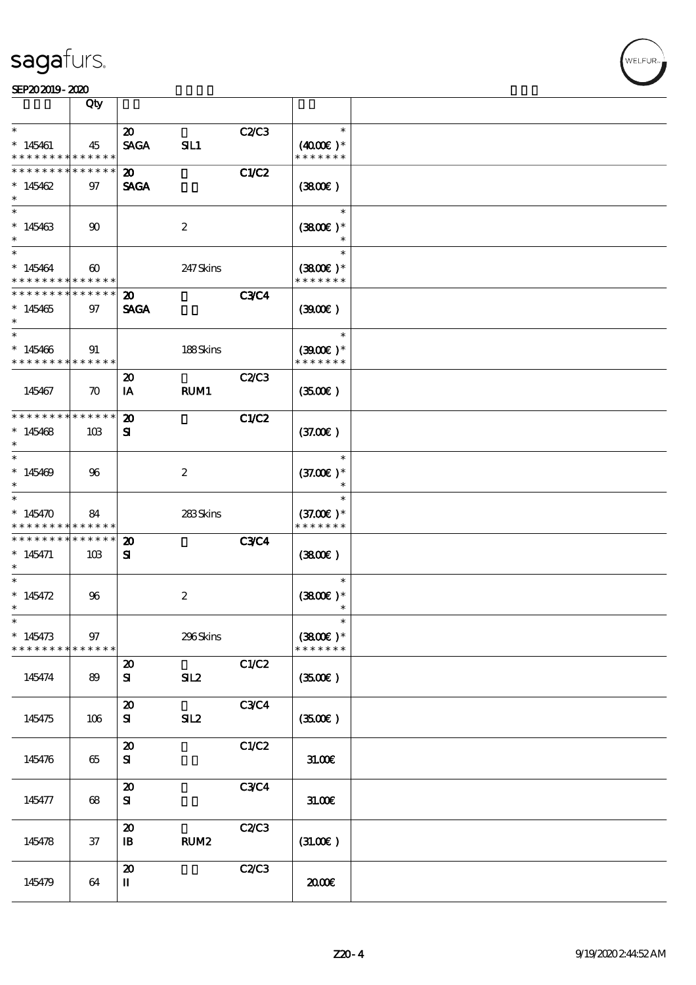

|                                                                 | Qty                               |                                                         |                  |             |                                        |  |
|-----------------------------------------------------------------|-----------------------------------|---------------------------------------------------------|------------------|-------------|----------------------------------------|--|
| $\ast$                                                          |                                   | $\boldsymbol{\mathfrak{D}}$                             |                  | C2/C3       | $\ast$                                 |  |
| $*145461$<br>* * * * * * * * <mark>* * * * * *</mark>           | 45                                | <b>SAGA</b>                                             | SL1              |             | $(4000)$ *<br>* * * * * * *            |  |
| * * * * * * * *<br>$*145462$<br>$\ast$                          | * * * * * *<br>97                 | $\boldsymbol{\mathfrak{D}}$<br><b>SAGA</b>              |                  | C1/C2       | (3800)                                 |  |
| $\ast$<br>$*145463$<br>$\ast$                                   | 90                                |                                                         | $\boldsymbol{2}$ |             | $\ast$<br>$(3800)$ *                   |  |
| $\ast$<br>$*145464$<br>* * * * * * * * * * * * * *              | $\boldsymbol{\omega}$             |                                                         | 247 Skins        |             | $\ast$<br>$(3800)$ *<br>* * * * * * *  |  |
| * * * * * * * * * * * * * *<br>$*145465$<br>$\ast$              | 97                                | $\boldsymbol{\mathfrak{D}}$<br><b>SAGA</b>              |                  | <b>C3C4</b> | (300)                                  |  |
| $\ast$<br>$*145466$<br>* * * * * * * * * * * * * *              | 91                                |                                                         | 188Skins         |             | $\ast$<br>$(3900)$ *<br>* * * * * * *  |  |
| 145467                                                          | $\boldsymbol{\pi}$                | $\boldsymbol{\mathfrak{D}}$<br>IA                       | RUM1             | C2/C3       | (350)                                  |  |
| * * * * * * * * * * * * * *<br>$*145468$<br>$\ast$              | 10B                               | $\boldsymbol{\mathfrak{D}}$<br>${\bf s}$                |                  | C1/C2       | (37.00)                                |  |
| $\ast$<br>$*145469$<br>$\ast$                                   | 96                                |                                                         | $\boldsymbol{z}$ |             | $\ast$<br>$(37.00)$ *<br>$\ast$        |  |
| $\ast$<br>$*145470$<br>* * * * * * * * <mark>* * * * * *</mark> | 84                                |                                                         | 283Skins         |             | $\ast$<br>$(37.00)$ *<br>* * * * * * * |  |
| * * * * * * * *<br>$*145471$<br>$\ast$                          | $\ast\ast\ast\ast\ast\ast$<br>10B | $\boldsymbol{\mathbf{z}}$<br>${\bf s}$                  |                  | <b>C3C4</b> | (3800)                                 |  |
| $\ast$<br>$* 145472$<br>$\ast$                                  | 96                                |                                                         | $\boldsymbol{2}$ |             | $\ast$<br>$(3800)$ *<br>$\ast$         |  |
| $\ast$<br>$*145473$<br>* * * * * * * *                          | $97\,$<br>* * * * * *             |                                                         | 296Skins         |             | $\ast$<br>$(3800)$ *<br>* * * * * * *  |  |
| 145474                                                          | 89                                | $\boldsymbol{\mathsf{20}}$<br>${\bf s}$                 | SL2              | C1/C2       | (350)                                  |  |
| 145475                                                          | 106                               | $\boldsymbol{\mathbf{z}}$<br>${\bf s}$                  | SL2              | C3C4        | (3500)                                 |  |
| 145476                                                          | 65                                | $\boldsymbol{\mathfrak{D}}$<br>${\bf s}$                |                  | C1/C2       | 31.00E                                 |  |
| 145477                                                          | 68                                | $\boldsymbol{\mathbf{z}}$<br>${\bf S\hspace{-.075ex}I}$ |                  | C3C4        | 31.00E                                 |  |
| 145478                                                          | $37\,$                            | $\boldsymbol{\mathbf{z}}$<br>$\mathbf{B}$               | RUM <sub>2</sub> | C2/C3       | (31.00)                                |  |
| 145479                                                          | 64                                | $\boldsymbol{\mathfrak{D}}$<br>П                        |                  | C2C3        | æœ                                     |  |

**VELFUR**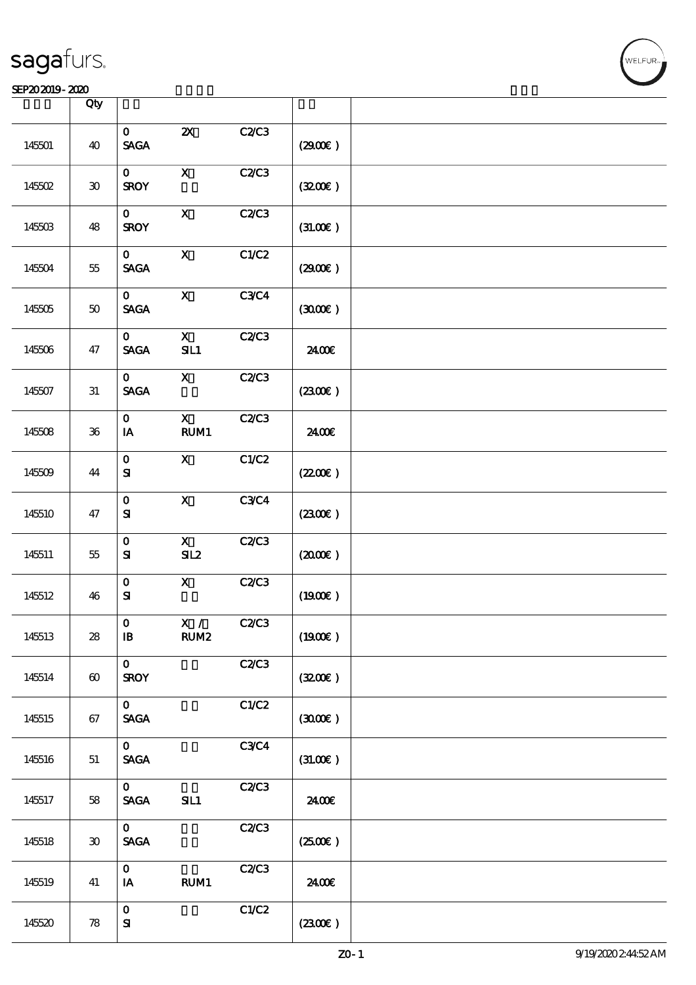|        | Qty                   |                                                |                                  |              |         |  |
|--------|-----------------------|------------------------------------------------|----------------------------------|--------------|---------|--|
|        |                       |                                                |                                  |              |         |  |
| 145501 | 40                    | $\mathbf{O}$<br>$\operatorname{\mathsf{SAGA}}$ | $\boldsymbol{\mathsf{z}}$        | C2C3         | (2900)  |  |
| 145502 | $\bf 30$              | $\mathbf{O}$<br><b>SROY</b>                    | $\mathbf X$                      | C2C3         | (320)   |  |
| 145503 | 48                    | $\mathbf{O}$<br><b>SROY</b>                    | $\boldsymbol{\mathsf{X}}$        | C2C3         | (3L0E)  |  |
| 145504 | 55                    | $\mathbf{O}$<br><b>SAGA</b>                    | $\mathbf X$                      | C1/C2        | (2900)  |  |
| 145505 | $5\!\mathrm{O}$       | $\mathbf{O}$<br><b>SAGA</b>                    | $\boldsymbol{\mathsf{X}}$        | C3C4         | (300)   |  |
| 145506 | 47                    | $\mathbf{O}$<br>$\operatorname{\mathsf{SAGA}}$ | $\boldsymbol{\mathrm{X}}$<br>SL1 | C2C3         | 2400€   |  |
| 145507 | $31\,$                | $\mathbf{O}$<br><b>SAGA</b>                    | $\mathbf X$                      | C2C3         | (230E)  |  |
| 145508 | ${\bf 36}$            | $\mathbf{O}$<br>$\mathbf{I}\mathbf{A}$         | $\mathbf{X}$<br>RUM1             | C2C3         | 2400E   |  |
| 145509 | 44                    | $\mathbf{o}$<br>${\bf s}$                      | $\mathbf{X}$                     | C1/C2        | (220E)  |  |
| 145510 | 47                    | $\mathbf{o}$<br>${\bf s}$                      | $\mathbf X$                      | <b>C3C4</b>  | (230)   |  |
| 145511 | 55                    | $\mathbf{o}$<br>${\bf s}$                      | $\mathbf{X}$<br>SL2              | C2C3         | (200E)  |  |
| 145512 | 46                    | $\mathbf O$<br>${\bf s}$                       | $\mathbf x$                      | <b>C2/C3</b> | (1900E) |  |
| 145513 | 28                    | $\mathbf{O}$<br>$\, {\bf I} \! {\bf B} \,$     | X /<br>RUM <sub>2</sub>          | C2C3         | (1900E) |  |
| 145514 | $\boldsymbol{\omega}$ | $\mathbf{O}$<br><b>SROY</b>                    |                                  | C2C3         | (320)   |  |
| 145515 | 67                    | $\mathbf{O}$<br>$\ensuremath{\mathsf{SAGA}}$   |                                  | C1/C2        | (300)   |  |
| 145516 | 51                    | $\mathbf{O}$<br><b>SAGA</b>                    |                                  | C3C4         | (31.00) |  |
| 145517 | 58                    | $\mathbf{O}$<br><b>SAGA</b>                    | SL1                              | C2C3         | 2400€   |  |
| 145518 | $30^{\circ}$          | $\mathbf{O}$<br>$\ensuremath{\mathsf{SAGA}}$   |                                  | C2C3         | (250)   |  |
| 145519 | 41                    | $\mathbf{o}$<br>$\mathbf{I}\mathbf{A}$         | RUM1                             | C2C3         | 2400€   |  |
| 145520 | 78                    | $\mathbf O$<br>${\bf S\!I}$                    |                                  | C1/C2        | (2300)  |  |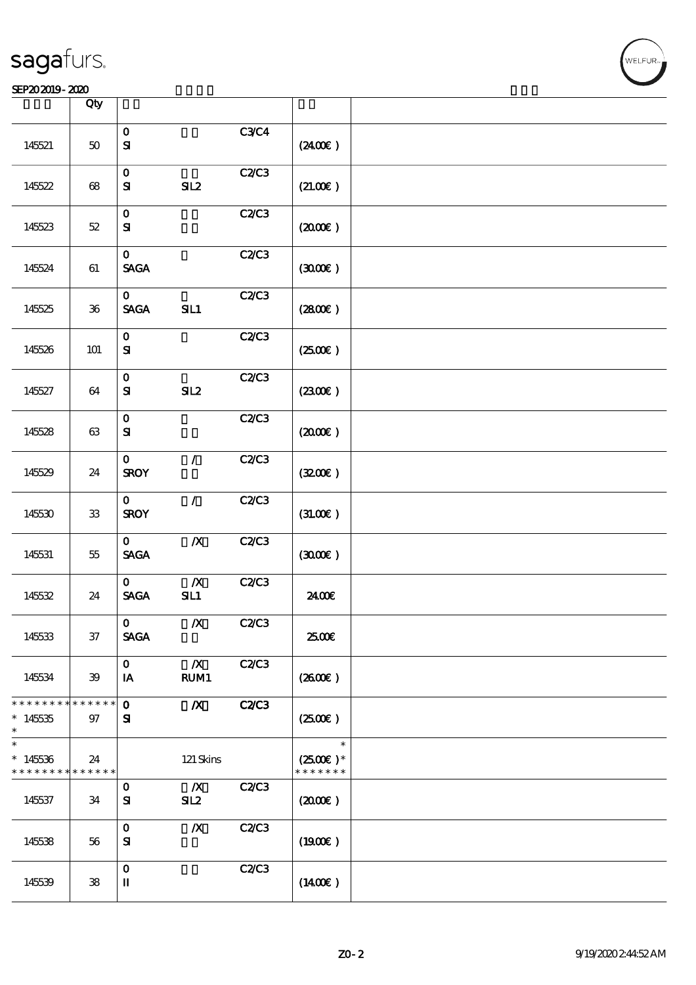|                                        | Qty                 |                                                      |                                 |              |                                                 |  |
|----------------------------------------|---------------------|------------------------------------------------------|---------------------------------|--------------|-------------------------------------------------|--|
| 145521                                 | $50\,$              | $\mathbf{o}$<br>${\bf S}$                            |                                 | <b>C3C4</b>  | (2400)                                          |  |
| 145522                                 | $68\,$              | $\mathbf{o}$<br>${\bf s}$                            | SL2                             | C2C3         | (21.00)                                         |  |
| 145523                                 | $52\,$              | $\mathbf O$<br>${\bf s}$                             |                                 | C2C3         | (200E)                                          |  |
| 145524                                 | $61\,$              | $\mathbf{o}$<br><b>SAGA</b>                          |                                 | <b>C2/C3</b> | (300)                                           |  |
| 145525                                 | ${\bf 36}$          | $\mathbf{O}$<br><b>SAGA</b>                          | SL1                             | C2C3         | (2800)                                          |  |
| 145526                                 | 101                 | $\mathbf{o}$<br>${\bf S\!I}$                         |                                 | C2C3         | (250E)                                          |  |
| 145527                                 | 64                  | $\mathbf{o}$<br>${\bf S}$                            | SL2                             | C2C3         | $(2300\varepsilon)$                             |  |
| 145528                                 | $63\,$              | $\mathbf{o}$<br>${\bf S}$                            |                                 | <b>C2/C3</b> | $(2000\varepsilon)$                             |  |
| 145529                                 | 24                  | $\mathbf{o}$<br><b>SROY</b>                          | $\mathcal{L}$                   | C2C3         | (320)                                           |  |
| 145530                                 | ${\bf 33}$          | $\mathbf{O}$<br><b>SROY</b>                          | $\mathcal{L}$                   | C2C3         | (3L0E)                                          |  |
| 145531                                 | $55\,$              | $\mathbf{0}$<br>$\operatorname{\mathsf{SAGA}}$       | $\pmb{X}$                       | C2C3         | (300)                                           |  |
| 145532                                 | 24                  | $\mathbf{O}$<br><b>SAGA</b>                          | $\pmb{X}$<br>SL1                | C2C3         | 2400€                                           |  |
| 145533                                 | $37\,$              | $\mathbf{O}$<br><b>SAGA</b>                          | $\boldsymbol{X}$                | C2C3         | 2500€                                           |  |
| 145534                                 | 39                  | $\mathbf{O}$<br>IA                                   | $\boldsymbol{X}$<br><b>RUM1</b> | C2C3         | (260E)                                          |  |
| * * * * * * * *<br>$*14535$<br>$\ast$  | * * * * * *<br>$97$ | $\mathbf 0$<br>${\bf s}$                             | $\boldsymbol{X}$                | <b>C2/C3</b> | $(2500\varepsilon)$                             |  |
| $\ast$<br>$*145336$<br>* * * * * * * * | 24<br>* * * * * *   |                                                      | $121$ Skins                     |              | $\ast$<br>$(2500\varepsilon)*$<br>* * * * * * * |  |
| 145537                                 | 34                  | $\mathbf 0$<br>${\bf s}$                             | $\boldsymbol{X}$<br>SL2         | C2C3         | (200E)                                          |  |
| 145538                                 | 56                  | $\mathbf 0$<br>${\bf s}$                             | $\boldsymbol{X}$                | C2C3         | (1900)                                          |  |
| 145539                                 | 38                  | $\mathbf 0$<br>$\rm I\hspace{-.1em}I\hspace{-.1em}I$ |                                 | C2C3         | $(1400\varepsilon)$                             |  |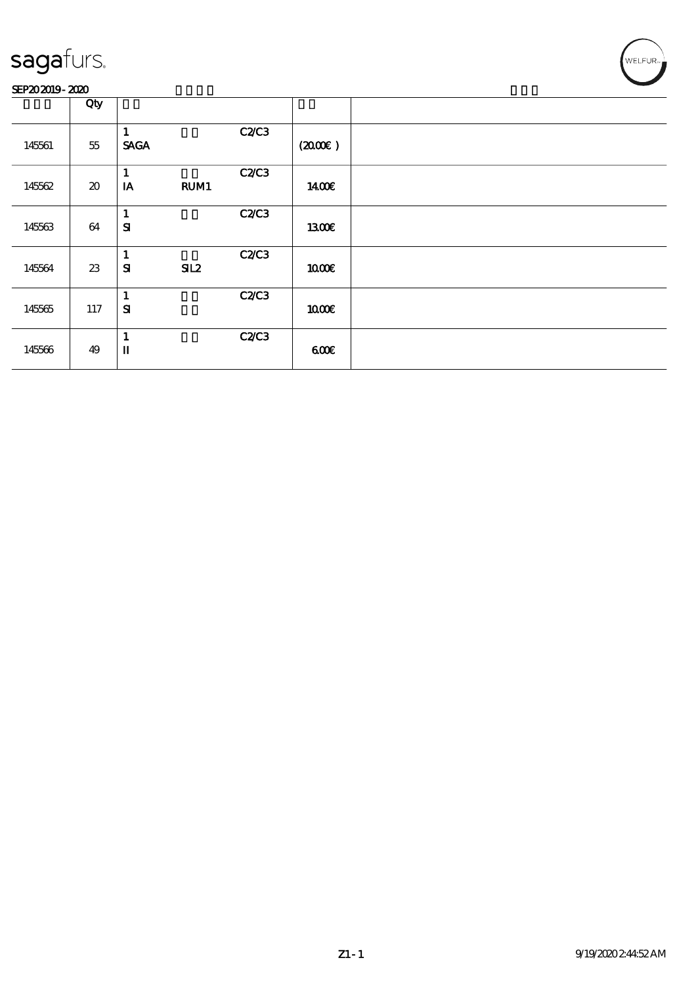### SEP202019-2020

|        | Qty                                 |                                     |              |                     |  |
|--------|-------------------------------------|-------------------------------------|--------------|---------------------|--|
| 145561 | $55\,$                              | 1<br><b>SAGA</b>                    | <b>C2/C3</b> | $(2000\varepsilon)$ |  |
| 145562 | $\boldsymbol{\boldsymbol{\lambda}}$ | 1<br>$\mathbf{I}\mathbf{A}$<br>RUM1 | <b>C2/C3</b> | 1400E               |  |
| 145563 | 64                                  | $\mathbf{1}$<br>${\bf s}$           | <b>C2/C3</b> | 1300E               |  |
| 145564 | 23                                  | $\mathbf{1}$<br>${\bf s}$<br>SL2    | <b>C2/C3</b> | 1000E               |  |
| 145565 | 117                                 | $\mathbf{1}$<br>${\bf s}$           | <b>C2/C3</b> | 1000                |  |
| 145566 | 49                                  | 1<br>$\mathbf{u}$                   | <b>C2/C3</b> | 600                 |  |

WELFUR<sub>™</sub>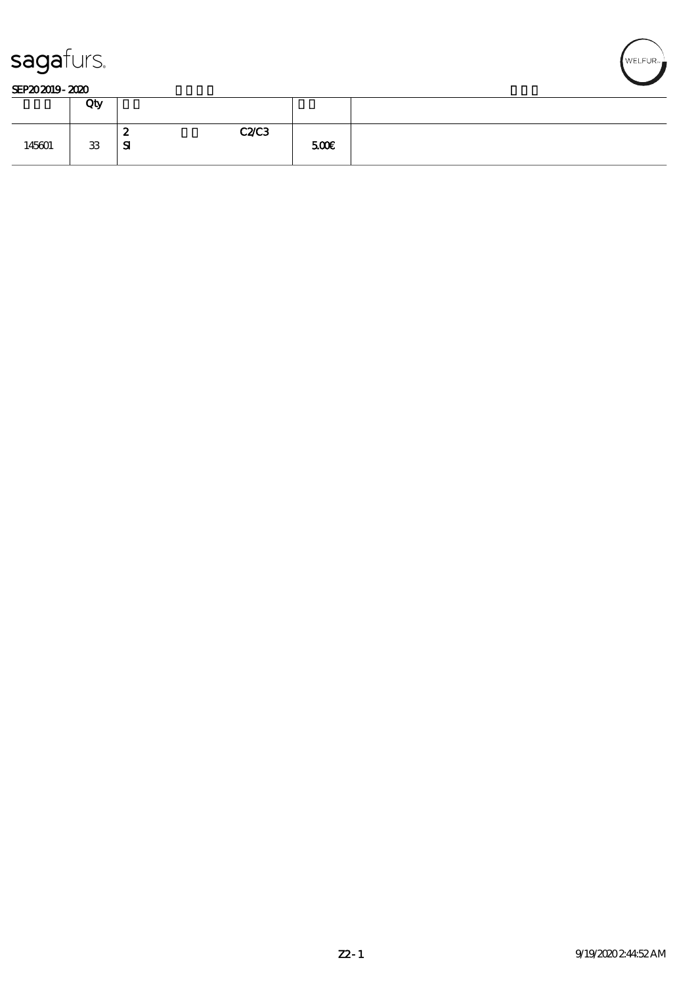



|        | Qty |                       |              |  |
|--------|-----|-----------------------|--------------|--|
| 145601 | 33  | - 2<br>~<br>${\bf s}$ | C2C3<br>500€ |  |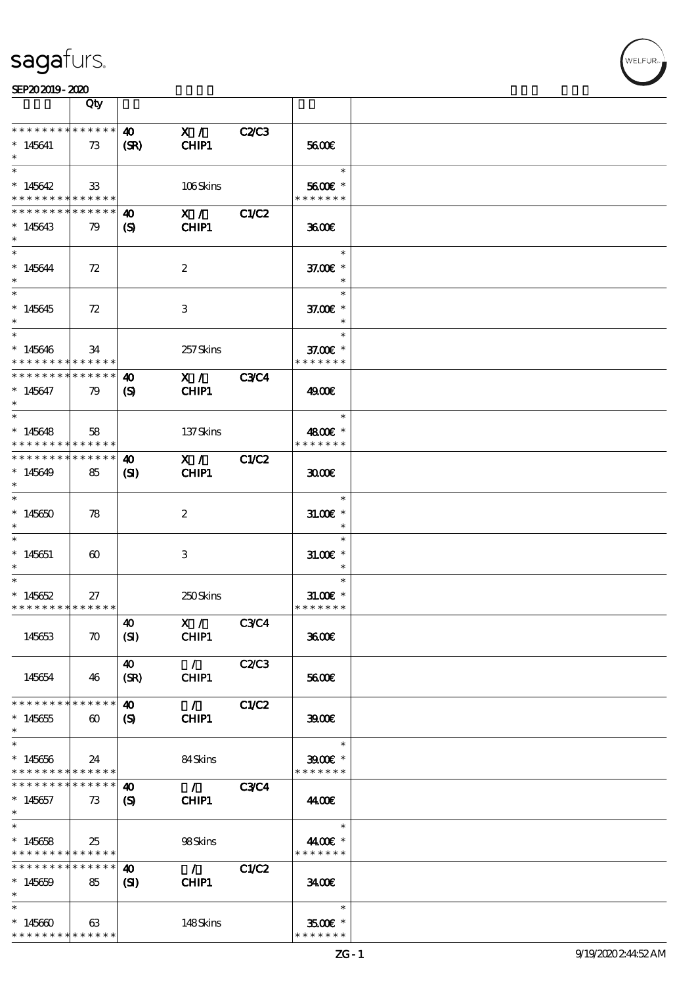



|                                                               | Qty                   |                            |                        |              |                                       |  |
|---------------------------------------------------------------|-----------------------|----------------------------|------------------------|--------------|---------------------------------------|--|
| * * * * * * * *                                               | ******                | $\boldsymbol{\omega}$      | X /                    | <b>C2/C3</b> |                                       |  |
| $*145641$<br>$\ast$                                           | 73                    | (SR)                       | CHIP1                  |              | 5600E                                 |  |
| $\ast$                                                        |                       |                            |                        |              | $\ast$                                |  |
| $*145642$<br>* * * * * * * * <mark>* * * * * *</mark>         | 33                    |                            | 106Skins               |              | 5600€ *<br>* * * * * * *              |  |
| * * * * * * * *                                               | * * * * * *           | 40                         | $\mathbf{X}$ /         | C1/C2        |                                       |  |
| $*145643$<br>$\ast$                                           | 79                    | (S)                        | CHIP1                  |              | 3600E                                 |  |
| $\ast$<br>$*145644$<br>$\ast$                                 | 72                    |                            | $\boldsymbol{2}$       |              | $\ast$<br>37.00 £*                    |  |
| $\overline{\ast}$<br>$*145645$<br>$\ast$                      | 72                    |                            | 3                      |              | $\ast$<br>37.00 £*<br>$\ast$          |  |
| $\ast$<br>$*145646$<br>* * * * * * * * * * * * * *            | 34                    |                            | 257Skins               |              | $\ast$<br>37.00 £*<br>* * * * * * *   |  |
| * * * * * * * *                                               | * * * * * *           | $\boldsymbol{\omega}$      | X /                    | <b>C3C4</b>  |                                       |  |
| $* 145647$<br>$\ast$                                          | 79                    | $\boldsymbol{S}$           | CHIP1                  |              | 4900€                                 |  |
| $\ast$                                                        |                       |                            |                        |              | $\ast$                                |  |
| $*145648$<br>* * * * * * * * <mark>* * * * * *</mark>         | 58                    |                            | 137Skins               |              | 4800€ *<br>* * * * * * *              |  |
| * * * * * * * *                                               | * * * * * *           | $\boldsymbol{\omega}$      | X /                    | C1/C2        |                                       |  |
| $*145649$<br>$\ast$                                           | 85                    | $\mathbf{S}$               | CHIP1                  |              | 3000                                  |  |
| $\ast$<br>$*145650$<br>$\ast$                                 | 78                    |                            | $\boldsymbol{z}$       |              | $\ast$<br>$31.00E$ *<br>$\ast$        |  |
| $\ast$<br>$*145651$<br>$\ast$                                 | $\boldsymbol{\omega}$ |                            | 3                      |              | $\ast$<br>$31.005*$<br>$\ast$         |  |
| $*$<br>$*145652$<br>* * * * * * * * * * * * * *               | 27                    |                            | 250Skins               |              | $\ast$<br>$31.005$ *<br>* * * * * * * |  |
| 145653                                                        | $\boldsymbol{\pi}$    | 40<br>(SI)                 | X / C3C4<br>CHIP1      |              | 3600E                                 |  |
| 145654                                                        | 46                    | 40<br>(SR)                 | $\mathcal{L}$<br>CHIP1 | C2C3         | 5600E                                 |  |
| * * * * * * * *                                               | * * * * * *           | $\boldsymbol{\omega}$      | $\mathcal{L}$          | C1/C2        |                                       |  |
| $*145655$<br>$\ast$                                           | $\boldsymbol{\omega}$ | (S)                        | CHIP1                  |              | 3900                                  |  |
| $\ast$                                                        |                       |                            |                        |              | $\ast$                                |  |
| $* 145656$<br>* * * * * * * * <mark>* * * * * *</mark> *      | 24                    |                            | 84Skins                |              | $3900$ $*$<br>* * * * * * *           |  |
| * * * * * * * *                                               | * * * * * *           | 40                         | $\mathcal{A}$          | <b>C3C4</b>  |                                       |  |
| $*145657$                                                     | 73                    | $\boldsymbol{\mathcal{S}}$ | CHIP1                  |              | 44.00€                                |  |
| $*$                                                           |                       |                            |                        |              |                                       |  |
| $\overline{\ast}$<br>$*145658$<br>* * * * * * * * * * * * * * | 25                    |                            | 98Skins                |              | $\ast$<br>4400€ *<br>* * * * * * *    |  |
| * * * * * * * *                                               | * * * * * *           | $\boldsymbol{\omega}$      | $\mathcal{L}$          | C1/C2        |                                       |  |
| $*145659$<br>$\ast$                                           | 85                    | (S)                        | CHIP1                  |              | 3400E                                 |  |
| $\ast$                                                        |                       |                            |                        |              | $\ast$                                |  |
| $*145600$<br>* * * * * * * * * * * * * *                      | 63                    |                            | 148Skins               |              | 3500€ *<br>* * * * * * *              |  |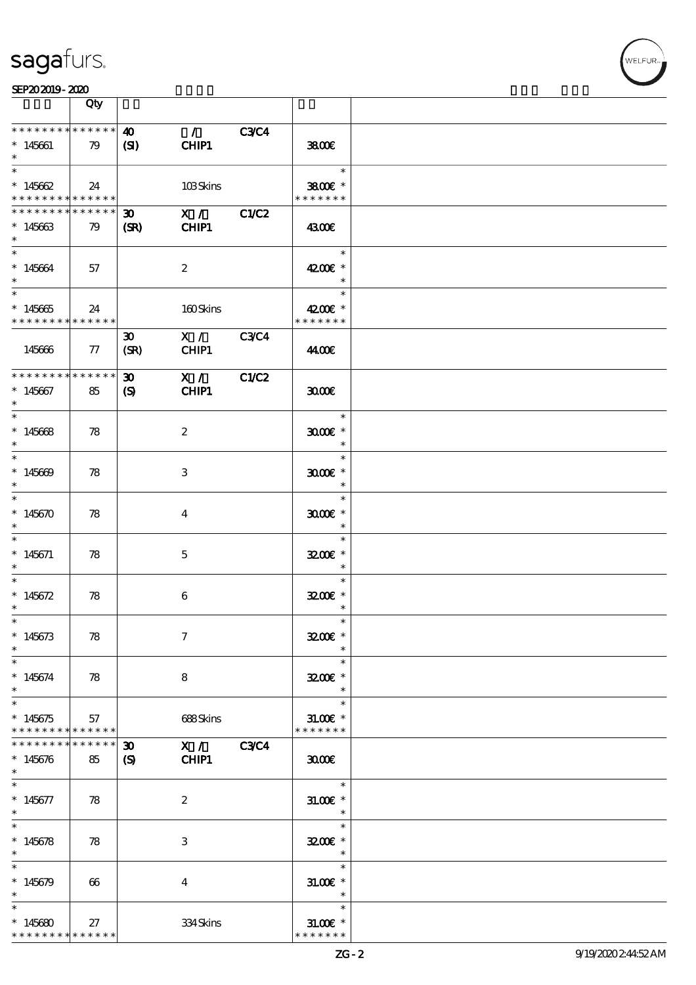

|                                                                      | Qty               |                                             |                        |             |                                       |  |
|----------------------------------------------------------------------|-------------------|---------------------------------------------|------------------------|-------------|---------------------------------------|--|
| * * * * * * * * * * * * * *<br>$*145661$<br>$\ast$                   | 79                | $\boldsymbol{\omega}$<br>(S)                | $\mathcal{L}$<br>CHIP1 | <b>C3C4</b> | 3800E                                 |  |
| $\ast$<br>$*145662$<br>* * * * * * * * <mark>* * * * * * *</mark>    | 24                |                                             | 103Skins               |             | $\ast$<br>3800€ *<br>* * * * * * *    |  |
| * * * * * * * * * * * * * *<br>$*145663$<br>$\ast$                   | 79                | $\boldsymbol{\mathfrak{D}}$<br>(SR)         | X / C1/C2<br>CHIP1     |             | 4300E                                 |  |
| $\ast$<br>$*145664$<br>$\ast$                                        | 57                |                                             | $\boldsymbol{2}$       |             | $\ast$<br>4200€ *<br>$\ast$           |  |
| $\overline{\phantom{0}}$<br>$*145665$<br>* * * * * * * * * * * * * * | 24                |                                             | 160Skins               |             | $\ast$<br>4200€ *<br>* * * * * * *    |  |
| 145666                                                               | $\pi$             | $\boldsymbol{\mathfrak{D}}$<br>(SR)         | X / C3C4<br>CHIP1      |             | 44.00€                                |  |
| * * * * * * * * * * * * * *<br>$*145667$<br>$\ast$                   | 85                | $\boldsymbol{\mathfrak{D}}$<br>$\mathbf{S}$ | X /<br>CHIP1           | C1/C2       | 3000                                  |  |
| $\ast$<br>$*145668$<br>$\ast$                                        | 78                |                                             | $\boldsymbol{2}$       |             | $\ast$<br>$3000$ $*$<br>$\ast$        |  |
| $\ast$<br>$*145609$<br>$\ast$                                        | 78                |                                             | 3                      |             | $\ast$<br>$3000$ $*$<br>$\ast$        |  |
| $\ast$<br>$*145670$                                                  | 78                |                                             | $\overline{4}$         |             | $\ast$<br>$3000$ $*$<br>$\ast$        |  |
| $*145671$<br>$\ast$                                                  | 78                |                                             | $\mathbf{5}$           |             | $\ast$<br>3200E *<br>$\ast$           |  |
| $\ast$<br>$*145672$<br>$\ast$                                        | 78                |                                             | $\boldsymbol{6}$       |             | $\ast$<br>3200E *<br>$\ast$           |  |
| $*$<br>$*145673$<br>$\ast$                                           | 78                |                                             | $\tau$                 |             | $\ast$<br>3200E *<br>$\ast$           |  |
| $\ast$<br>$*145674$<br>$\ast$                                        | 78                |                                             | 8                      |             | $\ast$<br>3200E *<br>$\ast$           |  |
| $\ast$<br>$*145675$<br>* * * * * * * * * * * * * *                   | 57                |                                             | 688Skins               |             | $\ast$<br>$31.005$ *<br>* * * * * * * |  |
| * * * * * * * *<br>$*145676$<br>$\ast$                               | * * * * * *<br>85 | $\boldsymbol{\mathfrak{D}}$<br>$\mathbf{S}$ | X / C3C4<br>CHIP1      |             | 3000                                  |  |
| $*145677$<br>$\ast$                                                  | 78                |                                             | $\boldsymbol{2}$       |             | $\ast$<br>$31.005$ *<br>$\ast$        |  |
| $\ast$<br>$*145678$<br>$\ast$                                        | 78                |                                             | 3                      |             | $\ast$<br>3200E *<br>$\ast$           |  |
| $\ast$<br>$*145679$<br>$\ast$                                        | 66                |                                             | $\overline{4}$         |             | $\ast$<br>$31.00E$ *<br>$\ast$        |  |
| $\ast$<br>$*145680$<br>* * * * * * * * * * * * * *                   | 27                |                                             | 334Skins               |             | $\ast$<br>$31.005*$<br>* * * * * * *  |  |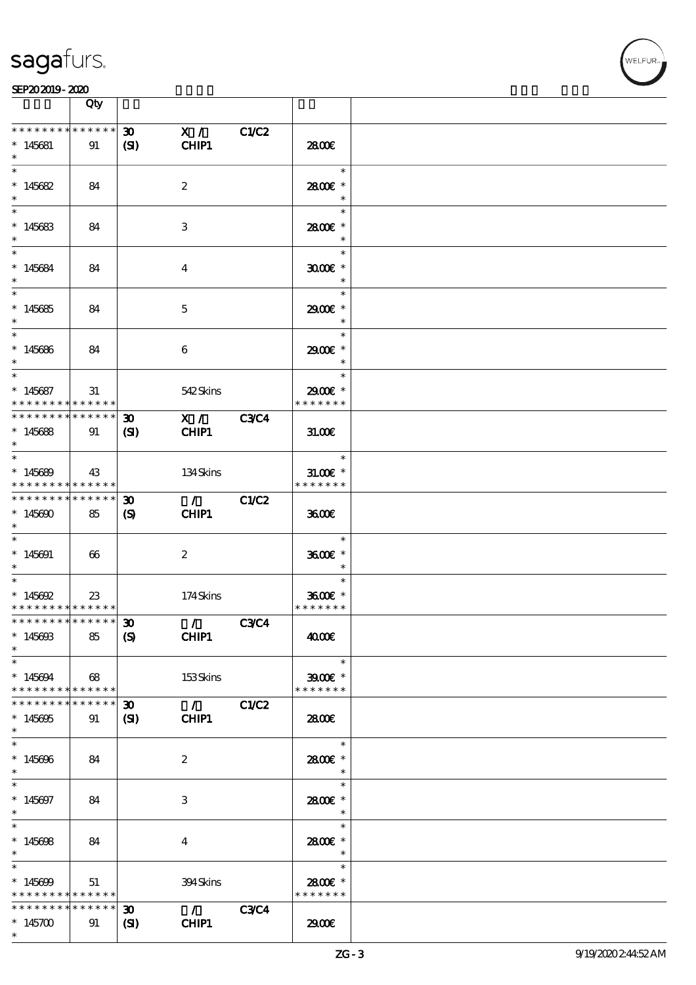

|                                                                            | Qty                   |                                                           |                                          |              |                                                        |  |
|----------------------------------------------------------------------------|-----------------------|-----------------------------------------------------------|------------------------------------------|--------------|--------------------------------------------------------|--|
| * * * * * * * *<br>$*145681$<br>$\ast$                                     | $******$<br>91        | 30 <sub>o</sub><br>(S)                                    | X /<br>CHIP1                             | <b>C1/C2</b> | 2800E                                                  |  |
| $\ast$<br>$*145682$<br>$\ast$                                              | 84                    |                                                           | $\boldsymbol{2}$                         |              | $\ast$<br>2800€ *<br>$\ast$                            |  |
| $*$<br>$*145683$<br>$\ast$                                                 | 84                    |                                                           | $\ensuremath{\mathbf{3}}$                |              | $\ast$<br>2800E *<br>$\ast$                            |  |
| $\overline{\ast}$<br>$*145684$<br>$\ast$                                   | 84                    |                                                           | $\overline{4}$                           |              | $\ast$<br>$3000$ $*$<br>$\ast$                         |  |
| $\overline{\phantom{0}}$<br>$*145685$<br>$*$                               | 84                    |                                                           | $\mathbf{5}$                             |              | $\ast$<br>2900E *<br>$\ast$                            |  |
| $\ast$<br>$*145686$<br>$*$                                                 | 84                    |                                                           | 6                                        |              | $\ast$<br>2900 £*<br>$\ast$                            |  |
| $\ast$<br>$*145687$<br>* * * * * * * * * * * * * *                         | 31                    |                                                           | 542Skins                                 |              | $\ast$<br>2900€ *<br>* * * * * * *                     |  |
| * * * * * * * *<br>$*145688$<br>$\ast$                                     | * * * * * *<br>91     | $\boldsymbol{\mathfrak{D}}$<br>(SI)                       | X / C3C4<br>CHIP1                        |              | 31.006                                                 |  |
| $*$<br>$*145689$<br>* * * * * * * * * * * * * *                            | 43                    |                                                           | 134Skins                                 |              | $\overline{\phantom{a}}$<br>$31.005*$<br>* * * * * * * |  |
| * * * * * * * *<br>$*145690$<br>$*$<br>$\overline{\ast}$                   | $******$<br>85        | $\boldsymbol{\mathfrak{D}}$<br>$\boldsymbol{\mathcal{S}}$ | $\mathcal{L}$ and $\mathcal{L}$<br>CHIP1 | C1/C2        | 3600E                                                  |  |
| $*145691$<br>$*$                                                           | $\boldsymbol{\omega}$ |                                                           | $\boldsymbol{2}$                         |              | $\ast$<br>3600€ *<br>$\ast$                            |  |
| $\ast$<br>$* 145692$<br>* * * * * * * * * * * * * *                        | $23\,$                |                                                           | 174Skins                                 |              | $\ast$<br>3600€ *<br>* * * * * * *                     |  |
| *************** 30<br>$*145693$<br>$\ast$                                  | 85                    | $\boldsymbol{S}$                                          | $\sqrt{}$ C3C4<br>CHIP1                  |              | 4000€                                                  |  |
| $\ast$<br>$*145694$<br>* * * * * * * * * * * * * *                         | 68                    |                                                           | 153Skins                                 |              | $\ast$<br>$3900$ $*$<br>* * * * * * *                  |  |
| * * * * * * * *<br>$*145695$<br>$\ast$<br>$\ast$                           | * * * * * *<br>91     | $\boldsymbol{\mathfrak{D}}$<br>$\mathbf{C}$               | $\sqrt{C1/C2}$<br>CHIP1                  |              | 2800€                                                  |  |
| $*145696$<br>$\ast$<br>$\overline{\ast}$                                   | 84                    |                                                           | $\boldsymbol{z}$                         |              | $\ast$<br>2800 £*<br>$\ast$<br>$\ast$                  |  |
| $* 145697$<br>$*$<br>$\overline{\ast}$                                     | 84                    |                                                           | 3                                        |              | 2800E *<br>$\overline{\phantom{a}}$<br>$\ast$          |  |
| $* 145608$<br>$\ast$<br>$\ast$                                             | 84                    |                                                           | 4                                        |              | 2800 £*<br>$\overline{\phantom{a}}$<br>$\ast$          |  |
| $*145699$<br>* * * * * * * * <mark>* * * * * * *</mark><br>* * * * * * * * | 51<br>* * * * * *     |                                                           | 394Skins                                 |              | 2800E *<br>* * * * * * *                               |  |
| $*145700$<br>$\ast$                                                        | 91                    | 30 <sub>o</sub><br>(S)                                    | $\mathcal{L} = \mathcal{L}$<br>CHIP1     | <b>C3C4</b>  | 2900                                                   |  |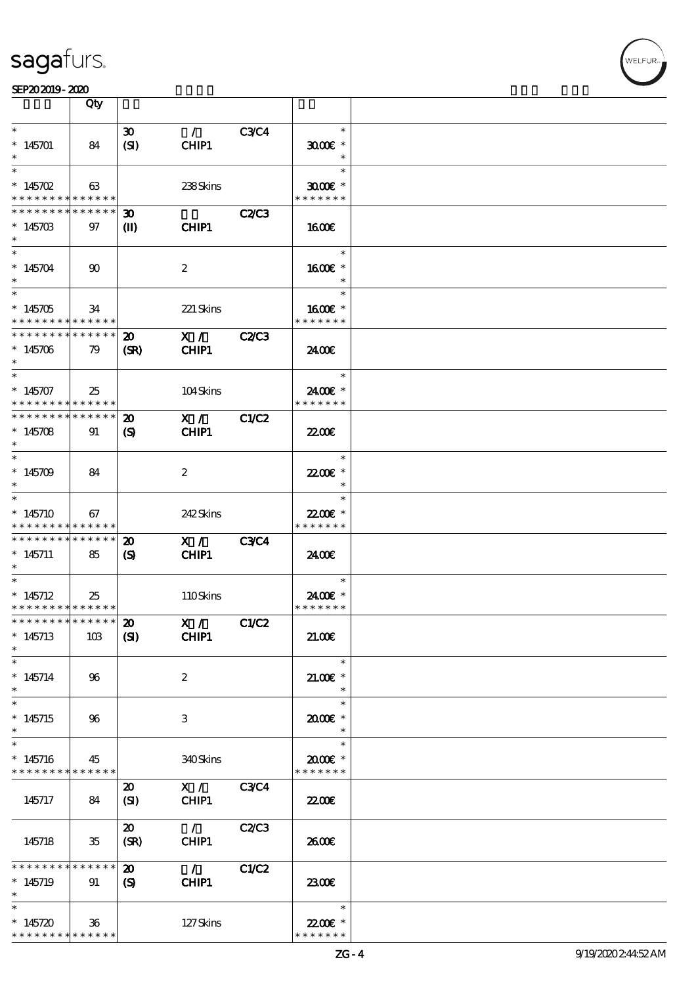

|                                                            | Qty          |                             |                    |              |                             |  |
|------------------------------------------------------------|--------------|-----------------------------|--------------------|--------------|-----------------------------|--|
| $\ast$                                                     |              | $\boldsymbol{\mathfrak{D}}$ | $\mathcal{L}$      | <b>C3C4</b>  | $\ast$                      |  |
| $*145701$<br>$\ast$                                        | 84           | (SI)                        | CHIP1              |              | $3000$ $*$<br>$\ast$        |  |
| $\ast$                                                     |              |                             |                    |              | $\ast$                      |  |
| $* 145702$<br>* * * * * * * * <mark>* * * * * *</mark>     | 63           |                             | 238Skins           |              | $3000$ $*$<br>* * * * * * * |  |
| * * * * * * * *                                            | * * * * * *  | 30 <sub>o</sub>             |                    | <b>C2/C3</b> |                             |  |
| $*14570B$<br>$\ast$                                        | 97           | $\mathbf{I}$                | CHIP1              |              | 1600E                       |  |
| $\ast$<br>$*145704$                                        | $90^{\circ}$ |                             | $\boldsymbol{2}$   |              | $\ast$<br>1600€ *           |  |
| $\ast$                                                     |              |                             |                    |              |                             |  |
| $\overline{\phantom{0}}$                                   |              |                             |                    |              | $\ast$                      |  |
| $*145705$<br>* * * * * * * * * * * * * *                   | 34           |                             | 221 Skins          |              | 1600 *<br>* * * * * * *     |  |
| $* * * * * * * * *$                                        | * * * * * *  | $\boldsymbol{\mathfrak{D}}$ | $\mathbf{X}$ /     | <b>C2/C3</b> |                             |  |
| $*145706$<br>$\ast$                                        | 79           | (SR)                        | CHIP1              |              | 2400€                       |  |
| $\ast$                                                     |              |                             |                    |              | $\ast$                      |  |
| $*145707$                                                  | 25           |                             | 104Skins           |              | 2400€ *                     |  |
| * * * * * * * * * * * * * *<br>* * * * * * * * * * * * * * |              | $\boldsymbol{\mathfrak{D}}$ | X /                | <b>C1/C2</b> | * * * * * * *               |  |
| $*145708$                                                  | 91           | $\boldsymbol{\mathcal{S}}$  | CHIP1              |              | <b>2200E</b>                |  |
| $\ast$                                                     |              |                             |                    |              |                             |  |
| $\ast$                                                     |              |                             |                    |              | $\ast$                      |  |
| $*145709$<br>$\ast$                                        | 84           |                             | $\boldsymbol{2}$   |              | 22.00€ *<br>$\ast$          |  |
| $\ast$                                                     |              |                             |                    |              | $\ast$                      |  |
| $*145710$                                                  | 67           |                             | 242Skins           |              | 22.00€ *                    |  |
| * * * * * * * * * * * * * *                                |              |                             |                    |              | * * * * * * *               |  |
| * * * * * * * *                                            | * * * * * *  | 20                          | X /                | <b>C3C4</b>  |                             |  |
| $*145711$<br>$\ast$                                        | 85           | $\boldsymbol{\mathcal{S}}$  | CHIP1              |              | 2400€                       |  |
| $\ast$                                                     |              |                             |                    |              | $\ast$                      |  |
| $*145712$                                                  | 25           |                             | 110Skins           |              | 2400€ *                     |  |
| * * * * * * * * * * * * * *<br>*************** 20          |              |                             |                    |              | * * * * * * *               |  |
| $*145713$<br>$\ast$                                        | 10B          | (S)                         | X / C1/C2<br>CHIP1 |              | 21.00E                      |  |
| $\ast$                                                     |              |                             |                    |              | $\ast$                      |  |
| $* 145714$                                                 | 96           |                             | $\boldsymbol{z}$   |              | $21.005*$                   |  |
| $\ast$<br>$\ast$                                           |              |                             |                    |              | $\ast$                      |  |
| $*145715$                                                  | 96           |                             | 3                  |              | $\ast$<br>2000E*            |  |
| $\ast$                                                     |              |                             |                    |              |                             |  |
| $\ast$                                                     |              |                             |                    |              | $\ast$                      |  |
| $*145716$<br>* * * * * * * * <mark>* * * * * *</mark> *    | 45           |                             | 340Skins           |              | 2000E *<br>* * * * * * *    |  |
|                                                            |              | $\boldsymbol{\mathfrak{D}}$ | X /                | <b>C3C4</b>  |                             |  |
| 145717                                                     | 84           | (SI)                        | CHIP1              |              | <b>22006</b>                |  |
|                                                            |              |                             |                    |              |                             |  |
|                                                            |              | $\boldsymbol{\mathsf{20}}$  | $\mathcal{L}$      | C2C3         |                             |  |
| 145718                                                     | 35           | (SR)                        | CHIP1              |              | 2600E                       |  |
| * * * * * * *                                              | * * * * * *  | $\boldsymbol{\mathfrak{D}}$ | $\mathcal{L}$      | C1/C2        |                             |  |
| $*145719$                                                  | 91           | $\boldsymbol{S}$            | CHIP1              |              | 2300E                       |  |
| $\ast$                                                     |              |                             |                    |              |                             |  |
| $\ast$<br>$*145720$                                        |              |                             |                    |              | $\ast$<br>22.00 £*          |  |
| * * * * * * * * * * * * * *                                | $36\,$       |                             | 127Skins           |              | * * * * * * *               |  |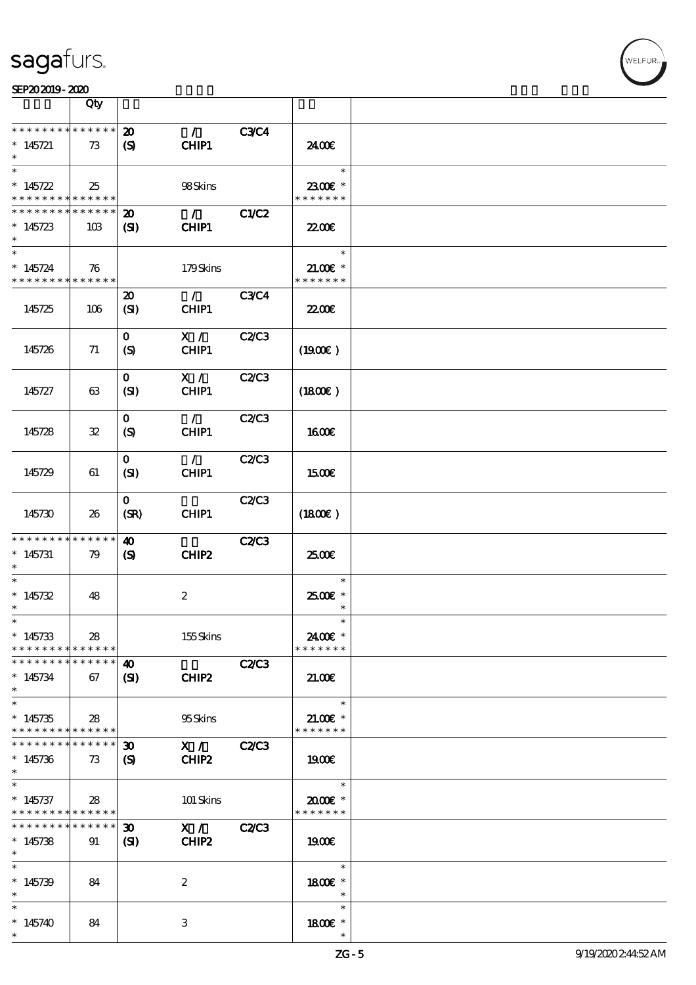

|                                                                                     | Qty               |                                                           |                        |              |                                        |  |
|-------------------------------------------------------------------------------------|-------------------|-----------------------------------------------------------|------------------------|--------------|----------------------------------------|--|
| * * * * * * * * <mark>* * * * * * *</mark><br>$*145721$<br>$\ast$                   | 73                | $\boldsymbol{\mathfrak{D}}$<br>$\boldsymbol{\mathcal{S}}$ | $\mathcal{T}$<br>CHIP1 | <b>C3C4</b>  | 24.00€                                 |  |
| $\ast$<br>$*145722$<br>* * * * * * * * <mark>* * * * * * *</mark>                   | 25                |                                                           | 98Skins                |              | $\ast$<br>2300€ *<br>* * * * * * *     |  |
| * * * * * * * * * * * * * *<br>$*145723$<br>$\ast$                                  | 10B               | $\boldsymbol{\mathbf{z}}$<br>(SI)                         | $\mathcal{L}$<br>CHIP1 | <b>C1/C2</b> | 22.00 <del>€</del>                     |  |
| $\ast$<br>$* 145724$<br>* * * * * * * * * * * * * *                                 | 76                |                                                           | 179Skins               |              | $\ast$<br>$21.005*$<br>* * * * * * *   |  |
| 145725                                                                              | 106               | $\boldsymbol{\mathfrak{D}}$<br>(SI)                       | $\mathcal{L}$<br>CHIP1 | <b>C3C4</b>  | 22.00 <del>€</del>                     |  |
| 145726                                                                              | 71                | $\mathbf{O}$<br>(S)                                       | X /<br>CHIP1           | <b>C2/C3</b> | (1900E)                                |  |
| 145727                                                                              | 63                | $\mathbf{O}$<br>(SI)                                      | X /<br>CHIP1           | <b>C2/C3</b> | (1800)                                 |  |
| 145728                                                                              | ${\bf 3\!2}$      | $\mathbf{O}$<br>(S)                                       | $\mathcal{L}$<br>CHIP1 | <b>C2/C3</b> | 1600E                                  |  |
| 145729                                                                              | 61                | $\mathbf{O}$<br>(SI)                                      | $\mathcal{L}$<br>CHIP1 | C2C3         | 1500E                                  |  |
| 145730                                                                              | 26                | $\mathbf{O}$<br>(SR)                                      | CHIP1                  | <b>C2/C3</b> | (1800)                                 |  |
|                                                                                     |                   | $\boldsymbol{\omega}$                                     |                        |              |                                        |  |
| * * * * * * * * * * * * * *<br>$*$ 145731                                           | 79                | $\boldsymbol{\mathcal{S}}$                                | CHIP <sub>2</sub>      | <b>C2/C3</b> | 2500                                   |  |
| $\ast$<br>$*145732$<br>$\ast$                                                       | 48                |                                                           | $\boldsymbol{2}$       |              | $\ast$<br>2500€ *<br>$\ast$            |  |
| $\ast$<br>$*145733$<br>* * * * * * * * * * * * * *                                  | 28                |                                                           | 155Skins               |              | $\ast$<br>2400€ *<br>* * * * * * *     |  |
| * * * * * * * *<br>$*145734$<br>$\ast$                                              | * * * * * *<br>67 | $\boldsymbol{\omega}$<br>(SI)                             | CHIP2                  | <b>C2/C3</b> | 21.00                                  |  |
| $\ast$<br>$*145735$<br>* * * * * * * * * * * * * *                                  | 28                |                                                           | 95Skins                |              | $\ast$<br>$21.00$ $*$<br>* * * * * * * |  |
| * * * * * * * *<br>$*145736$<br>$\ast$                                              | * * * * * *<br>73 | $\boldsymbol{\mathfrak{D}}$<br>$\boldsymbol{S}$           | X /<br>CHIP2           | <b>C2/C3</b> | 1900E                                  |  |
| $\overline{\phantom{0}}$<br>$*145737$<br>* * * * * * * * <mark>* * * * * *</mark> * | 28                |                                                           | 101 Skins              |              | $\ast$<br>$2000$ $*$<br>* * * * * * *  |  |
| * * * * * * * *<br>$*145738$<br>$\ast$                                              | * * * * * *<br>91 | $\boldsymbol{\mathfrak{D}}$<br>(S)                        | X /<br>CHIP2           | <b>C2/C3</b> | 1900                                   |  |
| $\ast$<br>$*145739$<br>$\ast$                                                       | 84                |                                                           | $\boldsymbol{2}$       |              | $\ast$<br>1800E *<br>$\ast$            |  |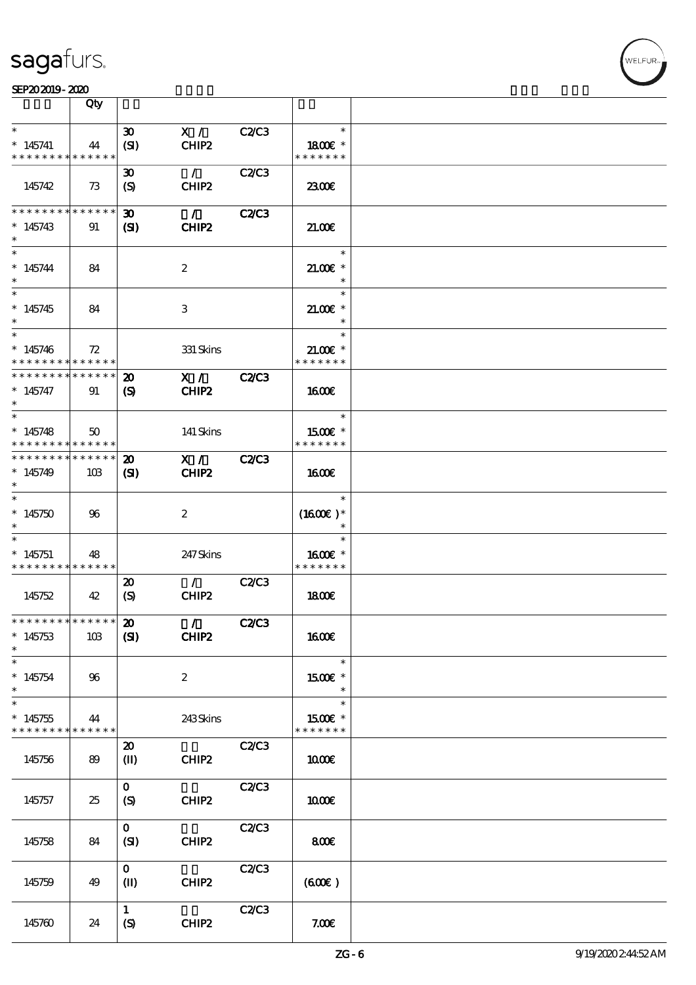

|                                                               | Qty             |                                  |                   |              |                                       |  |
|---------------------------------------------------------------|-----------------|----------------------------------|-------------------|--------------|---------------------------------------|--|
| $\ast$                                                        |                 | $\boldsymbol{\mathfrak{D}}$      | X /               | C2/C3        | $\ast$                                |  |
| $*145741$<br>* * * * * * * * * * * * * *                      | 44              | (SI)                             | CHIP2             |              | 1800E *<br>* * * * * * *              |  |
|                                                               |                 | $\boldsymbol{\mathfrak{D}}$      | $\mathcal{L}$     | C2/C3        |                                       |  |
| 145742                                                        | 73              | (S)                              | CHIP2             |              | 2300                                  |  |
| * * * * * * * *                                               | * * * * * *     | $\boldsymbol{\mathfrak{D}}$      | $\mathcal{L}$     | C2C3         |                                       |  |
| $*145743$<br>$\ast$                                           | 91              | (S)                              | CHIP <sub>2</sub> |              | 21.006                                |  |
| $\ast$<br>$*145744$<br>$\ast$                                 | 84              |                                  | $\boldsymbol{2}$  |              | $\ast$<br>$21.00$ $*$<br>$\ast$       |  |
| $\overline{\ }$<br>$*145745$<br>$\ast$                        | 84              |                                  | 3                 |              | $\ast$<br>$21.00E$ *<br>$\ast$        |  |
| $\ast$<br>$*145746$<br>* * * * * * * * * * * * * *            | 72              |                                  | 331 Skins         |              | $\ast$<br>$21.00E$ *<br>* * * * * * * |  |
| * * * * * * * *                                               | $* * * * * * *$ | $\boldsymbol{\mathbf{z}}$        | X /               | <b>C2/C3</b> |                                       |  |
| $*145747$<br>$\ast$                                           | 91              | (S)                              | CHIP2             |              | 1600E                                 |  |
| $\ast$                                                        |                 |                                  |                   |              | $\ast$                                |  |
| $*145748$                                                     | $50^{\circ}$    |                                  | 141 Skins         |              | 1500E *<br>* * * * * * *              |  |
| * * * * * * * * <mark>* * * * * * *</mark><br>* * * * * * * * | ******          | $\boldsymbol{\mathfrak{D}}$      | $\mathbf{X}$ /    | <b>C2/C3</b> |                                       |  |
| $*145749$<br>$\ast$                                           | 10B             | $\mathbf{S}$                     | CHIP2             |              | 1600E                                 |  |
| $\ast$<br>$*145750$<br>$\ast$                                 | 96              |                                  | $\boldsymbol{2}$  |              | $\ast$<br>$(1600E)*$                  |  |
| $\ast$<br>$*145751$<br>* * * * * * * * * * * * * *            | 48              |                                  | 247Skins          |              | $\ast$<br>1600€ *<br>* * * * * * *    |  |
|                                                               |                 | $\boldsymbol{\mathfrak{D}}$      | $\mathcal{L}$     | C2C3         |                                       |  |
| 145752                                                        | 42              | (S)                              | CHIP2             |              | 1800E                                 |  |
| *************** 20                                            |                 |                                  | $\mathcal{L}$     | <b>C2/C3</b> |                                       |  |
| $*145753$<br>$\ast$                                           | 10B             | (S)                              | CHIP2             |              | 1600€                                 |  |
| $\ast$                                                        |                 |                                  |                   |              | $\ast$                                |  |
| $*145754$<br>$\ast$<br>$\ast$                                 | 96              |                                  | $\boldsymbol{2}$  |              | 1500 £*<br>$\ast$                     |  |
| $*145755$<br>* * * * * * * * * * * * * *                      | 44              |                                  | 243Skins          |              | $\ast$<br>1500€ *<br>* * * * * * *    |  |
|                                                               |                 | $\boldsymbol{\mathfrak{D}}$      |                   | <b>C2/C3</b> |                                       |  |
| 145756                                                        | 89              | $\mathbf{I}$                     | CHIP2             |              | <b>100€</b>                           |  |
| 145757                                                        | 25              | $\mathbf{O}$<br>$\boldsymbol{S}$ | CHIP <sub>2</sub> | C2C3         | 1000E                                 |  |
|                                                               |                 |                                  |                   |              |                                       |  |
| 145758                                                        | 84              | $\mathbf{O}$<br>(SI)             | CHIP2             | C2/C3        | 800                                   |  |
| 145759                                                        | 49              | $\mathbf{O}$<br>(II)             | CHIP2             | <b>C2/C3</b> | (60E)                                 |  |
| 145760                                                        | 24              | $\mathbf{1}$<br>$\boldsymbol{S}$ | CHIP2             | C2C3         | 7.00E                                 |  |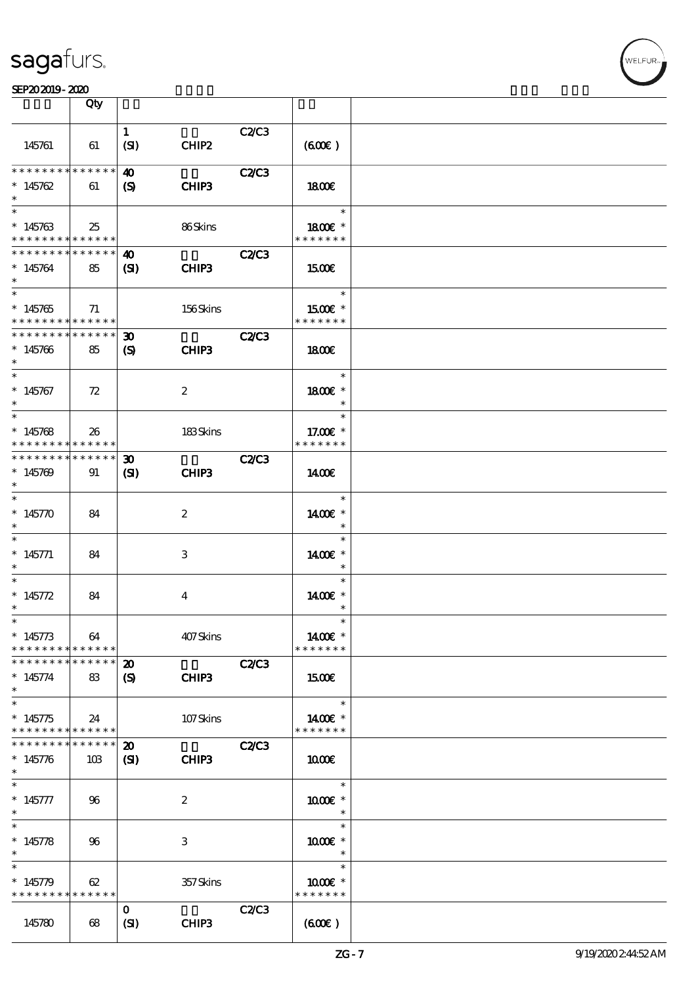|                                                                                     | Qty                |                                                  |                  |              |                                                        |  |
|-------------------------------------------------------------------------------------|--------------------|--------------------------------------------------|------------------|--------------|--------------------------------------------------------|--|
| 145761                                                                              | 61                 | $\mathbf{1}$<br>(SI)                             | CHIP2            | C2C3         | (60E)                                                  |  |
| * * * * * * * * <mark>* * * * * *</mark><br>$*145762$                               | 61                 | 40<br>(S)                                        | CHIP3            | <b>C2/C3</b> | 1800                                                   |  |
| $*145763$<br>* * * * * * * * <mark>* * * * * * *</mark>                             | 25                 |                                                  | 86Skins          |              | $\ast$<br>1800 £*<br>* * * * * * *                     |  |
| * * * * * * * * <mark>* * * * * * *</mark><br>$*145764$<br>$\ast$                   | 85                 | 40<br>$\mathbf{C}$                               | CHIP3            | <b>C2/C3</b> | 1500E                                                  |  |
| $\overline{\phantom{0}}$<br>$*145765$<br>* * * * * * * * <mark>* * * * * * *</mark> | 71                 |                                                  | 156Skins         |              | $\overline{\phantom{a}}$<br>$1500E$ *<br>* * * * * * * |  |
| * * * * * * * * * * * * * * *<br>$*145766$<br>$\ast$                                | 85                 | $\boldsymbol{\mathfrak{D}}$<br>$\mathbf{S}$      | CHIP3            | <b>C2/C3</b> | <b>1800€</b>                                           |  |
| $\ast$<br>$*145767$<br>$\ast$                                                       | 72                 |                                                  | $\boldsymbol{2}$ |              | $\ast$<br>1800E *<br>$\ast$                            |  |
| $*145768$<br>* * * * * * * *                                                        | 26<br>******       |                                                  | 183Skins         |              | $\ast$<br>17.00 £*<br>* * * * * * *                    |  |
| * * * * * * * *<br>$*145709$<br>$\ast$                                              | ******<br>91       | $\boldsymbol{\mathfrak{D}}$<br>(S <sub>D</sub> ) | CHIP3            | <b>C2/C3</b> | 1400                                                   |  |
| $\ast$<br>* $145770$<br>$\ast$                                                      | 84                 |                                                  | $\boldsymbol{2}$ |              | $\ast$<br>1400€ *<br>$\ast$                            |  |
| $\ast$<br>$* 145771$<br>$\ast$                                                      | 84                 |                                                  | 3                |              | $\ast$<br>1400€ *<br>$\ast$                            |  |
| $\ast$<br>* $145772$<br>$^{\ast}$                                                   | 84                 |                                                  | 4                |              | $\ast$<br>1400€ *<br>$\ast$                            |  |
| $\ast$<br>$* 145773$<br>* * * * * * * * <mark>* * * * * *</mark>                    | 64                 |                                                  | 407Skins         |              | $\ast$<br>1400€ *<br>* * * * * * *                     |  |
| * * * * * * * * * * * * * *<br>$* 145774$<br>$\ast$                                 | 83                 | $\boldsymbol{\mathbf{z}}$<br>$\boldsymbol{S}$    | CHIP3            | <b>C2/C3</b> | 1500                                                   |  |
| $\overline{\ast}$<br>$*145775$<br>* * * * * * * * <mark>* * * * * *</mark>          | 24                 |                                                  | 107Skins         |              | $\ast$<br>1400€ *<br>* * * * * * *                     |  |
| * * * * * * * *<br>$*145776$<br>$\ast$                                              | * * * * * *<br>10B | $\boldsymbol{\mathfrak{D}}$<br>$\mathbf{S}$      | CHIP3            | <b>C2/C3</b> | 1000E                                                  |  |
| $\ast$<br>$* 145777$<br>$\ast$<br>$\ast$                                            | 96                 |                                                  | $\boldsymbol{2}$ |              | $\ast$<br>1000 *<br>$\ast$                             |  |
| $* 145778$<br>$\ast$                                                                | 96                 |                                                  | 3                |              | $\ast$<br>$1000E$ *<br>$\ast$                          |  |
| $\ast$<br>$* 145779$<br>* * * * * * * * * * * * * * *                               | 62                 |                                                  | 357 Skins        |              | $\ast$<br>$1000E$ *<br>* * * * * * *                   |  |
| 145780                                                                              | 68                 | $\mathbf{o}$<br>(SI)                             | CHIP3            | C2C3         | (60E)                                                  |  |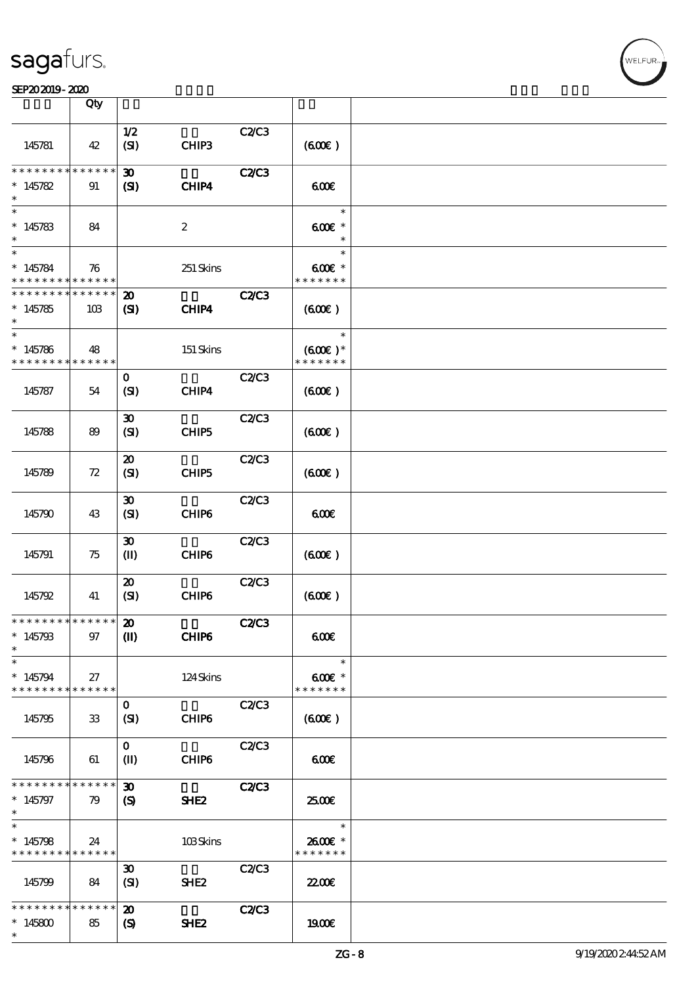### SEP202019-2020

|                                                         | Qty             |                             |                               |              |                                      |  |
|---------------------------------------------------------|-----------------|-----------------------------|-------------------------------|--------------|--------------------------------------|--|
|                                                         |                 |                             |                               |              |                                      |  |
| 145781                                                  | 42              | 1/2<br>(SI)                 | CHIP3                         | C2/C3        | (60E)                                |  |
| * * * * * * * *                                         | * * * * * *     | $\boldsymbol{\mathfrak{D}}$ |                               | <b>C2/C3</b> |                                      |  |
| $*145782$                                               | 91              | (S)                         | CHIP4                         |              | 60E                                  |  |
| $\ast$                                                  |                 |                             |                               |              | $\ast$                               |  |
| $*145783$                                               | 84              |                             | $\boldsymbol{2}$              |              | 600€ *<br>$\ast$                     |  |
| $\ast$                                                  |                 |                             |                               |              | $\ast$                               |  |
| $*145784$<br>* * * * * * * * <mark>* * * * * *</mark>   | 76              |                             | 251 Skins                     |              | 600€ *<br>* * * * * * *              |  |
| * * * * * * * *                                         | $* * * * * * *$ | $\boldsymbol{\mathfrak{D}}$ |                               | <b>C2/C3</b> |                                      |  |
| $*145785$                                               | 10B             | (S)                         | CHIP4                         |              | (60E)                                |  |
| $\ast$                                                  |                 |                             |                               |              | $\ast$                               |  |
| $*145786$<br>* * * * * * * * <mark>* * * * * * *</mark> | 48              |                             | 151 Skins                     |              | $(600\varepsilon)*$<br>* * * * * * * |  |
|                                                         |                 | $\mathbf{o}$                |                               | <b>C2/C3</b> |                                      |  |
| 145787                                                  | 54              | (SI)                        | CHIP4                         |              | (60E)                                |  |
|                                                         |                 | $\boldsymbol{\mathfrak{D}}$ |                               | C2/C3        |                                      |  |
| 145788                                                  | 89              | (SI)                        | CHIP <sub>5</sub>             |              | (60E)                                |  |
|                                                         |                 | $\boldsymbol{\mathbf{z}}$   |                               | C2C3         |                                      |  |
| 145789                                                  | 72              | (SI)                        | CHIP5                         |              | (60E)                                |  |
|                                                         |                 | $\boldsymbol{\mathfrak{D}}$ |                               | C2/C3        |                                      |  |
| 145790                                                  | 43              | (SI)                        | CHIP6                         |              | 600                                  |  |
|                                                         |                 | $\boldsymbol{\mathfrak{D}}$ |                               | C2/C3        |                                      |  |
| 145791                                                  | 75              | $\mathbf{I}$                | CHIP6                         |              | (60E)                                |  |
|                                                         |                 | $\boldsymbol{\mathbf{z}}$   |                               | C2/C3        |                                      |  |
| 145792                                                  | 41              | (SI)                        | CHIP6                         |              | (60E)                                |  |
| ************** 20                                       |                 |                             |                               | C2C3         |                                      |  |
| $*145793$<br>$\ast$                                     | 97              | $\mathbf{I}$                | CHIP6                         |              | 600                                  |  |
| $\ast$                                                  |                 |                             |                               |              | $\ast$                               |  |
| $*145794$<br>* * * * * * * *                            | 27<br>******    |                             | $124\mskip 1.5mu {\rm Skirs}$ |              | $600E$ *<br>* * * * * * *            |  |
|                                                         |                 | $\mathbf{O}$                |                               | C2/C3        |                                      |  |
| 145795                                                  | 33              | (SI)                        | CHIP6                         |              | (60E)                                |  |
|                                                         |                 | $\mathbf{O}$                |                               | C2/C3        |                                      |  |
| 145796                                                  | 61              | $\mathbf{I}$                | CHIP6                         |              | 600                                  |  |
| * * * * * * * * <mark>* * * * * *</mark>                |                 | $\boldsymbol{\mathfrak{D}}$ |                               | <b>C2/C3</b> |                                      |  |
| $*145797$<br>$\ast$                                     | 79              | (S)                         | SHE <sub>2</sub>              |              | 2500€                                |  |
| $\ast$                                                  |                 |                             |                               |              | $\ast$                               |  |
| $*145798$                                               | 24              |                             | 103Skins                      |              | 2600€ *                              |  |
| * * * * * * * * <mark>* * * * * *</mark>                |                 |                             |                               |              | * * * * * * *                        |  |
|                                                         |                 | $\boldsymbol{\mathfrak{D}}$ |                               | C2/C3        |                                      |  |
| 145799                                                  | 84              | (SI)                        | SHE <sub>2</sub>              |              | 22.00E                               |  |
| * * * * * * * *                                         | ******          | $\boldsymbol{\mathbf{z}}$   |                               | <b>C2/C3</b> |                                      |  |
| $*145800$                                               | 85              | $\boldsymbol{\mathsf{(S)}}$ | SHE <sub>2</sub>              |              | 1900E                                |  |
| $\ast$                                                  |                 |                             |                               |              |                                      |  |

VELFUR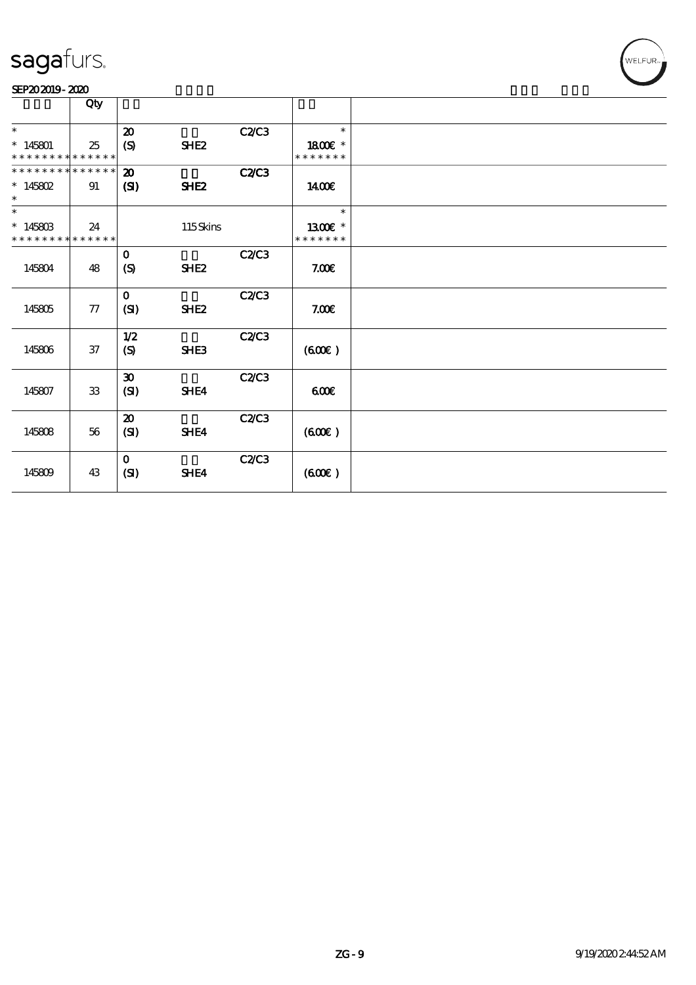

|                             | Qty        |                             |                  |              |               |  |
|-----------------------------|------------|-----------------------------|------------------|--------------|---------------|--|
| $\ast$                      |            |                             |                  |              | $\ast$        |  |
|                             |            | $\boldsymbol{\mathsf{20}}$  |                  | C2/C3        |               |  |
| $*145801$                   | 25         | (S)                         | SHE <sub>2</sub> |              | 1800E *       |  |
| * * * * * * * * * * * * * * |            |                             |                  |              | * * * * * * * |  |
| * * * * * * * * * * * * * * |            | $\boldsymbol{\mathbf{z}}$   |                  | <b>C2/C3</b> |               |  |
| $* 145802$                  | 91         | (S)                         | <b>SHE2</b>      |              | 1400€         |  |
| $\ast$                      |            |                             |                  |              |               |  |
| $\ast$                      |            |                             |                  |              | $\ast$        |  |
| $*14580B$                   | 24         |                             | 115Skins         |              | 1300E *       |  |
| * * * * * * * * * * * * * * |            |                             |                  |              | * * * * * * * |  |
|                             |            | $\mathbf 0$                 |                  | <b>C2/C3</b> |               |  |
| 145804                      | 48         | (S)                         | SHE <sub>2</sub> |              | 7.00E         |  |
|                             |            |                             |                  |              |               |  |
|                             |            | $\mathbf 0$                 |                  | C2/C3        |               |  |
| 145805                      | 77         | (SI)                        | SHE <sub>2</sub> |              | 7.00E         |  |
|                             |            |                             |                  |              |               |  |
|                             |            | 1/2                         |                  | <b>C2/C3</b> |               |  |
| 145806                      | 37         | $\boldsymbol{S}$            | SHE3             |              | (60E)         |  |
|                             |            |                             |                  |              |               |  |
|                             |            | $\boldsymbol{\mathfrak{D}}$ |                  | C2/C3        |               |  |
| 145807                      | ${\bf 33}$ | (SI)                        | SHE4             |              | 600           |  |
|                             |            |                             |                  |              |               |  |
|                             |            | $\boldsymbol{\mathfrak{D}}$ |                  | C2C3         |               |  |
| 145808                      | $5\!6$     | (SI)                        | SHE4             |              | (60E)         |  |
|                             |            |                             |                  |              |               |  |
|                             |            | $\mathbf{O}$                |                  | C2C3         |               |  |
| 145809                      | 43         | (SI)                        | SHE4             |              | (60E)         |  |
|                             |            |                             |                  |              |               |  |
|                             |            |                             |                  |              |               |  |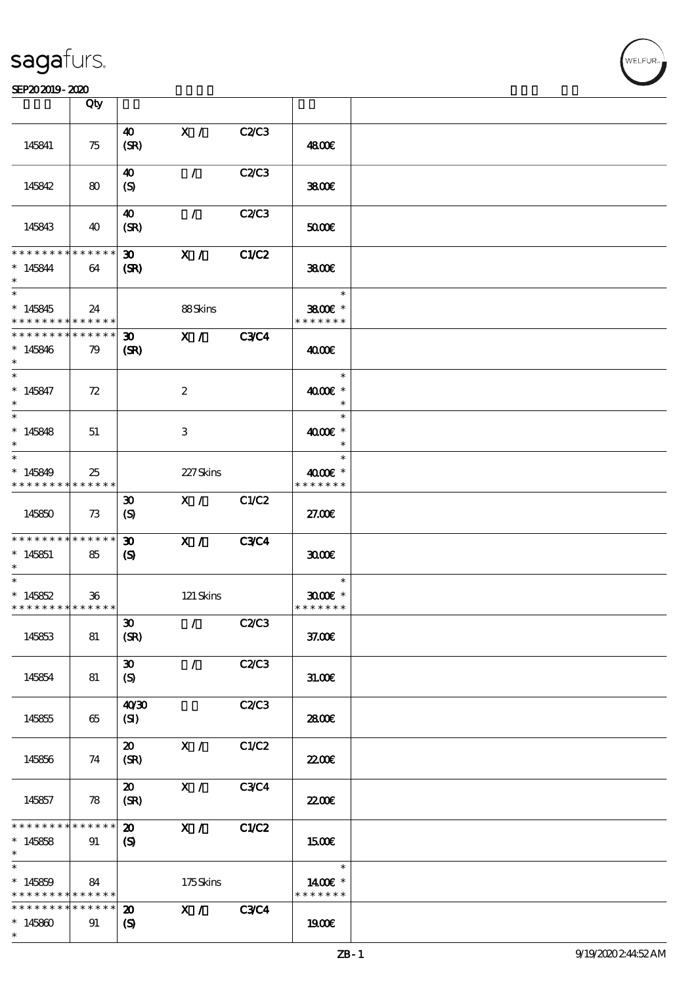|                                                  | Qty                        |                                                            |                  |              |                                    |  |
|--------------------------------------------------|----------------------------|------------------------------------------------------------|------------------|--------------|------------------------------------|--|
|                                                  |                            |                                                            |                  |              |                                    |  |
| 145841                                           | 75                         | $\boldsymbol{\omega}$<br>(SR)                              | X /              | C2/C3        | 4800€                              |  |
| 145842                                           | 80                         | $\boldsymbol{\omega}$<br>(S)                               | $\mathcal{L}$    | <b>C2/C3</b> | 3800                               |  |
|                                                  |                            |                                                            |                  |              |                                    |  |
| 145843                                           | 40                         | $\boldsymbol{\omega}$<br>(SR)                              | $\mathcal{L}$    | C2C3         | 5000                               |  |
| * * * * * * * *                                  | $\ast\ast\ast\ast\ast\ast$ | $\boldsymbol{\mathfrak{D}}$                                | X /              | C1/C2        |                                    |  |
| $* 145844$                                       | 64                         | (SR)                                                       |                  |              | 3800€                              |  |
| $\ast$<br>$*145845$<br>* * * * * * * *           | 24<br>$***$ * * * * *      |                                                            | 88Skins          |              | $\ast$<br>3800€ *<br>* * * * * * * |  |
| * * * * * * * *                                  | ******                     | $\boldsymbol{\mathfrak{D}}$                                | X /              | <b>C3C4</b>  |                                    |  |
| $*145846$<br>$\ast$                              | 79                         | (SR)                                                       |                  |              | 4000€                              |  |
| $\overline{\phantom{0}}$                         |                            |                                                            |                  |              | $\ast$                             |  |
| $* 145847$<br>$\ast$<br>$\overline{\phantom{0}}$ | 72                         |                                                            | $\boldsymbol{2}$ |              | 4000 £*<br>$\ast$                  |  |
|                                                  |                            |                                                            |                  |              | $\ast$                             |  |
| $*145848$<br>$\ast$<br>$\ast$                    | 51                         |                                                            | 3                |              | 4000€ *<br>$\ast$<br>$\ast$        |  |
|                                                  |                            |                                                            |                  |              |                                    |  |
| $*145849$                                        | 25                         |                                                            | 227Skins         |              | $4000$ $\varepsilon$ *             |  |
| * * * * * * * *                                  | * * * * * *                |                                                            |                  |              | * * * * * * *                      |  |
| 145850                                           | 73                         | $\boldsymbol{\mathfrak{D}}$<br>(S)                         | $\mathbf{X}$ /   | C1/C2        | 27.00E                             |  |
| * * * * * * * * <mark>* * * * * *</mark>         |                            | $\boldsymbol{\mathfrak{D}}$                                | $\mathbf{X}$ /   | <b>C3C4</b>  |                                    |  |
| $*145851$<br>$\ast$                              | 85                         | $\mathbf{S}$                                               |                  |              | 3000                               |  |
| $\ast$                                           |                            |                                                            |                  |              | $\ast$                             |  |
| $*145852$                                        | 36                         |                                                            | 121 Skins        |              | $3000$ $*$                         |  |
| * * * * * * * * <mark>* * * * * *</mark> *       |                            |                                                            |                  |              | * * * * * * *                      |  |
| 145853                                           | 81                         | $\boldsymbol{\mathfrak{D}}$<br>(SR)                        | $\mathcal{F}$    | <b>C2/C3</b> | 37.00E                             |  |
| 145854                                           | 81                         | $\boldsymbol{\mathfrak{D}}$<br>(S)                         | $\sqrt{2}$       | C2/C3        | 31.00E                             |  |
| 145855                                           | 65                         | 40'30<br>(SI)                                              |                  | C2/C3        | 2800€                              |  |
| 145856                                           | 74                         | $\boldsymbol{\mathfrak{D}}$<br>(SR)                        | X /              | C1/C2        | 22.00E                             |  |
| 145857                                           | 78                         | $\boldsymbol{\mathfrak{D}}$<br>(SR)                        | X /              | <b>C3C4</b>  | <b>22006</b>                       |  |
| * * * * * * * *<br>$*145858$<br>$\ast$           | * * * * * *<br>91          | $\boldsymbol{\mathfrak{D}}$<br>$\boldsymbol{\mathrm{(S)}}$ | X /              | C1/C2        | 1500E                              |  |
| $\ast$                                           |                            |                                                            |                  |              | $\ast$                             |  |
| $*145859$<br>* * * * * * * *                     | 84<br>* * * * * *          |                                                            | 175Skins         |              | 1400€ *<br>* * * * * * *           |  |
| * * * * * * * *<br>$*145800$<br>$\ast$           | $* * * * * * *$<br>91      | $\boldsymbol{\mathbf{z}}$<br>$\boldsymbol{\mathrm{(S)}}$   | X /              | <b>C3C4</b>  | 1900E                              |  |
|                                                  |                            |                                                            |                  |              |                                    |  |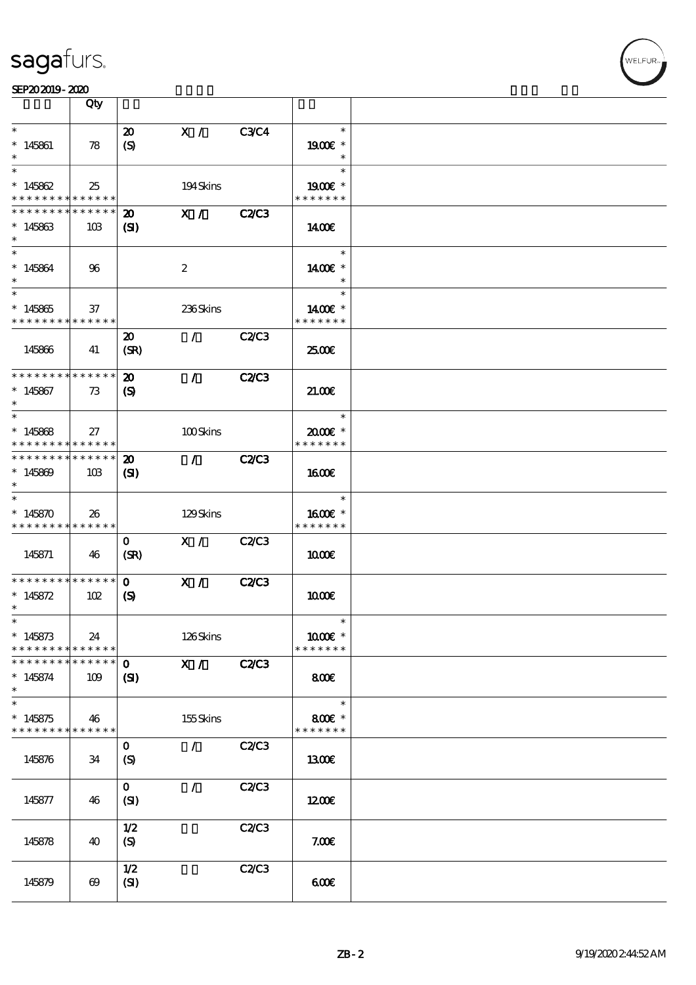

|                                                                      | Qty                   |                                                            |                  |              |                                      |  |
|----------------------------------------------------------------------|-----------------------|------------------------------------------------------------|------------------|--------------|--------------------------------------|--|
| $\ast$<br>$*145861$<br>$\ast$                                        | 78                    | $\boldsymbol{\mathfrak{D}}$<br>(S)                         | X /              | <b>C3C4</b>  | $\ast$<br>1900E *<br>$\ast$          |  |
| $\ast$<br>$*145862$<br>* * * * * * * * <mark>* * * * * *</mark>      | 25                    |                                                            | 194Skins         |              | $\ast$<br>1900€ *<br>* * * * * * *   |  |
| * * * * * * * * * * * * * *<br>$*145863$<br>$\ast$                   | 10B                   | $\boldsymbol{\mathsf{20}}$<br>$\mathbf{S}$                 | $\mathbf{X}$ /   | <b>C2/C3</b> | 1400E                                |  |
| $\ast$<br>$* 145864$<br>$\ast$                                       | 96                    |                                                            | $\boldsymbol{2}$ |              | $\ast$<br>1400€ *                    |  |
| $\overline{\phantom{0}}$<br>$*145865$<br>* * * * * * * * * * * * * * | 37                    |                                                            | 236Skins         |              | $\ast$<br>1400€ *<br>* * * * * * *   |  |
| 145866                                                               | 41                    | $\boldsymbol{\mathfrak{D}}$<br>(SR)                        | $\mathcal{L}$    | C2C3         | 2500€                                |  |
| * * * * * * * * * * * * * *<br>$*145867$<br>$\ast$                   | 73                    | $\boldsymbol{\mathfrak{D}}$<br>$\boldsymbol{\mathrm{(S)}}$ | $\mathcal{L}$    | <b>C2/C3</b> | 21.006                               |  |
| $\ast$<br>$*145868$<br>* * * * * * * * <mark>* * * * * *</mark>      | 27                    |                                                            | 100Skins         |              | $\ast$<br>2000E *<br>* * * * * * *   |  |
| * * * * * * * * * * * * * *<br>$*145809$<br>$\ast$                   | 10B                   | $\boldsymbol{\mathfrak{D}}$<br>$\mathbf{S}$                | $\mathcal{F}$    | <b>C2/C3</b> | 1600E                                |  |
| $\ast$<br>$*145870$<br>* * * * * * * * <mark>* * * * * * *</mark>    | 26                    |                                                            | 129Skins         |              | $\ast$<br>$1600E$ *<br>* * * * * * * |  |
| 145871                                                               | 46                    | $\mathbf{O}$<br>(SR)                                       | X /              | <b>C2/C3</b> | 1000                                 |  |
| * * * * * * * * * * * * * *<br>$* 145872$<br>$\ast$                  | 102                   | $\mathbf{o}$<br>$\boldsymbol{S}$                           | X /              | <b>C2/C3</b> | 1000E                                |  |
| $*$<br>$* 145873$<br>* * * * * * * * <mark>* * * * * *</mark>        | 24                    |                                                            | 126Skins         |              | $\ast$<br>1000€ *<br>* * * * * * *   |  |
| * * * * * * * * * * * * * *<br>$* 145874$<br>$\ast$                  | 109                   | $\mathbf{o}$<br>$\mathbf{Z}$                               | X /              | <b>C2/C3</b> | 800                                  |  |
| $\ast$<br>$*145875$<br>* * * * * * * * * * * * * *                   | 46                    |                                                            | 155Skins         |              | $\ast$<br>800€ *<br>* * * * * * *    |  |
| 145876                                                               | 34                    | $\mathbf 0$<br>(S)                                         | 7.               | <b>C2/C3</b> | <b>1300€</b>                         |  |
| 145877                                                               | 46                    | $\mathbf{O}$<br>(SI)                                       | $\mathcal{L}$    | C2C3         | 1200                                 |  |
| 145878                                                               | 40                    | 1/2<br>(S)                                                 |                  | C2/C3        | 7.00E                                |  |
| 145879                                                               | $\boldsymbol{\omega}$ | 1/2<br>(SI)                                                |                  | C2C3         | 600                                  |  |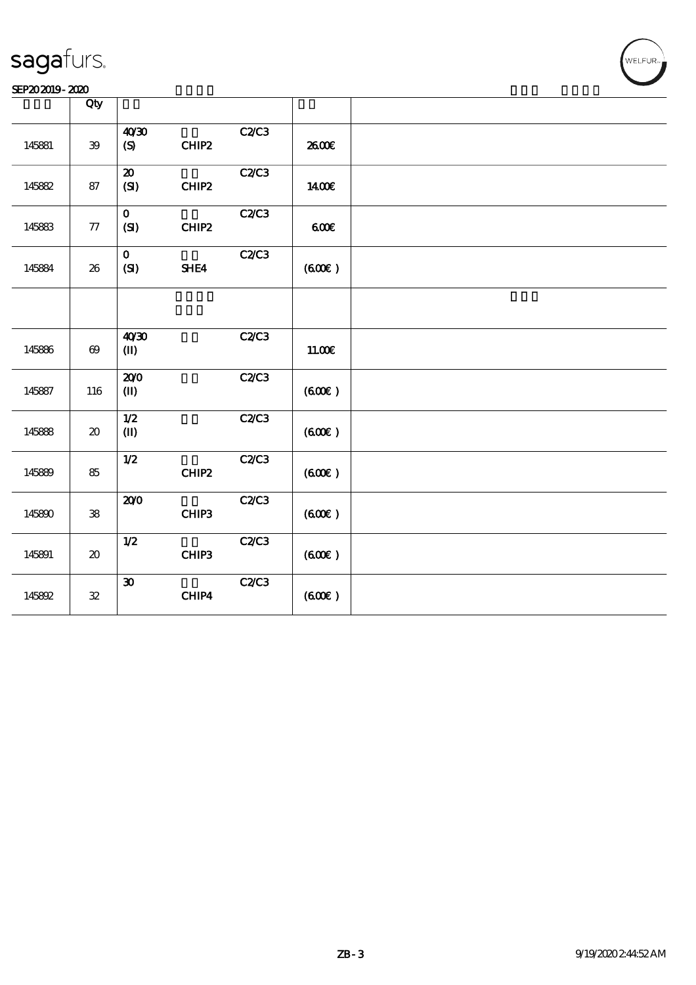

|        | Qty                                 |                                      |                        |          |  |
|--------|-------------------------------------|--------------------------------------|------------------------|----------|--|
| 145881 | ${\bf 39}$                          | 40'30<br>$\boldsymbol{\mathrm{(S)}}$ | C2C3<br>CHIP2          | 2600E    |  |
| 145882 | 87                                  | ${\bf Z}$<br>(SI)                    | C2C3<br>CHIP2          | 1400€    |  |
| 145883 | ${\bf 77}$                          | $\mathbf{O}$<br>(SI)                 | C2C3<br>$CHIP2$        | 600      |  |
| 145884 | ${\bf 26}$                          | $\mathbf{o}$<br>$\bf{(S)}$           | C2/C3<br>SHE4          | (60E)    |  |
|        |                                     |                                      |                        |          |  |
| 145886 | $\pmb{\Theta}$                      | 40'30<br>$\mathbf{I}$                | C2C3                   | $11.00E$ |  |
| 145887 | 116                                 | 200<br>$\mathbf{I}$                  | C2/C3                  | (600)    |  |
| 145888 | $\boldsymbol{\boldsymbol{\lambda}}$ | 1/2<br>$\mathbf{I}$                  | C2C3                   | (600)    |  |
| 145889 | 85                                  | 1/2                                  | C2/C3<br>${\bf CHIP2}$ | (60E)    |  |
| 145890 | ${\bf 38}$                          | 200                                  | C2/C3<br>CHIP3         | (60E)    |  |
| 145891 | $\boldsymbol{\boldsymbol{\lambda}}$ | $1/2$                                | C2C3<br>CHIP3          | (600)    |  |
| 145892 | ${\bf 32}$                          | $\pmb{\mathfrak{D}}$                 | C2C3<br>CHIP4          | (60E)    |  |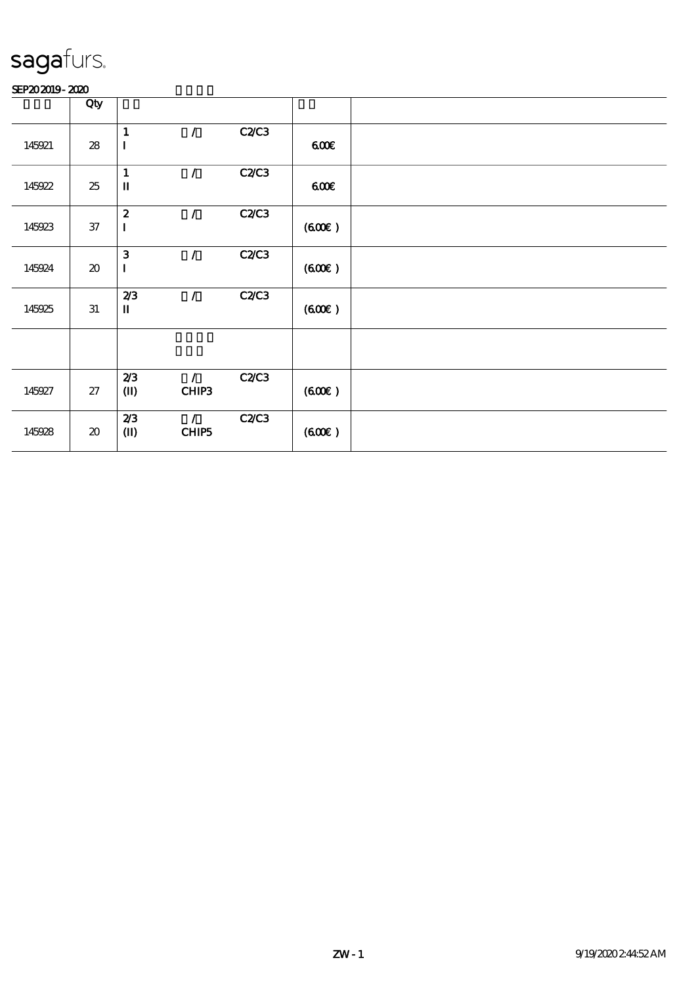|        | Qty                                 |                  |               |              |       |  |
|--------|-------------------------------------|------------------|---------------|--------------|-------|--|
|        |                                     | $\mathbf{1}$     | $\mathcal{L}$ | C2C3         |       |  |
| 145921 | ${\bf 28}$                          | $\bf I$          |               |              | 600   |  |
|        |                                     |                  |               |              |       |  |
|        |                                     | $\mathbf{1}$     | $\prime$      | C2C3         |       |  |
| 145922 | 25                                  | $\mathbf I$      |               |              | 600   |  |
|        |                                     |                  |               |              |       |  |
|        |                                     | $\boldsymbol{2}$ | $\sqrt{2}$    | C2C3         |       |  |
| 145923 | $3\!7$                              | $\mathbf I$      |               |              | (60E) |  |
|        |                                     |                  |               |              |       |  |
|        |                                     | $\mathbf{3}$     | $\prime$      | <b>C2/C3</b> |       |  |
| 145924 | $\boldsymbol{\boldsymbol{\lambda}}$ | $\mathbf I$      |               |              | (60E) |  |
|        |                                     |                  |               |              |       |  |
|        |                                     | 2/3              | $\mathcal{L}$ | C2C3         |       |  |
| 145925 | $3\!1$                              | $\mathbf I$      |               |              | (60E) |  |
|        |                                     |                  |               |              |       |  |
|        |                                     |                  |               |              |       |  |
|        |                                     |                  |               |              |       |  |
|        |                                     |                  |               |              |       |  |
|        |                                     | 2/3              | $\mathcal{L}$ | C2C3         |       |  |
| 145927 | $27\,$                              | $\mathbf{I}$     | CHIP3         |              | (60E) |  |
|        |                                     |                  |               |              |       |  |
|        |                                     | 2/3              | $\mathcal{L}$ | <b>C2/C3</b> |       |  |
| 145928 | $\pmb{\mathcal{X}}$                 | $\bf (\rm I\!I)$ | CHIP5         |              | (60E) |  |
|        |                                     |                  |               |              |       |  |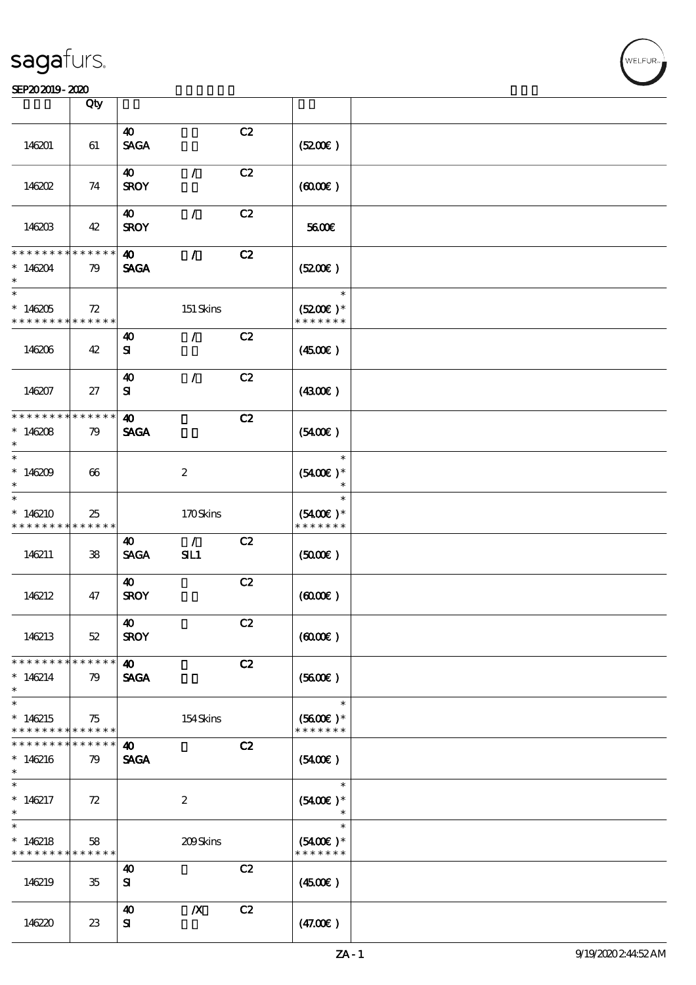|                                            | Qty               |                       |                  |    |                             |  |
|--------------------------------------------|-------------------|-----------------------|------------------|----|-----------------------------|--|
|                                            |                   | 40                    |                  |    |                             |  |
|                                            |                   |                       |                  | C2 |                             |  |
| 146201                                     | 61                | <b>SAGA</b>           |                  |    | (5200)                      |  |
|                                            |                   |                       |                  |    |                             |  |
|                                            |                   | 40                    | $\mathcal{L}$    | C2 |                             |  |
| 146202                                     | 74                | <b>SROY</b>           |                  |    | $(6000\varepsilon)$         |  |
|                                            |                   |                       |                  |    |                             |  |
|                                            |                   | 40                    | $\mathcal{L}$    | C2 |                             |  |
| 146203                                     | 42                | <b>SROY</b>           |                  |    | 5600E                       |  |
|                                            |                   |                       |                  |    |                             |  |
| * * * * * * * *                            | $* * * * * * *$   | $\boldsymbol{\omega}$ | $\mathcal{L}$    | C2 |                             |  |
| $*146204$                                  | 79                | <b>SAGA</b>           |                  |    | (5200)                      |  |
|                                            |                   |                       |                  |    |                             |  |
| $\ast$                                     |                   |                       |                  |    | $\ast$                      |  |
|                                            |                   |                       |                  |    |                             |  |
| $*146205$                                  | 72                |                       | 151 Skins        |    | $(5200)$ *                  |  |
| * * * * * * * * <mark>* * * * * * *</mark> |                   |                       |                  |    | * * * * * * *               |  |
|                                            |                   | 40                    | $\mathcal{L}$    | C2 |                             |  |
| 146206                                     | 42                | ${\bf s}$             |                  |    | $(4500\varepsilon)$         |  |
|                                            |                   |                       |                  |    |                             |  |
|                                            |                   | $\boldsymbol{\omega}$ | $\mathcal{L}$    | C2 |                             |  |
| 146207                                     | 27                | ${\bf s}$             |                  |    | (430E)                      |  |
|                                            |                   |                       |                  |    |                             |  |
| * * * * * * * *                            | * * * * * *       | $\boldsymbol{\omega}$ |                  | C2 |                             |  |
| $*146208$                                  | 79                | <b>SAGA</b>           |                  |    | $(5400\varepsilon)$         |  |
| $\ast$                                     |                   |                       |                  |    |                             |  |
| $\ast$                                     |                   |                       |                  |    | $\ast$                      |  |
| $*146209$                                  | 66                |                       | $\boldsymbol{2}$ |    | $(5400)$ *                  |  |
| $\ast$                                     |                   |                       |                  |    | $\ast$                      |  |
| $\overline{\ast}$                          |                   |                       |                  |    | $\ast$                      |  |
|                                            |                   |                       |                  |    |                             |  |
| $*146210$<br>* * * * * * * *               | 25<br>* * * * * * |                       | 170Skins         |    | $(5400)$ *<br>* * * * * * * |  |
|                                            |                   |                       |                  |    |                             |  |
|                                            |                   | 40                    | $\mathcal{L}$    | C2 |                             |  |
| 146211                                     | ${\bf 38}$        | <b>SAGA</b>           | SL1              |    | (5000)                      |  |
|                                            |                   |                       |                  |    |                             |  |
|                                            |                   | 40                    |                  | C2 |                             |  |
| 146212                                     | 47                | <b>SROY</b>           |                  |    | (6000)                      |  |
|                                            |                   |                       |                  |    |                             |  |
|                                            |                   | 40                    |                  | C2 |                             |  |
| 146213                                     | $52\,$            | <b>SROY</b>           |                  |    | (6000)                      |  |
|                                            |                   |                       |                  |    |                             |  |
| * * * * * * * *                            | * * * * * *       | 40                    |                  | C2 |                             |  |
| $*146214$                                  | 79                | <b>SAGA</b>           |                  |    | (5600)                      |  |
| $\ast$                                     |                   |                       |                  |    |                             |  |
| $\ast$                                     |                   |                       |                  |    | $\ast$                      |  |
| $*146215$                                  | 75                |                       | 154Skins         |    | $(5600)$ *                  |  |
| * * * * * * * *                            | ******            |                       |                  |    | * * * * * * *               |  |
| * * * * * * * *                            | * * * * * *       | $\boldsymbol{\omega}$ |                  | C2 |                             |  |
| $*146216$                                  | 79                | <b>SAGA</b>           |                  |    | (5400)                      |  |
| $\ast$                                     |                   |                       |                  |    |                             |  |
| $\ast$                                     |                   |                       |                  |    | $\ast$                      |  |
| $*146217$                                  | 72                |                       | $\boldsymbol{2}$ |    | $(5400)$ *                  |  |
| $\ast$                                     |                   |                       |                  |    | $\ast$                      |  |
| $\ast$                                     |                   |                       |                  |    | $\ast$                      |  |
|                                            |                   |                       |                  |    |                             |  |
| $*146218$<br>* * * * * * * *               | 58<br>* * * * * * |                       | 209Skins         |    | $(5400)$ *<br>* * * * * * * |  |
|                                            |                   |                       |                  |    |                             |  |
|                                            |                   | 40                    |                  | C2 |                             |  |
| 146219                                     | 35                | ${\bf s}$             |                  |    | (450)                       |  |
|                                            |                   |                       |                  |    |                             |  |
|                                            |                   | $\boldsymbol{\omega}$ | $\boldsymbol{X}$ | C2 |                             |  |
| 146220                                     | 23                | ${\bf s}$             |                  |    | (47.00)                     |  |
|                                            |                   |                       |                  |    |                             |  |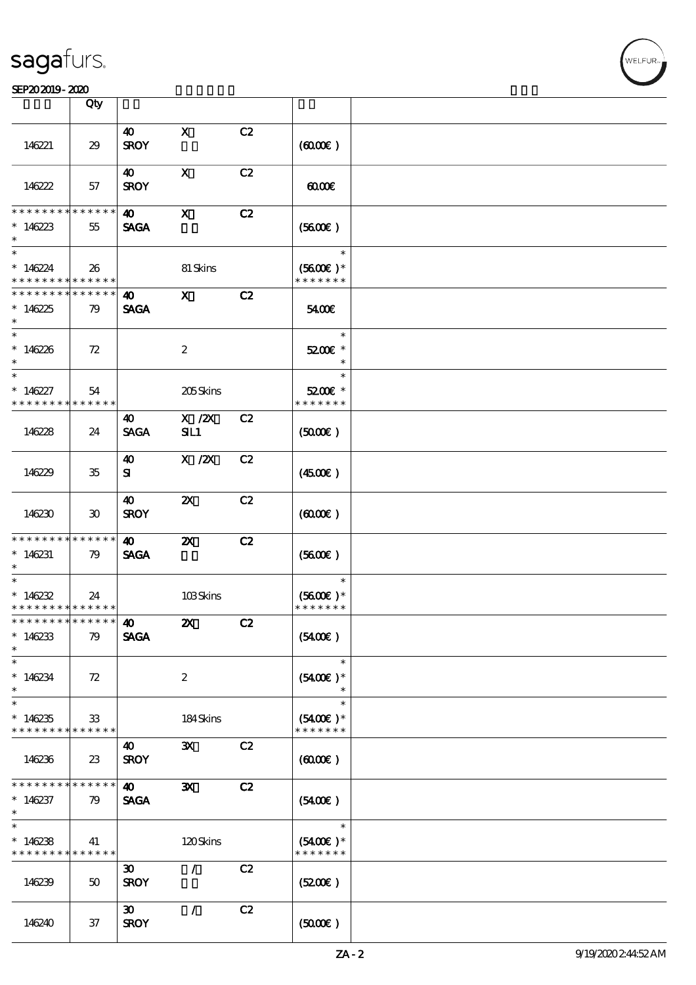### SEP202019-2020

|                                                                   | Qty                         |                                            |                           |    |                                              |  |
|-------------------------------------------------------------------|-----------------------------|--------------------------------------------|---------------------------|----|----------------------------------------------|--|
| 146221                                                            | 29                          | $\boldsymbol{\omega}$<br><b>SROY</b>       | $\mathbf{x}$              | C2 | (6000)                                       |  |
| 146222                                                            | 57                          | $\boldsymbol{\omega}$<br><b>SROY</b>       | $\mathbf{x}$              | C2 | 0000                                         |  |
| * * * * * * * *<br>* $146223$<br>$\ast$                           | ******<br>55                | $\boldsymbol{\omega}$<br><b>SAGA</b>       | $\mathbf{x}$              | C2 | (5600)                                       |  |
| $\ast$<br>$*146224$<br>* * * * * * * * <mark>* * * * * * *</mark> | 26                          |                                            | 81 Skins                  |    | $\ast$<br>$(5600)$ *<br>* * * * * * *        |  |
| * * * * * * * * * * * * * * *<br>$*146225$<br>$\ast$              | 79                          | $\boldsymbol{\omega}$<br><b>SAGA</b>       | $\mathbf{x}$              | C2 | 5400E                                        |  |
| $*$<br>$*146226$<br>$\ast$                                        | 72                          |                                            | $\boldsymbol{2}$          |    | $\ast$<br>5200E *<br>$\ast$                  |  |
| $\ast$<br>$*146227$<br>* * * * * * * *                            | 54<br>******                |                                            | 205Skins                  |    | $\ast$<br>5200€ *<br>* * * * * * *           |  |
| 146228                                                            | 24                          | 40<br><b>SAGA</b>                          | $X$ / $ZX$<br>SL1         | C2 | (5000)                                       |  |
| 146229                                                            | $35\,$                      | $\boldsymbol{\omega}$<br>${\bf s}$         | $X$ / $ZX$                | C2 | (450E)                                       |  |
| 146230                                                            | $\boldsymbol{\mathfrak{D}}$ | $\boldsymbol{\omega}$<br><b>SROY</b>       | $\boldsymbol{\mathsf{Z}}$ | C2 | $(6000\varepsilon)$                          |  |
| * * * * * * * *<br>$*146231$<br>$\ast$                            | $* * * * * * *$<br>79       | $\boldsymbol{\omega}$<br><b>SAGA</b>       | $\boldsymbol{\mathsf{Z}}$ | C2 | (5600)                                       |  |
| $\ast$<br>$*146232$<br>* * * * * * * * <mark>* * * * * * *</mark> | 24                          |                                            | 103Skins                  |    | $\ast$<br>$(5600\text{E})*$<br>* * * * * * * |  |
| *************** 10<br>$*146233$<br>$\ast$                         | 79                          | <b>SAGA</b>                                | $\boldsymbol{\mathsf{Z}}$ | C2 | (5400)                                       |  |
| $\ast$<br>$*146234$<br>$\ast$                                     | 72                          |                                            | $\boldsymbol{2}$          |    | $\ast$<br>$(5400)$ *<br>$\ast$               |  |
| $\overline{\ast}$<br>$*146235$<br>* * * * * * * * * * * * * * *   | 33                          |                                            | 184Skins                  |    | $\ast$<br>$(5400)$ *<br>* * * * * * *        |  |
| 146236                                                            | $23\,$                      | 40<br><b>SROY</b>                          | $\mathbf{x}$              | C2 | $(6000\varepsilon)$                          |  |
| * * * * * * * *<br>$*146237$<br>$\ast$                            | ******<br>79                | $\boldsymbol{\omega}$<br><b>SAGA</b>       | $\mathbf{x}$              | C2 | $(5400\varepsilon)$                          |  |
| $\ast$<br>$*146238$<br>* * * * * * * * * * * * * * *              | 41                          |                                            | 120Skins                  |    | $\ast$<br>$(5400)$ *<br>* * * * * * *        |  |
| 146239                                                            | $50^{\circ}$                | $\boldsymbol{\mathfrak{D}}$<br><b>SROY</b> | $\mathcal{L}$             | C2 | (5200)                                       |  |
| 146240                                                            | 37                          | $\boldsymbol{\mathfrak{D}}$<br><b>SROY</b> | $\mathcal{L}$             | C2 | (5000)                                       |  |

.<br>NELFUR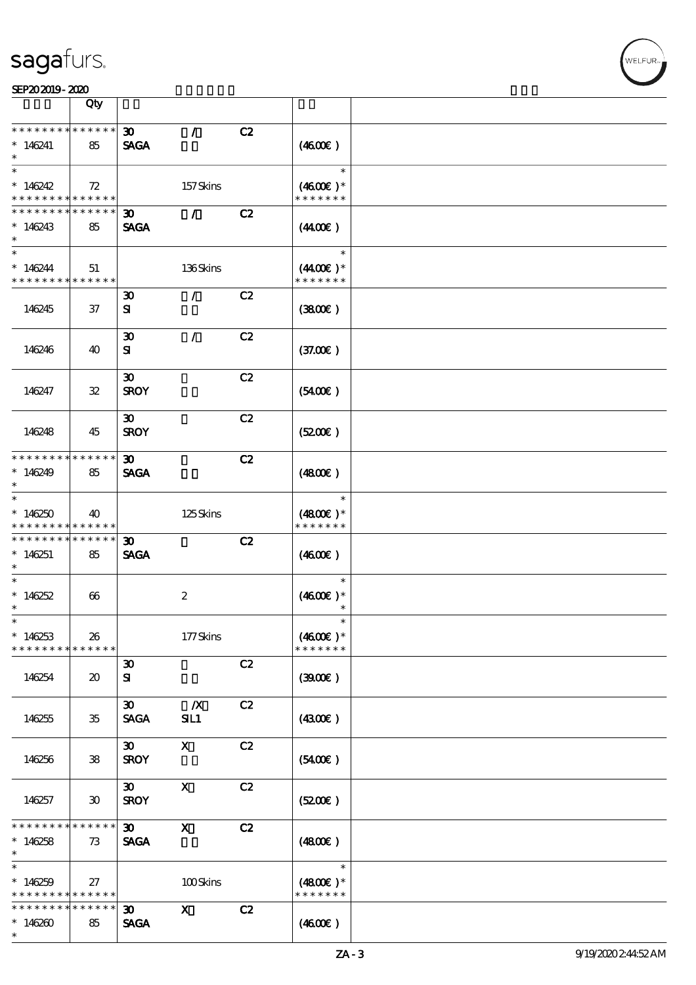|                                          | Qty                         |                             |                           |    |                      |  |
|------------------------------------------|-----------------------------|-----------------------------|---------------------------|----|----------------------|--|
| * * * * * * * *                          | * * * * * *                 | $\boldsymbol{\mathfrak{D}}$ | $\mathcal{L}$             | C2 |                      |  |
| $*146241$                                | 85                          | <b>SAGA</b>                 |                           |    | (460E)               |  |
|                                          |                             |                             |                           |    |                      |  |
| $\ast$                                   |                             |                             |                           |    | $\ast$               |  |
| $*146242$                                | 72                          |                             | 157Skins                  |    | $(4600)$ *           |  |
| * * * * * * * * <mark>* * * * * *</mark> |                             |                             |                           |    | * * * * * * *        |  |
| * * * * * * * *                          | * * * * * *                 | $\boldsymbol{\mathfrak{D}}$ | $\mathcal{L}$             | C2 |                      |  |
|                                          |                             |                             |                           |    |                      |  |
| $*146243$<br>$\ast$                      | 85                          | <b>SAGA</b>                 |                           |    | (440E)               |  |
| $\ast$                                   |                             |                             |                           |    | $\ast$               |  |
| $*146244$                                | 51                          |                             | 136Skins                  |    | $(4400\varepsilon)*$ |  |
| * * * * * * * * * * * * * *              |                             |                             |                           |    | * * * * * * *        |  |
|                                          |                             | $\boldsymbol{\mathfrak{D}}$ | $\mathcal{L}$             | C2 |                      |  |
| 146245                                   | 37                          | ${\bf s}$                   |                           |    | (3800)               |  |
|                                          |                             |                             |                           |    |                      |  |
|                                          |                             | $\boldsymbol{\mathfrak{D}}$ | $\mathcal{L}$             | C2 |                      |  |
| 146246                                   | 40                          | ${\bf s}$                   |                           |    | (37.00)              |  |
|                                          |                             |                             |                           |    |                      |  |
|                                          |                             | $\boldsymbol{\mathfrak{D}}$ |                           | C2 |                      |  |
| 146247                                   | ${\bf 3\!}$                 | <b>SROY</b>                 |                           |    | (5400)               |  |
|                                          |                             |                             |                           |    |                      |  |
|                                          |                             | $\boldsymbol{\mathfrak{D}}$ |                           | C2 |                      |  |
| 146248                                   | 45                          | <b>SROY</b>                 |                           |    | (5200)               |  |
|                                          |                             |                             |                           |    |                      |  |
| * * * * * * * *                          | * * * * * *                 | $\boldsymbol{\mathfrak{D}}$ |                           | C2 |                      |  |
| $*146249$                                | 85                          | <b>SAGA</b>                 |                           |    | (480)                |  |
| $\ast$                                   |                             |                             |                           |    |                      |  |
| $\ast$                                   |                             |                             |                           |    | $\ast$               |  |
| $*146250$                                | 40                          |                             | 125Skins                  |    | $(4800)$ *           |  |
| * * * * * * * *                          | * * * * * *                 |                             |                           |    | * * * * * * *        |  |
| * * * * * * * *                          | * * * * * *                 | $\boldsymbol{\mathfrak{D}}$ |                           | C2 |                      |  |
| $*146251$                                | 85                          | <b>SAGA</b>                 |                           |    | (460)                |  |
| $\ast$                                   |                             |                             |                           |    |                      |  |
| $\ast$                                   |                             |                             |                           |    | $\ast$               |  |
| $*146252$                                | 66                          |                             | $\boldsymbol{2}$          |    | $(4600E)*$           |  |
| $\ast$                                   |                             |                             |                           |    | $\ast$               |  |
| $\ast$                                   |                             |                             |                           |    | $\ast$               |  |
| $*146253$                                | 26                          |                             | 177Skins                  |    | $(4600)$ *           |  |
| * * * * * * * *                          | * * * * * *                 |                             |                           |    | * * * * * * *        |  |
|                                          |                             | $\boldsymbol{\mathfrak{D}}$ |                           | C2 |                      |  |
| 146254                                   | $\boldsymbol{\mathfrak{D}}$ | ${\bf s}$                   |                           |    | (300)                |  |
|                                          |                             |                             |                           |    |                      |  |
|                                          |                             | $\boldsymbol{\mathfrak{D}}$ | $\mathbf{X}$              | C2 |                      |  |
| 146255                                   | 35                          | <b>SAGA</b>                 | SL1                       |    | (4300)               |  |
|                                          |                             |                             |                           |    |                      |  |
|                                          |                             | $\boldsymbol{\mathfrak{D}}$ | $\mathbf{x}$              | C2 |                      |  |
| 146256                                   | 38                          | <b>SROY</b>                 |                           |    | (5400)               |  |
|                                          |                             |                             |                           |    |                      |  |
|                                          |                             | $\infty$                    | $\mathbf{X}$              | C2 |                      |  |
| 146257                                   | $\boldsymbol{\mathfrak{D}}$ | <b>SROY</b>                 |                           |    | (5200)               |  |
|                                          |                             |                             |                           |    |                      |  |
| * * * * * * *                            | * * * * * *                 | $\boldsymbol{\mathfrak{D}}$ | $\boldsymbol{\mathrm{X}}$ | C2 |                      |  |
| $*146258$                                | 73                          | <b>SAGA</b>                 |                           |    | (480)                |  |
| $\ast$                                   |                             |                             |                           |    |                      |  |
| $\ast$                                   |                             |                             |                           |    | $\ast$               |  |
| $*146259$                                | 27                          |                             | 100Skins                  |    | $(4800)$ *           |  |
| * * * * * * * *                          | * * * * * *                 |                             |                           |    | * * * * * * *        |  |
| * * * * * * * *                          | * * * * * *                 | $\boldsymbol{\mathfrak{D}}$ | $\mathbf{x}$              | C2 |                      |  |
| $*146260$                                | 85                          | <b>SAGA</b>                 |                           |    | (460E)               |  |
| $\ast$                                   |                             |                             |                           |    |                      |  |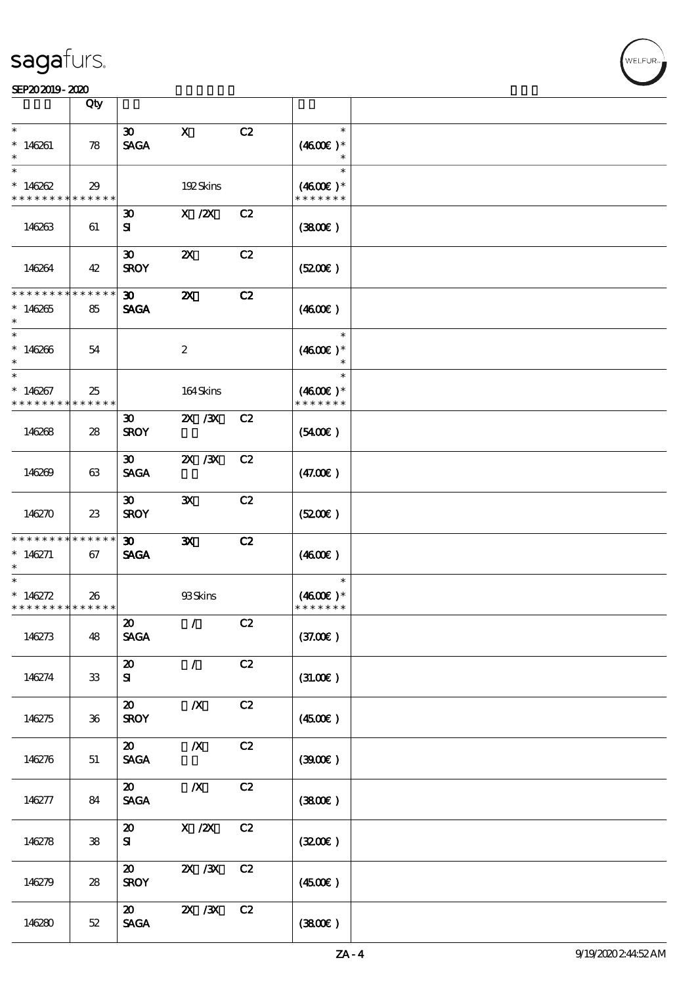#### SEP202019-2020 2000 12:00 12:00 12:00 12:00 12:00 12:00 12:00 12:00 12:00 12:00 12:00 12:00 12:00 12:00 12:00

|                                                     | Qty                 |                                                               |                           |    |                                       |  |
|-----------------------------------------------------|---------------------|---------------------------------------------------------------|---------------------------|----|---------------------------------------|--|
| $\ast$                                              |                     | $\boldsymbol{\mathfrak{D}}$                                   | $\mathbf x$               | C2 | $\ast$                                |  |
| $*146261$                                           | 78                  | <b>SAGA</b>                                                   |                           |    | $(4600E)*$<br>$\ast$                  |  |
| $\ast$<br>$*146262$                                 | 29                  |                                                               | 192Skins                  |    | $\ast$<br>$(4600)$ *                  |  |
| * * * * * * * *                                     | $* * * * * * *$     |                                                               |                           |    | * * * * * * *                         |  |
| 146263                                              | 61                  | $\boldsymbol{\mathfrak{D}}$<br>${\bf s}$                      | $X$ / $ZX$                | C2 | (380)                                 |  |
| 146264                                              | 42                  | $\boldsymbol{\mathfrak{D}}$<br><b>SROY</b>                    | $\boldsymbol{\mathsf{z}}$ | C2 | (5200)                                |  |
| * * * * * * * *<br>$*146265$<br>$\ast$              | * * * * * *<br>85   | $\boldsymbol{\mathfrak{D}}$<br><b>SAGA</b>                    | $\boldsymbol{\mathsf{X}}$ | C2 | (460E)                                |  |
| $\ast$<br>$*146266$<br>$\ast$                       | 54                  |                                                               | $\boldsymbol{2}$          |    | $\ast$<br>$(4600E)*$<br>$\ast$        |  |
| $\ast$<br>$*146267$<br>* * * * * * * *              | 25<br>******        |                                                               | 164Skins                  |    | $\ast$<br>$(4600)$ *<br>* * * * * * * |  |
| 146268                                              | 28                  | $\boldsymbol{\mathfrak{D}}$<br><b>SROY</b>                    | 2X / 3X                   | C2 | $(5400\varepsilon)$                   |  |
| 146269                                              | 63                  | $\boldsymbol{\mathfrak{D}}$<br><b>SAGA</b>                    | 2X / 3X                   | C2 | (47.00)                               |  |
| 146270                                              | $23\,$              | $\boldsymbol{\mathfrak{D}}$<br><b>SROY</b>                    | $\mathbf{x}$              | C2 | (5200)                                |  |
| * * * * * * * *<br>$*146271$<br>$\ast$              | $***$ * * * *<br>67 | $\boldsymbol{\mathfrak{D}}$<br><b>SAGA</b>                    | $\mathbf{x}$              | C2 | (460)                                 |  |
| $\ast$<br>* $146272$<br>* * * * * * * * * * * * * * | 26                  |                                                               | 93Skins                   |    | $\ast$<br>$(4600E)*$<br>* * * * * * * |  |
| 146273                                              | 48                  | $\boldsymbol{\mathfrak{D}}$<br><b>SAGA</b>                    | $\mathcal{L}$             | C2 | (37.00)                               |  |
| 146274                                              | ${\bf 33}$          | $\boldsymbol{\mathfrak{D}}$<br>${\bf s}$                      | $\mathcal{F}$             | C2 | (31.00)                               |  |
| 146275                                              | $36\,$              | $\boldsymbol{\mathfrak{D}}$<br><b>SROY</b>                    | $\boldsymbol{X}$          | C2 | (4500)                                |  |
| 146276                                              | 51                  | $\boldsymbol{\mathfrak{D}}$<br>$\ensuremath{\mathsf{SAGA}}$   | $\boldsymbol{X}$          | C2 | (300E)                                |  |
| 146277                                              | 84                  | $\boldsymbol{\mathfrak{D}}$<br>$\operatorname{\mathsf{SAGA}}$ | $\boldsymbol{X}$          | C2 | (3800)                                |  |
| 146278                                              | ${\bf 38}$          | $\boldsymbol{\mathfrak{D}}$<br>${\bf s}$                      | X / ZX                    | C2 | (3200)                                |  |
| 146279                                              | ${\bf 28}$          | $\boldsymbol{\mathfrak{D}}$<br><b>SROY</b>                    | $X \, X$                  | C2 | $(4500\varepsilon)$                   |  |
| 146280                                              | $52\,$              | $\boldsymbol{\mathfrak{D}}$<br><b>SAGA</b>                    | $X \, X$                  | C2 | (3800)                                |  |

т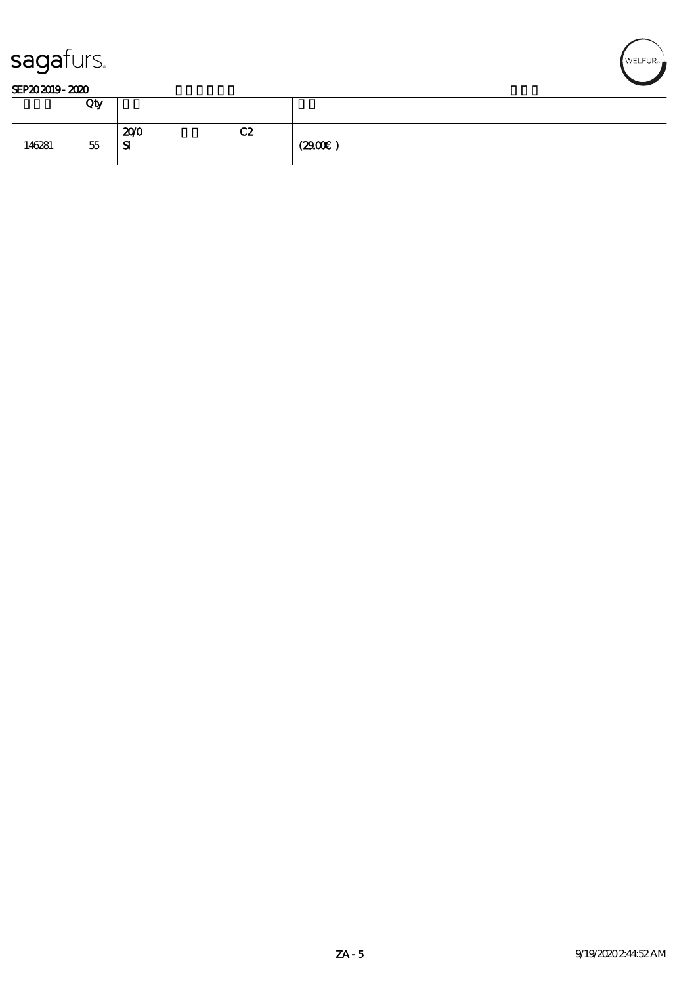



|        | Qty    |                  |    |       |  |
|--------|--------|------------------|----|-------|--|
| 146281 | $55\,$ | 200<br>${\bf s}$ | C2 | (290) |  |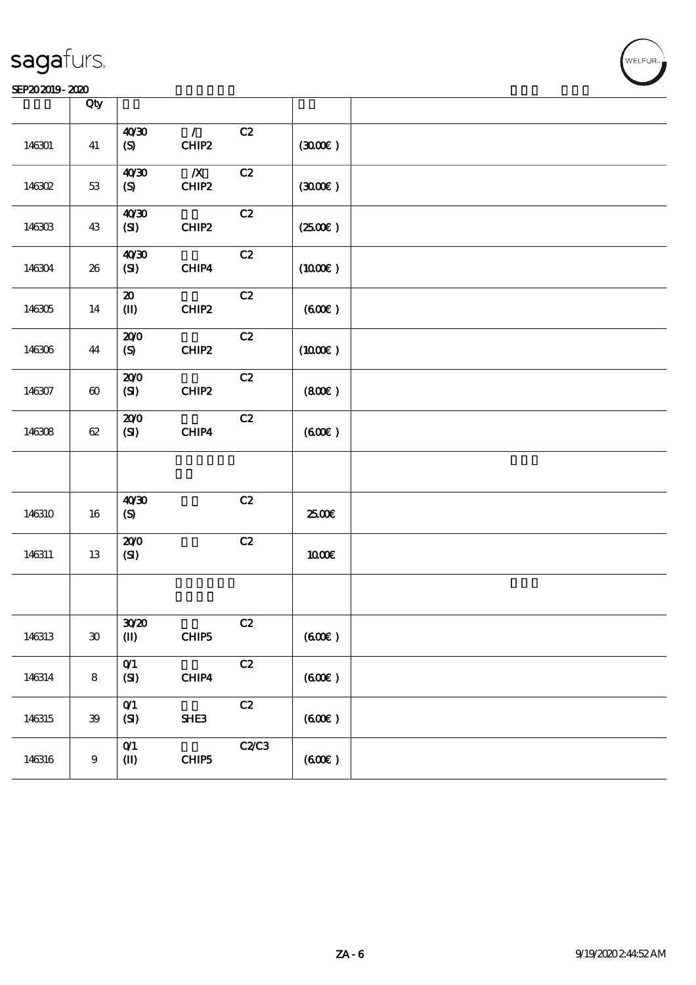### SEP202019-2020 2020 KEP202019-2020 KEP202019-2020 KEP202019-2020 KEP20

|        | Qty                         |                                             |                           |      |                     |  |
|--------|-----------------------------|---------------------------------------------|---------------------------|------|---------------------|--|
| 146301 | 41                          | 40'30<br>$\boldsymbol{\mathrm{(S)}}$        | $\mathcal{L}$<br>CHIP2    | C2   | (300)               |  |
| 146302 | $53\,$                      | 40'30<br>(S)                                | $\boldsymbol{X}$<br>CHIP2 | C2   | (300)               |  |
| 146303 | 43                          | 40'30<br>(SI)                               | CHIP2                     | C2   | $(2500\varepsilon)$ |  |
| 146304 | 26                          | 40'30<br>(SI)                               | CHIP4                     | C2   | $(1000\varepsilon)$ |  |
| 146305 | 14                          | $\boldsymbol{\mathfrak{D}}$<br>$\mathbf{I}$ | CHIP2                     | C2   | (60E)               |  |
| 146306 | 44                          | 200<br>(S)                                  | CHIP2                     | C2   | $(1000\varepsilon)$ |  |
| 146307 | $\boldsymbol{\omega}$       | 200<br>(S)                                  | CHIP2                     | C2   | (800)               |  |
| 146308 | $62\,$                      | 200<br>(SI)                                 | CHIP4                     | C2   | (600)               |  |
|        |                             |                                             |                           |      |                     |  |
| 146310 | 16                          | 40'30<br>$\boldsymbol{\mathrm{(S)}}$        |                           | C2   | 2500E               |  |
| 146311 | 13                          | 200<br>(SI)                                 |                           | C2   | 1000E               |  |
|        |                             |                                             |                           |      |                     |  |
| 146313 | $\boldsymbol{\mathfrak{D}}$ | 30/20<br>$\mathbf{I}$                       | CHIP5                     | C2   | (60E)               |  |
| 146314 | $\bf 8$                     | $O$ <sup><math>1</math></sup><br>(SI)       | CHIP4                     | C2   | (60E)               |  |
| 146315 | ${\bf 39}$                  | O(1)<br>(SI)                                | SHE3                      | C2   | (60E)               |  |
| 146316 | $9^{\circ}$                 | O(1)<br>$\mathbf{I}$                        | CHIP5                     | C2C3 | (600)               |  |

T